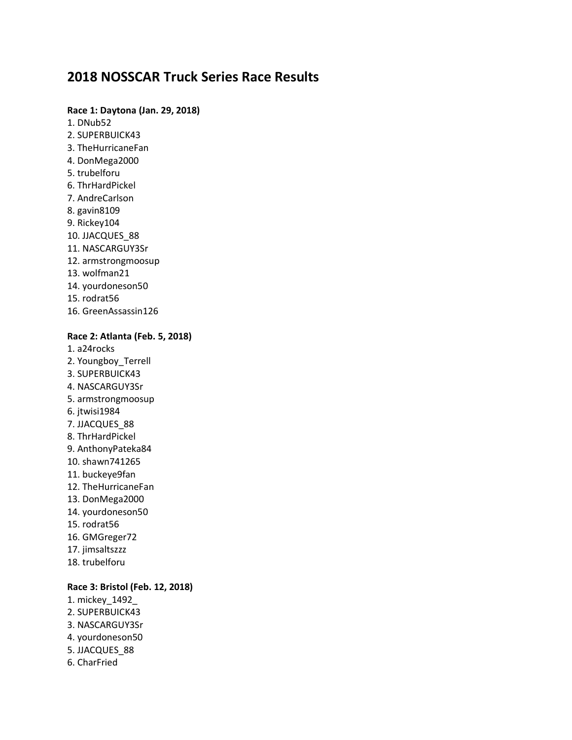# **2018 NOSSCAR Truck Series Race Results**

### **Race 1: Daytona (Jan. 29, 2018)**

- 1. DNub52
- 2. SUPERBUICK43
- 3. TheHurricaneFan
- 4. DonMega2000
- 5. trubelforu
- 6. ThrHardPickel
- 7. AndreCarlson
- 8. gavin8109
- 9. Rickey104
- 10. JJACQUES\_88
- 11. NASCARGUY3Sr
- 12. armstrongmoosup
- 13. wolfman21
- 14. yourdoneson50
- 15. rodrat56
- 16. GreenAssassin126

#### **Race 2: Atlanta (Feb. 5, 2018)**

- 1. a24rocks 2. Youngboy\_Terrell 3. SUPERBUICK43 4. NASCARGUY3Sr 5. armstrongmoosup 6. jtwisi1984 7. JJACQUES\_88 8. ThrHardPickel 9. AnthonyPateka84 10. shawn741265 11. buckeye9fan 12. TheHurricaneFan 13. DonMega2000 14. yourdoneson50 15. rodrat56 16. GMGreger72
- 
- 17. jimsaltszzz
- 18. trubelforu

### **Race 3: Bristol (Feb. 12, 2018)**

- 1. mickey\_1492\_ 2. SUPERBUICK43 3. NASCARGUY3Sr 4. yourdoneson50
- 5. JJACQUES\_88
- 6. CharFried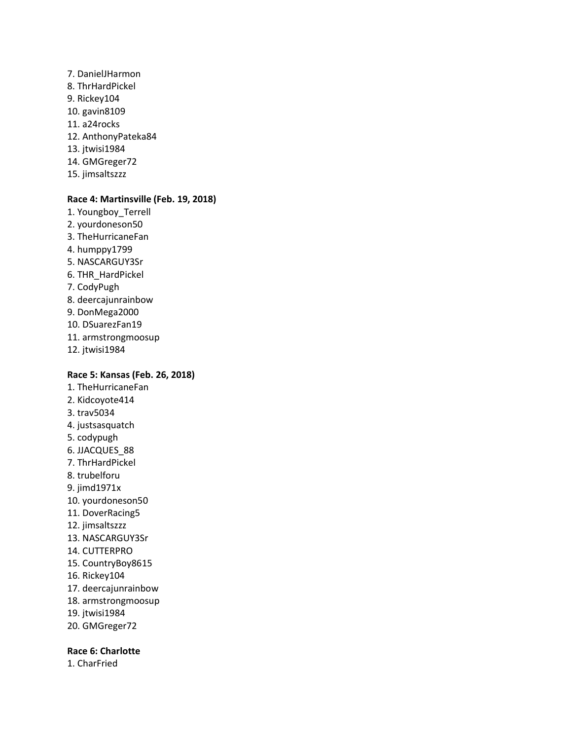- 7. DanielJHarmon 8. ThrHardPickel 9. Rickey104 10. gavin8109 11. a24rocks 12. AnthonyPateka84 13. jtwisi1984 14. GMGreger72
- 15. jimsaltszzz

#### **Race 4: Martinsville (Feb. 19, 2018)**

1. Youngboy\_Terrell 2. yourdoneson50 3. TheHurricaneFan 4. humppy1799 5. NASCARGUY3Sr 6. THR\_HardPickel 7. CodyPugh 8. deercajunrainbow 9. DonMega2000 10. DSuarezFan19 11. armstrongmoosup 12. jtwisi1984

#### **Race 5: Kansas (Feb. 26, 2018)**

- 1. TheHurricaneFan 2. Kidcoyote414 3. trav5034 4. justsasquatch 5. codypugh 6. JJACQUES\_88 7. ThrHardPickel 8. trubelforu 9. jimd1971x 10. yourdoneson50 11. DoverRacing5 12. jimsaltszzz 13. NASCARGUY3Sr 14. CUTTERPRO 15. CountryBoy8615 16. Rickey104 17. deercajunrainbow 18. armstrongmoosup 19. jtwisi1984
- 20. GMGreger72

### **Race 6: Charlotte**

1. CharFried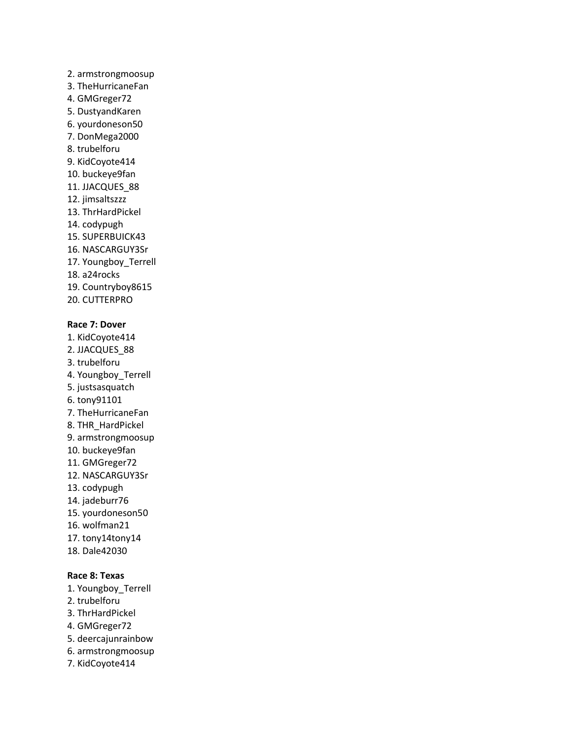### 2. armstrongmoosup

- 3. TheHurricaneFan
- 4. GMGreger72
- 5. DustyandKaren
- 6. yourdoneson50
- 7. DonMega2000
- 8. trubelforu
- 9. KidCoyote414
- 10. buckeye9fan
- 11. JJACQUES\_88
- 12. jimsaltszzz
- 13. ThrHardPickel
- 14. codypugh
- 15. SUPERBUICK43
- 16. NASCARGUY3Sr
- 17. Youngboy\_Terrell
- 18. a24rocks
- 19. Countryboy8615
- 20. CUTTERPRO

### **Race 7: Dover**

- 1. KidCoyote414 2. JJACQUES\_88 3. trubelforu 4. Youngboy\_Terrell 5. justsasquatch 6. tony91101 7. TheHurricaneFan 8. THR\_HardPickel 9. armstrongmoosup 10. buckeye9fan 11. GMGreger72 12. NASCARGUY3Sr 13. codypugh 14. jadeburr76 15. yourdoneson50 16. wolfman21 17. tony14tony14
- 18. Dale42030

### **Race 8: Texas**

- 1. Youngboy\_Terrell
- 2. trubelforu
- 3. ThrHardPickel
- 4. GMGreger72
- 5. deercajunrainbow
- 6. armstrongmoosup
- 7. KidCoyote414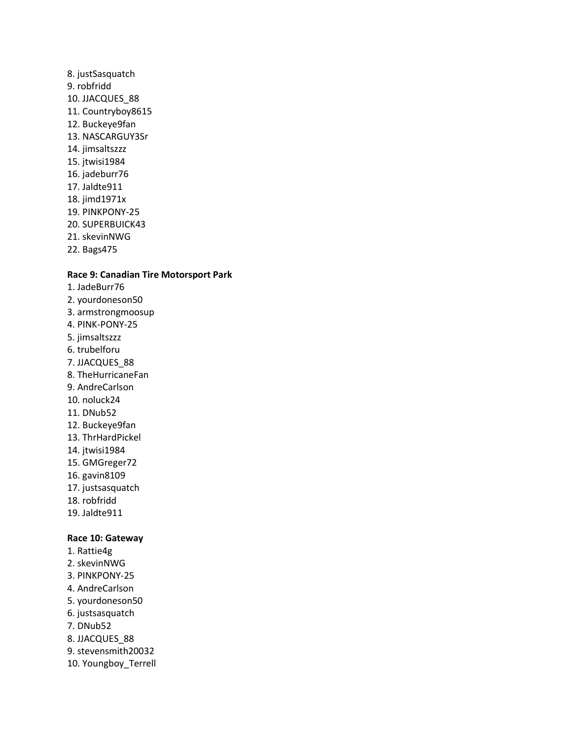- 8. justSasquatch 9. robfridd 10. JJACQUES\_88 11. Countryboy8615 12. Buckeye9fan 13. NASCARGUY3Sr 14. jimsaltszzz 15. jtwisi1984 16. jadeburr76 17. Jaldte911 18. jimd1971x 19. PINKPONY-25 20. SUPERBUICK43 21. skevinNWG
- 22. Bags475

### **Race 9: Canadian Tire Motorsport Park**

- 1. JadeBurr76 2. yourdoneson50 3. armstrongmoosup
- 4. PINK-PONY-25
- 5. jimsaltszzz
- 6. trubelforu
- 7. JJACQUES\_88
- 8. TheHurricaneFan
- 9. AndreCarlson
- 10. noluck24
- 11. DNub52
- 12. Buckeye9fan
- 13. ThrHardPickel
- 14. jtwisi1984
- 15. GMGreger72
- 16. gavin8109
- 17. justsasquatch
- 18. robfridd
- 19. Jaldte911

#### **Race 10: Gateway**

- 1. Rattie4g
- 2. skevinNWG
- 3. PINKPONY-25
- 4. AndreCarlson
- 5. yourdoneson50
- 6. justsasquatch
- 7. DNub52
- 8. JJACQUES\_88
- 9. stevensmith20032
- 10. Youngboy\_Terrell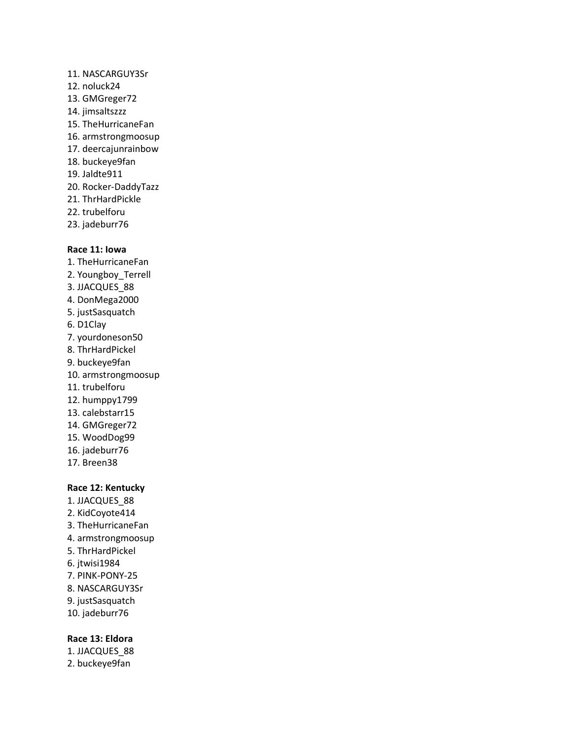#### 11. NASCARGUY3Sr

- 12. noluck24
- 13. GMGreger72
- 14. jimsaltszzz
- 15. TheHurricaneFan
- 16. armstrongmoosup
- 17. deercajunrainbow
- 18. buckeye9fan
- 19. Jaldte911
- 20. Rocker-DaddyTazz
- 21. ThrHardPickle
- 22. trubelforu
- 23. jadeburr76

#### **Race 11: Iowa**

- 1. TheHurricaneFan 2. Youngboy\_Terrell 3. JJACQUES\_88 4. DonMega2000 5. justSasquatch 6. D1Clay 7. yourdoneson50 8. ThrHardPickel 9. buckeye9fan 10. armstrongmoosup 11. trubelforu 12. humppy1799 13. calebstarr15 14. GMGreger72 15. WoodDog99 16. jadeburr76 17. Breen38
- **Race 12: Kentucky** 1. JJACQUES\_88 2. KidCoyote414 3. TheHurricaneFan 4. armstrongmoosup 5. ThrHardPickel 6. jtwisi1984 7. PINK-PONY-25 8. NASCARGUY3Sr 9. justSasquatch
- 10. jadeburr76

#### **Race 13: Eldora**

1. JJACQUES\_88 2. buckeye9fan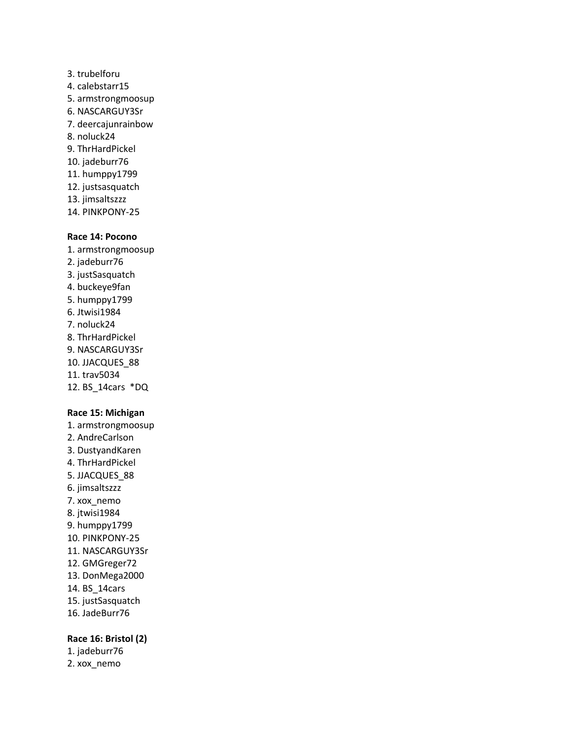- 3. trubelforu 4. calebstarr15 5. armstrongmoosup 6. NASCARGUY3Sr 7. deercajunrainbow 8. noluck24 9. ThrHardPickel 10. jadeburr76 11. humppy1799 12. justsasquatch 13. jimsaltszzz
- 14. PINKPONY-25

#### **Race 14: Pocono**

1. armstrongmoosup 2. jadeburr76 3. justSasquatch 4. buckeye9fan 5. humppy1799 6. Jtwisi1984 7. noluck24 8. ThrHardPickel 9. NASCARGUY3Sr 10. JJACQUES\_88

- 11. trav5034
- 12. BS\_14cars \*DQ

#### **Race 15: Michigan**

- 1. armstrongmoosup 2. AndreCarlson 3. DustyandKaren 4. ThrHardPickel 5. JJACQUES\_88 6. jimsaltszzz 7. xox\_nemo 8. jtwisi1984 9. humppy1799 10. PINKPONY-25 11. NASCARGUY3Sr 12. GMGreger72 13. DonMega2000 14. BS\_14cars 15. justSasquatch
- 16. JadeBurr76

#### **Race 16: Bristol (2)**

1. jadeburr76

2. xox\_nemo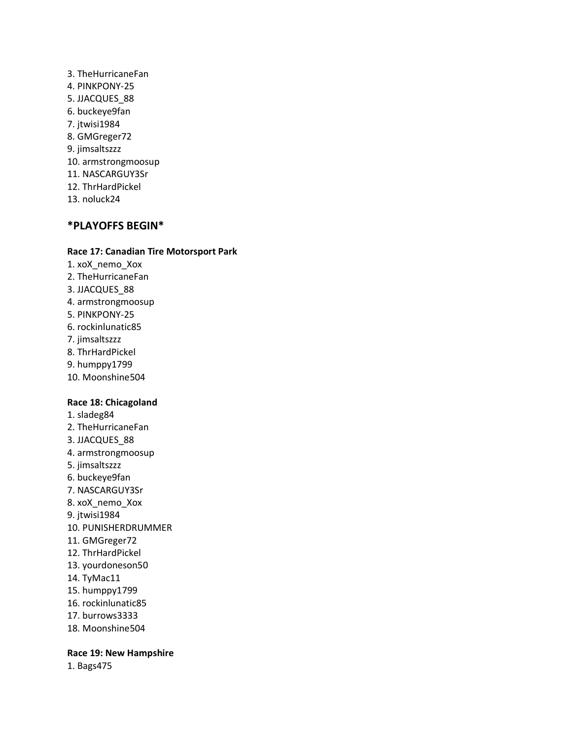3. TheHurricaneFan 4. PINKPONY-25 5. JJACQUES\_88 6. buckeye9fan 7. jtwisi1984 8. GMGreger72 9. jimsaltszzz 10. armstrongmoosup 11. NASCARGUY3Sr 12. ThrHardPickel 13. noluck24

### **\*PLAYOFFS BEGIN\***

#### **Race 17: Canadian Tire Motorsport Park**

- 1. xoX\_nemo\_Xox
- 2. TheHurricaneFan
- 3. JJACQUES\_88
- 4. armstrongmoosup
- 5. PINKPONY-25
- 6. rockinlunatic85
- 7. jimsaltszzz
- 8. ThrHardPickel
- 9. humppy1799
- 10. Moonshine504

#### **Race 18: Chicagoland**

- 1. sladeg84
- 2. TheHurricaneFan
- 3. JJACQUES\_88
- 4. armstrongmoosup
- 5. jimsaltszzz
- 6. buckeye9fan
- 7. NASCARGUY3Sr
- 8. xoX\_nemo\_Xox
- 9. jtwisi1984
- 10. PUNISHERDRUMMER
- 11. GMGreger72
- 12. ThrHardPickel
- 13. yourdoneson50
- 14. TyMac11
- 15. humppy1799
- 16. rockinlunatic85
- 17. burrows3333
- 18. Moonshine504

#### **Race 19: New Hampshire**

1. Bags475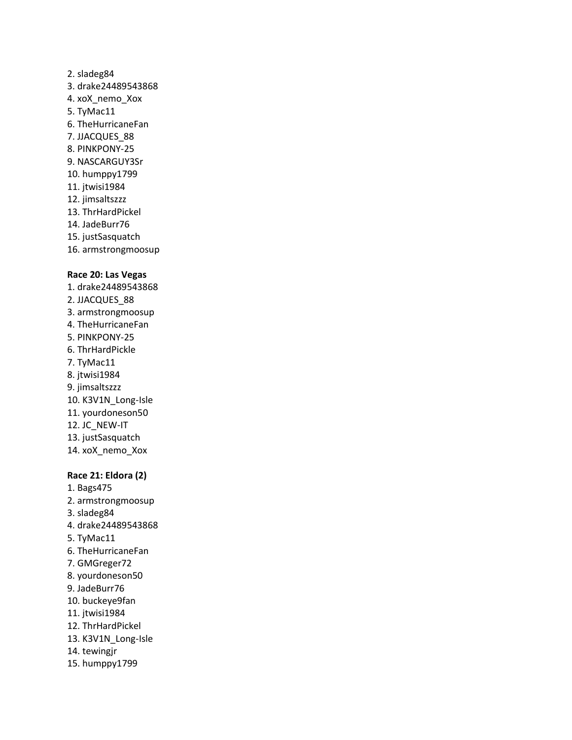### 2. sladeg84 3. drake24489543868 4. xoX\_nemo\_Xox 5. TyMac11 6. TheHurricaneFan 7. JJACQUES\_88 8. PINKPONY-25 9. NASCARGUY3Sr 10. humppy1799 11. jtwisi1984 12. jimsaltszzz 13. ThrHardPickel 14. JadeBurr76 15. justSasquatch

16. armstrongmoosup

#### **Race 20: Las Vegas**

1. drake24489543868 2. JJACQUES\_88 3. armstrongmoosup 4. TheHurricaneFan 5. PINKPONY-25 6. ThrHardPickle 7. TyMac11 8. jtwisi1984 9. jimsaltszzz 10. K3V1N\_Long-Isle 11. yourdoneson50 12. JC\_NEW-IT 13. justSasquatch 14. xoX\_nemo\_Xox

#### **Race 21: Eldora (2)**

- 1. Bags475 2. armstrongmoosup 3. sladeg84 4. drake24489543868 5. TyMac11 6. TheHurricaneFan 7. GMGreger72 8. yourdoneson50 9. JadeBurr76 10. buckeye9fan 11. jtwisi1984 12. ThrHardPickel 13. K3V1N\_Long-Isle 14. tewingjr
- 15. humppy1799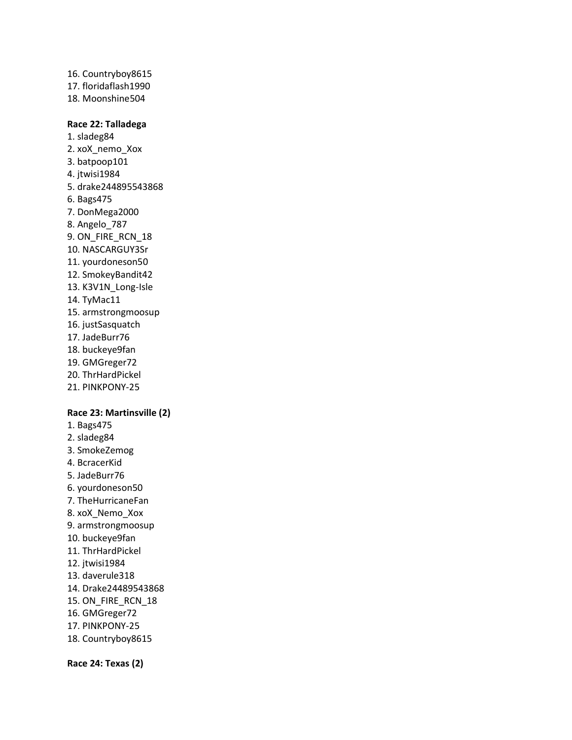16. Countryboy8615 17. floridaflash1990 18. Moonshine504

### **Race 22: Talladega**

1. sladeg84 2. xoX\_nemo\_Xox 3. batpoop101 4. jtwisi1984 5. drake244895543868 6. Bags475 7. DonMega2000 8. Angelo\_787 9. ON\_FIRE\_RCN\_18 10. NASCARGUY3Sr 11. yourdoneson50 12. SmokeyBandit42 13. K3V1N\_Long-Isle 14. TyMac11 15. armstrongmoosup 16. justSasquatch 17. JadeBurr76 18. buckeye9fan 19. GMGreger72 20. ThrHardPickel 21. PINKPONY-25

### **Race 23: Martinsville (2)**

- 1. Bags475
- 2. sladeg84
- 3. SmokeZemog
- 4. BcracerKid
- 5. JadeBurr76
- 6. yourdoneson50
- 7. TheHurricaneFan
- 8. xoX\_Nemo\_Xox
- 9. armstrongmoosup
- 10. buckeye9fan
- 11. ThrHardPickel
- 12. jtwisi1984
- 13. daverule318
- 14. Drake24489543868
- 15. ON\_FIRE\_RCN\_18
- 16. GMGreger72
- 17. PINKPONY-25
- 18. Countryboy8615

**Race 24: Texas (2)**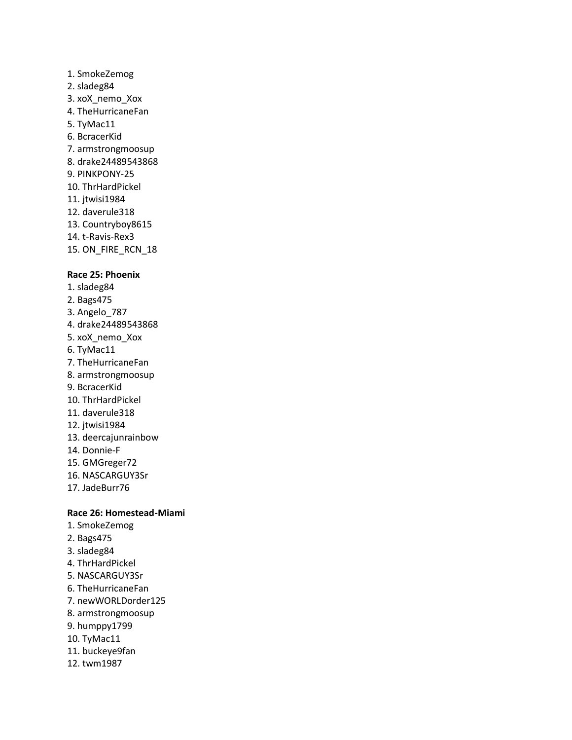- 1. SmokeZemog 2. sladeg84 3. xoX\_nemo\_Xox 4. TheHurricaneFan 5. TyMac11 6. BcracerKid 7. armstrongmoosup 8. drake24489543868 9. PINKPONY-25 10. ThrHardPickel 11. jtwisi1984 12. daverule318 13. Countryboy8615 14. t-Ravis-Rex3
- 15. ON\_FIRE\_RCN\_18

#### **Race 25: Phoenix**

- 1. sladeg84
- 2. Bags475
- 3. Angelo\_787
- 4. drake24489543868
- 5. xoX\_nemo\_Xox
- 6. TyMac11
- 7. TheHurricaneFan
- 8. armstrongmoosup
- 9. BcracerKid
- 10. ThrHardPickel
- 11. daverule318
- 12. jtwisi1984
- 13. deercajunrainbow
- 14. Donnie-F
- 15. GMGreger72
- 16. NASCARGUY3Sr
- 17. JadeBurr76

### **Race 26: Homestead-Miami**

- 1. SmokeZemog
- 2. Bags475
- 3. sladeg84
- 4. ThrHardPickel
- 5. NASCARGUY3Sr
- 6. TheHurricaneFan
- 7. newWORLDorder125
- 8. armstrongmoosup
- 9. humppy1799
- 10. TyMac11
- 11. buckeye9fan
- 12. twm1987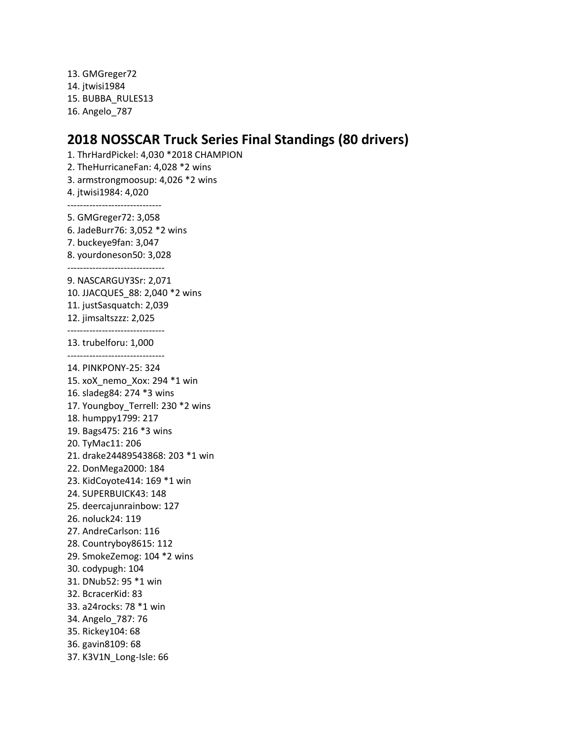13. GMGreger72 14. jtwisi1984 15. BUBBA\_RULES13 16. Angelo\_787

# **2018 NOSSCAR Truck Series Final Standings (80 drivers)**

1. ThrHardPickel: 4,030 \*2018 CHAMPION 2. TheHurricaneFan: 4,028 \*2 wins 3. armstrongmoosup: 4,026 \*2 wins 4. jtwisi1984: 4,020 ------------------------------ 5. GMGreger72: 3,058 6. JadeBurr76: 3,052 \*2 wins 7. buckeye9fan: 3,047 8. yourdoneson50: 3,028 ------------------------------- 9. NASCARGUY3Sr: 2,071 10. JJACQUES\_88: 2,040 \*2 wins 11. justSasquatch: 2,039 12. jimsaltszzz: 2,025 ------------------------------- 13. trubelforu: 1,000 ------------------------------- 14. PINKPONY-25: 324 15. xoX\_nemo\_Xox: 294 \*1 win 16. sladeg84: 274 \*3 wins 17. Youngboy\_Terrell: 230 \*2 wins 18. humppy1799: 217 19. Bags475: 216 \*3 wins 20. TyMac11: 206 21. drake24489543868: 203 \*1 win 22. DonMega2000: 184 23. KidCoyote414: 169 \*1 win 24. SUPERBUICK43: 148 25. deercajunrainbow: 127 26. noluck24: 119 27. AndreCarlson: 116 28. Countryboy8615: 112 29. SmokeZemog: 104 \*2 wins 30. codypugh: 104 31. DNub52: 95 \*1 win 32. BcracerKid: 83 33. a24rocks: 78 \*1 win 34. Angelo\_787: 76 35. Rickey104: 68 36. gavin8109: 68 37. K3V1N\_Long-Isle: 66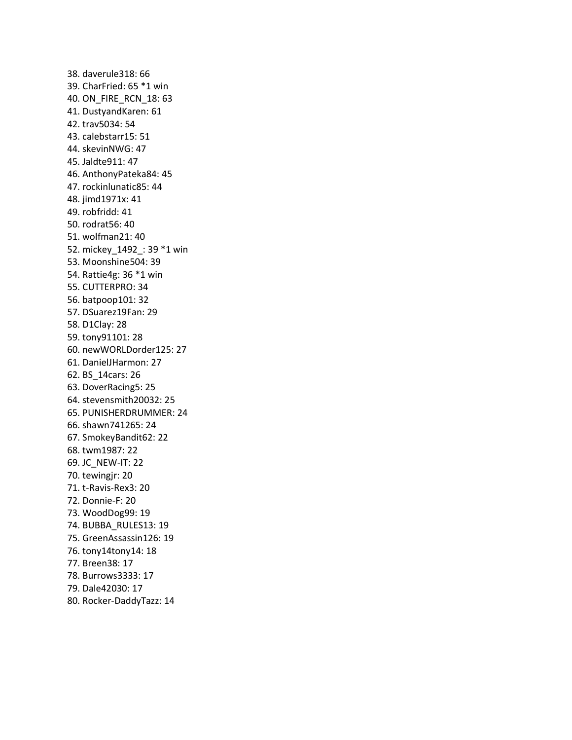38. daverule318: 66 39. CharFried: 65 \*1 win 40. ON\_FIRE\_RCN\_18: 63 41. DustyandKaren: 61 42. trav5034: 54 43. calebstarr15: 51 44. skevinNWG: 47 45. Jaldte911: 47 46. AnthonyPateka84: 45 47. rockinlunatic85: 44 48. jimd1971x: 41 49. robfridd: 41 50. rodrat56: 40 51. wolfman21: 40 52. mickey\_1492\_: 39 \*1 win 53. Moonshine504: 39 54. Rattie4g: 36 \*1 win 55. CUTTERPRO: 34 56. batpoop101: 32 57. DSuarez19Fan: 29 58. D1Clay: 28 59. tony91101: 28 60. newWORLDorder125: 27 61. DanielJHarmon: 27 62. BS\_14cars: 26 63. DoverRacing5: 25 64. stevensmith20032: 25 65. PUNISHERDRUMMER: 24 66. shawn741265: 24 67. SmokeyBandit62: 22 68. twm1987: 22 69. JC\_NEW-IT: 22 70. tewingjr: 20 71. t-Ravis-Rex3: 20 72. Donnie-F: 20 73. WoodDog99: 19 74. BUBBA\_RULES13: 19 75. GreenAssassin126: 19 76. tony14tony14: 18 77. Breen38: 17 78. Burrows3333: 17 79. Dale42030: 17 80. Rocker-DaddyTazz: 14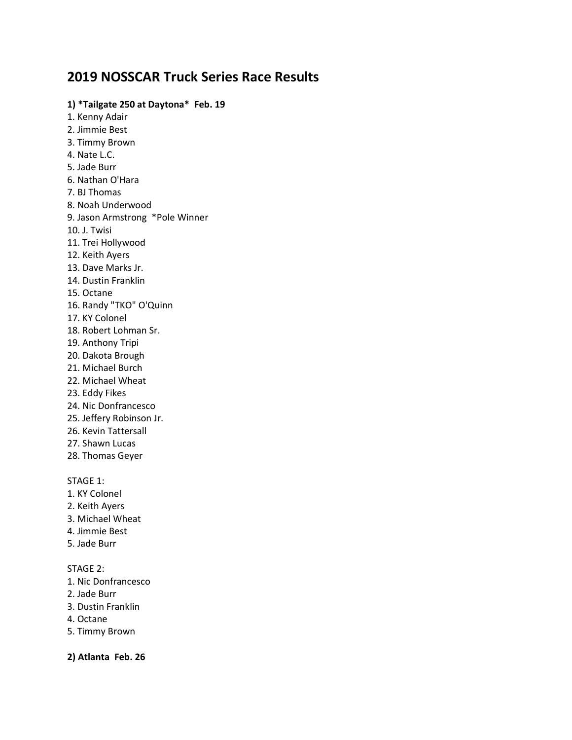# **2019 NOSSCAR Truck Series Race Results**

### **1) \*Tailgate 250 at Daytona\* Feb. 19**

1. Kenny Adair 2. Jimmie Best 3. Timmy Brown 4. Nate L.C. 5. Jade Burr 6. Nathan O'Hara 7. BJ Thomas 8. Noah Underwood 9. Jason Armstrong \*Pole Winner 10. J. Twisi 11. Trei Hollywood 12. Keith Ayers 13. Dave Marks Jr. 14. Dustin Franklin 15. Octane 16. Randy "TKO" O'Quinn 17. KY Colonel 18. Robert Lohman Sr. 19. Anthony Tripi 20. Dakota Brough 21. Michael Burch 22. Michael Wheat 23. Eddy Fikes 24. Nic Donfrancesco 25. Jeffery Robinson Jr. 26. Kevin Tattersall 27. Shawn Lucas 28. Thomas Geyer

#### STAGE 1:

- 1. KY Colonel
- 2. Keith Ayers
- 3. Michael Wheat
- 4. Jimmie Best
- 5. Jade Burr

### STAGE 2:

- 1. Nic Donfrancesco
- 2. Jade Burr
- 3. Dustin Franklin
- 4. Octane
- 5. Timmy Brown

**2) Atlanta Feb. 26**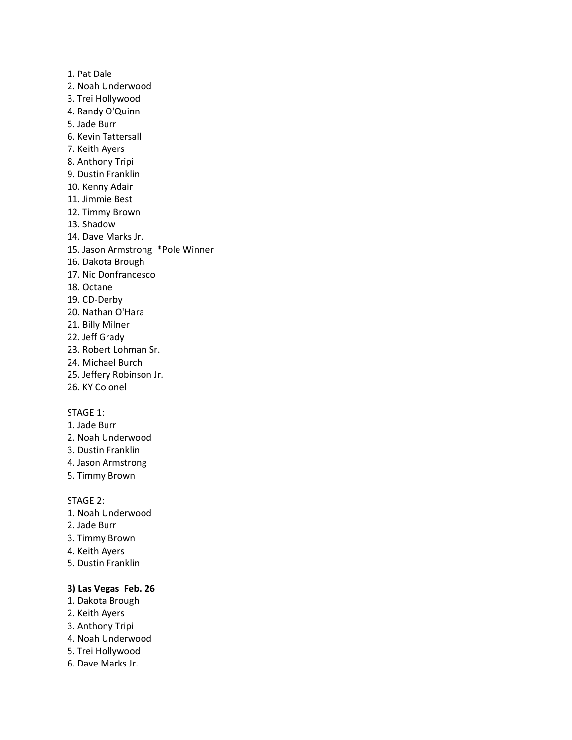1. Pat Dale 2. Noah Underwood 3. Trei Hollywood 4. Randy O'Quinn 5. Jade Burr 6. Kevin Tattersall 7. Keith Ayers 8. Anthony Tripi 9. Dustin Franklin 10. Kenny Adair 11. Jimmie Best 12. Timmy Brown 13. Shadow 14. Dave Marks Jr. 15. Jason Armstrong \*Pole Winner 16. Dakota Brough 17. Nic Donfrancesco 18. Octane 19. CD-Derby 20. Nathan O'Hara 21. Billy Milner 22. Jeff Grady 23. Robert Lohman Sr. 24. Michael Burch 25. Jeffery Robinson Jr.

26. KY Colonel

### STAGE 1:

- 1. Jade Burr
- 2. Noah Underwood
- 3. Dustin Franklin
- 4. Jason Armstrong
- 5. Timmy Brown

STAGE 2:

- 1. Noah Underwood
- 2. Jade Burr
- 3. Timmy Brown
- 4. Keith Ayers
- 5. Dustin Franklin

### **3) Las Vegas Feb. 26**

- 1. Dakota Brough
- 2. Keith Ayers
- 3. Anthony Tripi
- 4. Noah Underwood
- 5. Trei Hollywood
- 6. Dave Marks Jr.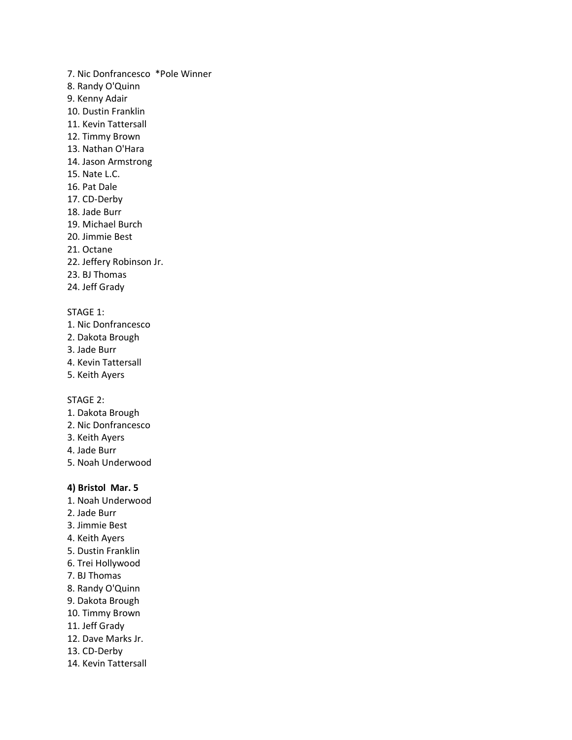- 7. Nic Donfrancesco \*Pole Winner
- 8. Randy O'Quinn
- 9. Kenny Adair
- 10. Dustin Franklin
- 11. Kevin Tattersall
- 12. Timmy Brown
- 13. Nathan O'Hara
- 14. Jason Armstrong
- 15. Nate L.C.
- 16. Pat Dale
- 17. CD-Derby
- 18. Jade Burr
- 19. Michael Burch
- 20. Jimmie Best
- 21. Octane
- 22. Jeffery Robinson Jr.
- 23. BJ Thomas
- 24. Jeff Grady

- 1. Nic Donfrancesco
- 2. Dakota Brough
- 3. Jade Burr
- 4. Kevin Tattersall
- 5. Keith Ayers

STAGE 2:

- 1. Dakota Brough
- 2. Nic Donfrancesco
- 3. Keith Ayers
- 4. Jade Burr
- 5. Noah Underwood

### **4) Bristol Mar. 5**

- 1. Noah Underwood
- 2. Jade Burr
- 3. Jimmie Best
- 4. Keith Ayers
- 5. Dustin Franklin
- 6. Trei Hollywood
- 7. BJ Thomas
- 8. Randy O'Quinn
- 9. Dakota Brough
- 10. Timmy Brown
- 11. Jeff Grady
- 12. Dave Marks Jr.
- 13. CD-Derby
- 14. Kevin Tattersall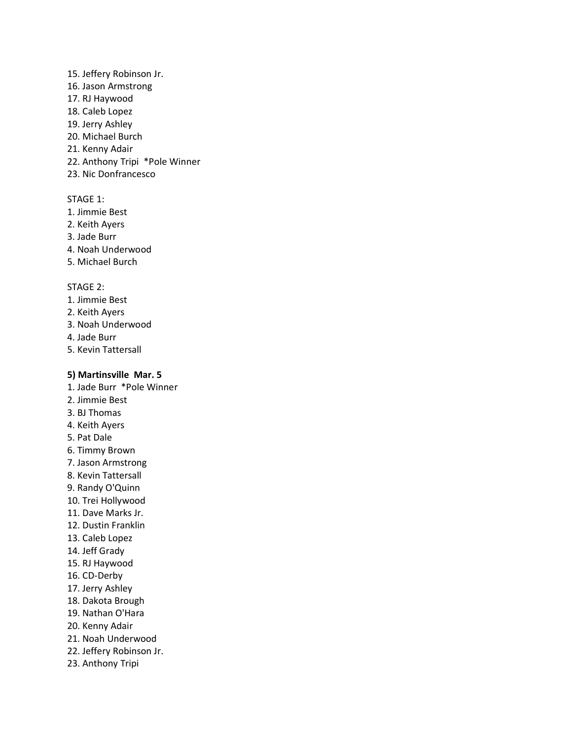#### 15. Jeffery Robinson Jr.

- 16. Jason Armstrong
- 17. RJ Haywood
- 18. Caleb Lopez
- 19. Jerry Ashley
- 20. Michael Burch
- 21. Kenny Adair
- 22. Anthony Tripi \*Pole Winner
- 23. Nic Donfrancesco

#### STAGE 1:

- 1. Jimmie Best
- 2. Keith Ayers
- 3. Jade Burr
- 4. Noah Underwood
- 5. Michael Burch

#### STAGE 2:

- 1. Jimmie Best
- 2. Keith Ayers
- 3. Noah Underwood
- 4. Jade Burr
- 5. Kevin Tattersall

### **5) Martinsville Mar. 5**

- 1. Jade Burr \*Pole Winner
- 2. Jimmie Best
- 3. BJ Thomas
- 4. Keith Ayers
- 5. Pat Dale
- 6. Timmy Brown
- 7. Jason Armstrong
- 8. Kevin Tattersall
- 9. Randy O'Quinn
- 10. Trei Hollywood
- 11. Dave Marks Jr.
- 12. Dustin Franklin
- 13. Caleb Lopez
- 14. Jeff Grady
- 15. RJ Haywood
- 16. CD-Derby
- 17. Jerry Ashley
- 18. Dakota Brough
- 19. Nathan O'Hara
- 20. Kenny Adair
- 21. Noah Underwood
- 22. Jeffery Robinson Jr.
- 23. Anthony Tripi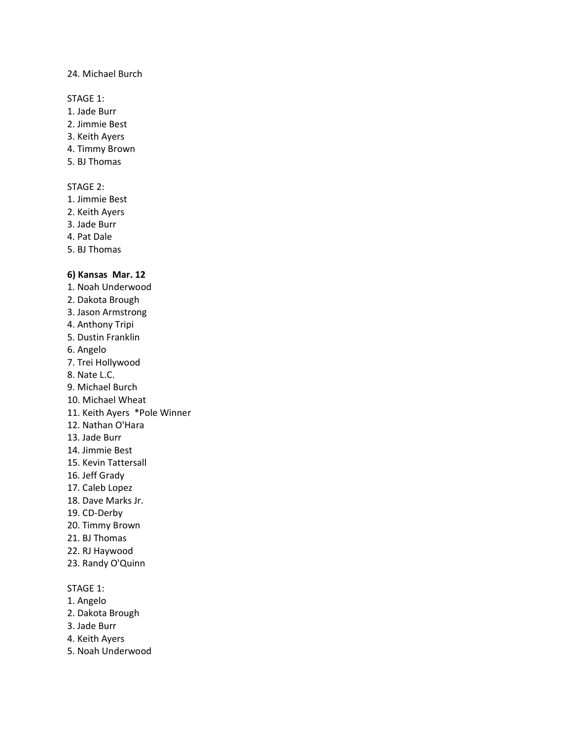#### 24. Michael Burch

STAGE 1:

- 1. Jade Burr
- 2. Jimmie Best
- 3. Keith Ayers
- 4. Timmy Brown
- 5. BJ Thomas

### STAGE 2:

- 1. Jimmie Best
- 2. Keith Ayers
- 3. Jade Burr
- 4. Pat Dale
- 5. BJ Thomas

### **6) Kansas Mar. 12**

- 1. Noah Underwood 2. Dakota Brough
- 3. Jason Armstrong
- 4. Anthony Tripi
- 5. Dustin Franklin
- 6. Angelo
- 7. Trei Hollywood
- 8. Nate L.C.
- 9. Michael Burch
- 10. Michael Wheat
- 11. Keith Ayers \*Pole Winner
- 12. Nathan O'Hara
- 13. Jade Burr
- 14. Jimmie Best
- 15. Kevin Tattersall
- 16. Jeff Grady
- 17. Caleb Lopez
- 18. Dave Marks Jr.
- 19. CD-Derby
- 20. Timmy Brown
- 21. BJ Thomas
- 22. RJ Haywood
- 23. Randy O'Quinn

### STAGE 1:

- 1. Angelo
- 2. Dakota Brough
- 3. Jade Burr
- 4. Keith Ayers
- 5. Noah Underwood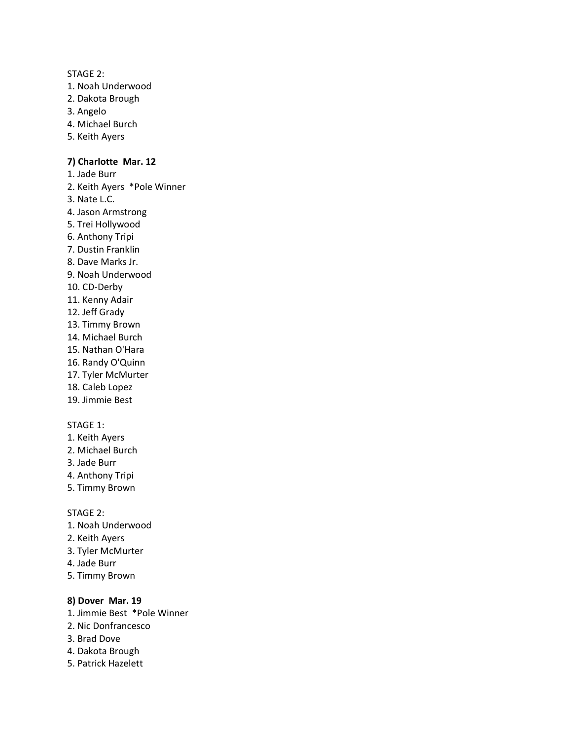#### STAGE 2:

- 1. Noah Underwood
- 2. Dakota Brough
- 3. Angelo
- 4. Michael Burch
- 5. Keith Ayers

### **7) Charlotte Mar. 12**

- 1. Jade Burr
- 2. Keith Ayers \*Pole Winner
- 3. Nate L.C.
- 4. Jason Armstrong
- 5. Trei Hollywood
- 6. Anthony Tripi
- 7. Dustin Franklin
- 8. Dave Marks Jr.
- 9. Noah Underwood
- 10. CD-Derby
- 11. Kenny Adair
- 12. Jeff Grady
- 13. Timmy Brown
- 14. Michael Burch
- 15. Nathan O'Hara
- 16. Randy O'Quinn
- 17. Tyler McMurter
- 18. Caleb Lopez
- 19. Jimmie Best

#### STAGE 1:

- 1. Keith Ayers
- 2. Michael Burch
- 3. Jade Burr
- 4. Anthony Tripi
- 5. Timmy Brown

STAGE 2:

- 1. Noah Underwood
- 2. Keith Ayers
- 3. Tyler McMurter
- 4. Jade Burr
- 5. Timmy Brown

### **8) Dover Mar. 19**

- 1. Jimmie Best \*Pole Winner
- 2. Nic Donfrancesco
- 3. Brad Dove
- 4. Dakota Brough
- 5. Patrick Hazelett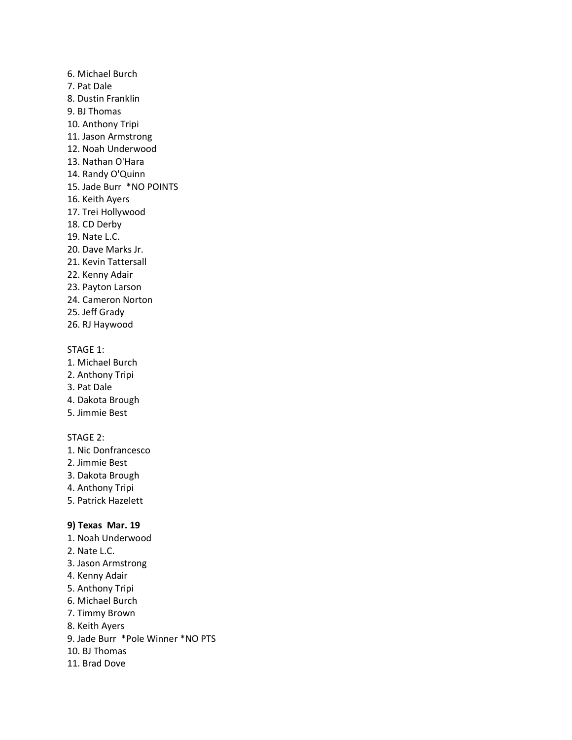6. Michael Burch 7. Pat Dale 8. Dustin Franklin 9. BJ Thomas 10. Anthony Tripi 11. Jason Armstrong 12. Noah Underwood 13. Nathan O'Hara 14. Randy O'Quinn 15. Jade Burr \*NO POINTS 16. Keith Ayers 17. Trei Hollywood 18. CD Derby 19. Nate L.C. 20. Dave Marks Jr. 21. Kevin Tattersall 22. Kenny Adair 23. Payton Larson

- 24. Cameron Norton
- 25. Jeff Grady
- 26. RJ Haywood

#### STAGE 1:

- 1. Michael Burch
- 2. Anthony Tripi
- 3. Pat Dale
- 4. Dakota Brough
- 5. Jimmie Best

### STAGE 2:

- 1. Nic Donfrancesco
- 2. Jimmie Best
- 3. Dakota Brough
- 4. Anthony Tripi
- 5. Patrick Hazelett

### **9) Texas Mar. 19**

- 1. Noah Underwood
- 2. Nate L.C.
- 3. Jason Armstrong
- 4. Kenny Adair
- 5. Anthony Tripi
- 6. Michael Burch
- 7. Timmy Brown
- 8. Keith Ayers
- 9. Jade Burr \*Pole Winner \*NO PTS
- 10. BJ Thomas
- 11. Brad Dove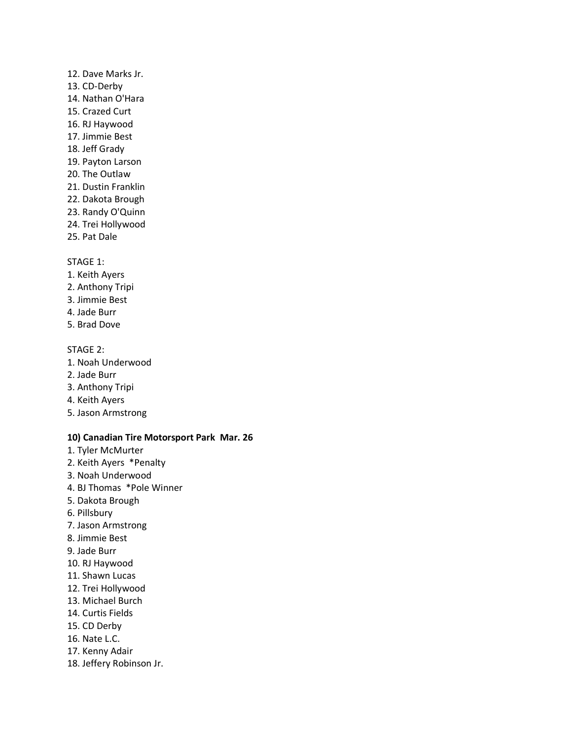### 12. Dave Marks Jr. 13. CD-Derby 14. Nathan O'Hara

- 15. Crazed Curt
- 16. RJ Haywood
- 17. Jimmie Best
- 18. Jeff Grady
- 19. Payton Larson
- 20. The Outlaw
- 21. Dustin Franklin
- 22. Dakota Brough
- 23. Randy O'Quinn
- 24. Trei Hollywood
- 25. Pat Dale

### STAGE 1:

- 1. Keith Ayers
- 2. Anthony Tripi
- 3. Jimmie Best
- 4. Jade Burr
- 5. Brad Dove

### STAGE 2:

- 1. Noah Underwood
- 2. Jade Burr
- 3. Anthony Tripi
- 4. Keith Ayers
- 5. Jason Armstrong

### **10) Canadian Tire Motorsport Park Mar. 26**

- 1. Tyler McMurter
- 2. Keith Ayers \*Penalty
- 3. Noah Underwood
- 4. BJ Thomas \*Pole Winner
- 5. Dakota Brough
- 6. Pillsbury
- 7. Jason Armstrong
- 8. Jimmie Best
- 9. Jade Burr
- 10. RJ Haywood
- 11. Shawn Lucas
- 12. Trei Hollywood
- 13. Michael Burch
- 14. Curtis Fields
- 15. CD Derby
- 16. Nate L.C.
- 17. Kenny Adair
- 18. Jeffery Robinson Jr.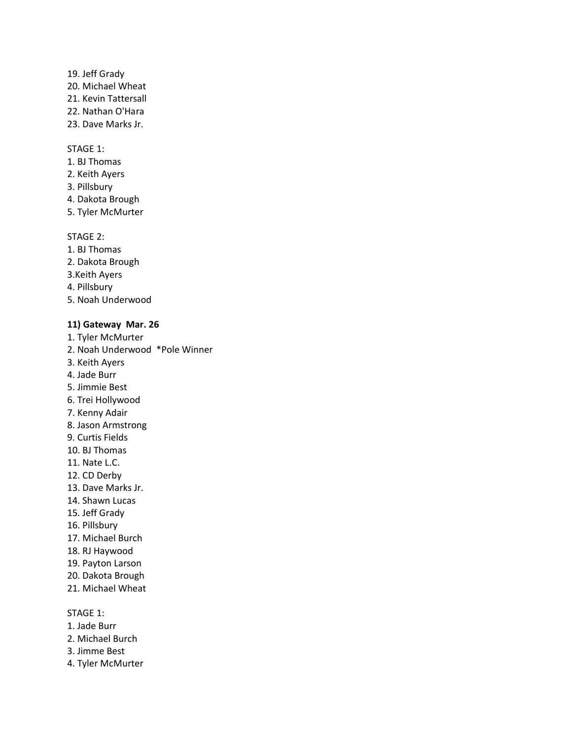- 19. Jeff Grady
- 20. Michael Wheat
- 21. Kevin Tattersall
- 22. Nathan O'Hara
- 23. Dave Marks Jr.

- 1. BJ Thomas
- 2. Keith Ayers
- 3. Pillsbury
- 4. Dakota Brough
- 5. Tyler McMurter

### STAGE 2:

- 1. BJ Thomas
- 2. Dakota Brough
- 3.Keith Ayers
- 4. Pillsbury
- 5. Noah Underwood

### **11) Gateway Mar. 26**

- 1. Tyler McMurter
- 2. Noah Underwood \*Pole Winner
- 3. Keith Ayers
- 4. Jade Burr
- 5. Jimmie Best
- 6. Trei Hollywood
- 7. Kenny Adair
- 8. Jason Armstrong
- 9. Curtis Fields
- 10. BJ Thomas
- 11. Nate L.C.
- 12. CD Derby
- 13. Dave Marks Jr.
- 14. Shawn Lucas
- 15. Jeff Grady
- 16. Pillsbury
- 17. Michael Burch
- 18. RJ Haywood
- 19. Payton Larson
- 20. Dakota Brough
- 21. Michael Wheat

### STAGE 1:

- 1. Jade Burr
- 2. Michael Burch
- 3. Jimme Best
- 4. Tyler McMurter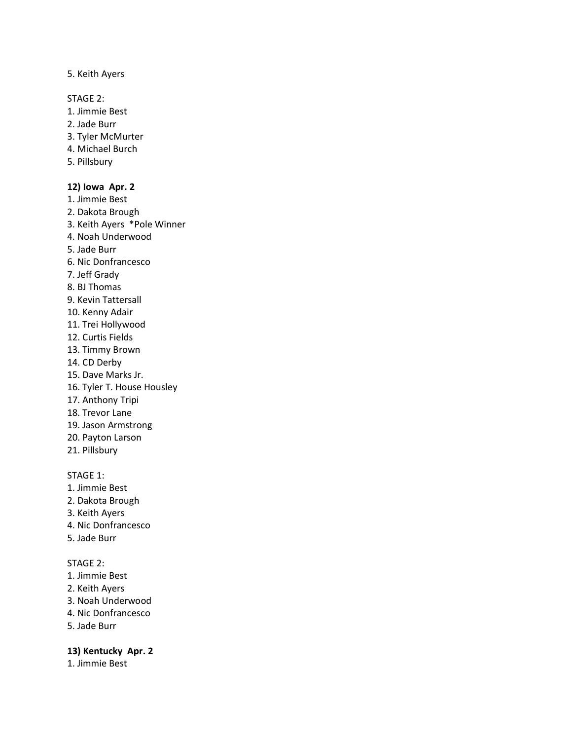#### 5. Keith Ayers

STAGE 2:

- 1. Jimmie Best
- 2. Jade Burr
- 3. Tyler McMurter
- 4. Michael Burch
- 5. Pillsbury

### **12) Iowa Apr. 2**

- 1. Jimmie Best
- 2. Dakota Brough
- 3. Keith Ayers \*Pole Winner
- 4. Noah Underwood
- 5. Jade Burr
- 6. Nic Donfrancesco
- 7. Jeff Grady
- 8. BJ Thomas
- 9. Kevin Tattersall
- 10. Kenny Adair
- 11. Trei Hollywood
- 12. Curtis Fields
- 13. Timmy Brown
- 14. CD Derby
- 15. Dave Marks Jr.
- 16. Tyler T. House Housley
- 17. Anthony Tripi
- 18. Trevor Lane
- 19. Jason Armstrong
- 20. Payton Larson
- 21. Pillsbury

### STAGE 1:

- 1. Jimmie Best
- 2. Dakota Brough
- 3. Keith Ayers
- 4. Nic Donfrancesco
- 5. Jade Burr

### STAGE 2:

- 1. Jimmie Best
- 2. Keith Ayers
- 3. Noah Underwood
- 4. Nic Donfrancesco
- 5. Jade Burr

#### **13) Kentucky Apr. 2**

1. Jimmie Best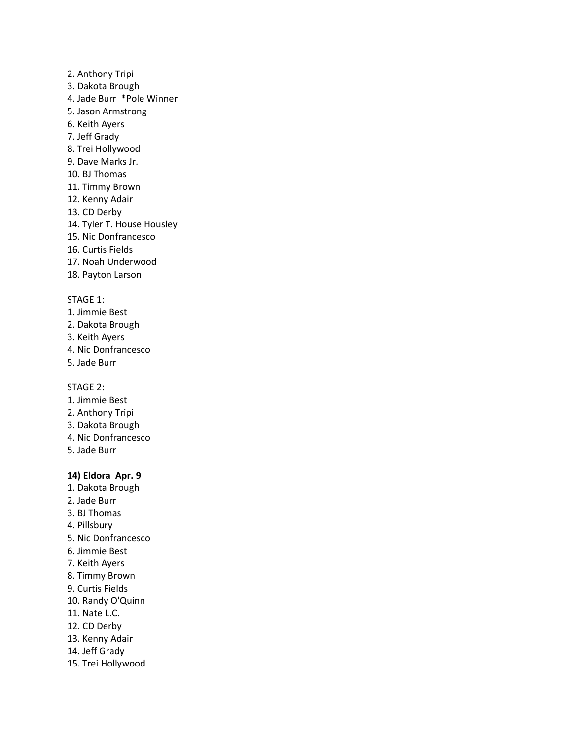- 2. Anthony Tripi
- 3. Dakota Brough
- 4. Jade Burr \*Pole Winner
- 5. Jason Armstrong
- 6. Keith Ayers
- 7. Jeff Grady
- 8. Trei Hollywood
- 9. Dave Marks Jr.
- 10. BJ Thomas
- 11. Timmy Brown
- 12. Kenny Adair
- 13. CD Derby
- 14. Tyler T. House Housley
- 15. Nic Donfrancesco
- 16. Curtis Fields
- 17. Noah Underwood
- 18. Payton Larson

- 1. Jimmie Best
- 2. Dakota Brough
- 3. Keith Ayers
- 4. Nic Donfrancesco
- 5. Jade Burr

STAGE 2:

- 1. Jimmie Best
- 2. Anthony Tripi
- 3. Dakota Brough
- 4. Nic Donfrancesco
- 5. Jade Burr

### **14) Eldora Apr. 9**

- 1. Dakota Brough
- 2. Jade Burr
- 3. BJ Thomas
- 4. Pillsbury
- 5. Nic Donfrancesco
- 6. Jimmie Best
- 7. Keith Ayers
- 8. Timmy Brown
- 9. Curtis Fields
- 10. Randy O'Quinn
- 11. Nate L.C.
- 12. CD Derby
- 13. Kenny Adair
- 14. Jeff Grady
- 15. Trei Hollywood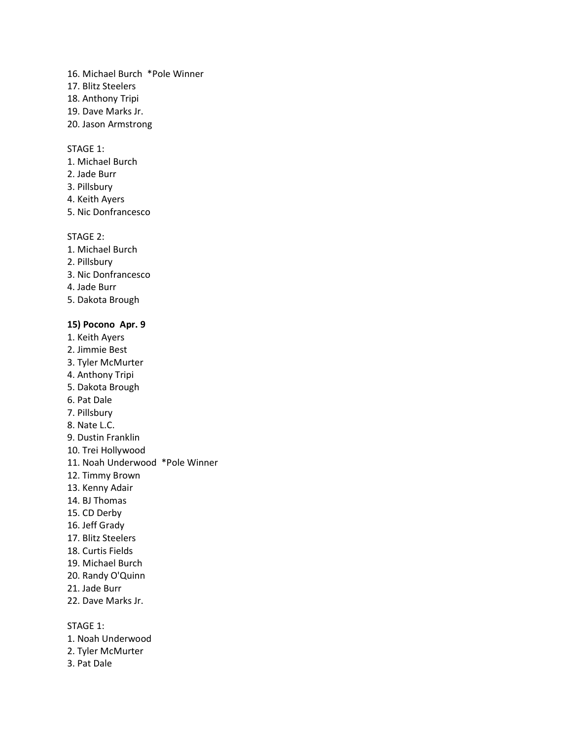- 16. Michael Burch \*Pole Winner
- 17. Blitz Steelers
- 18. Anthony Tripi
- 19. Dave Marks Jr.
- 20. Jason Armstrong

- 1. Michael Burch
- 2. Jade Burr
- 3. Pillsbury
- 4. Keith Ayers
- 5. Nic Donfrancesco

#### STAGE 2:

- 1. Michael Burch
- 2. Pillsbury
- 3. Nic Donfrancesco
- 4. Jade Burr
- 5. Dakota Brough

### **15) Pocono Apr. 9**

- 1. Keith Ayers
- 2. Jimmie Best
- 3. Tyler McMurter
- 4. Anthony Tripi
- 5. Dakota Brough
- 6. Pat Dale
- 7. Pillsbury
- 8. Nate L.C.
- 9. Dustin Franklin
- 10. Trei Hollywood
- 11. Noah Underwood \*Pole Winner
- 12. Timmy Brown
- 13. Kenny Adair
- 14. BJ Thomas
- 15. CD Derby
- 16. Jeff Grady
- 17. Blitz Steelers
- 18. Curtis Fields
- 19. Michael Burch
- 20. Randy O'Quinn
- 21. Jade Burr
- 22. Dave Marks Jr.

STAGE 1:

- 1. Noah Underwood
- 2. Tyler McMurter
- 3. Pat Dale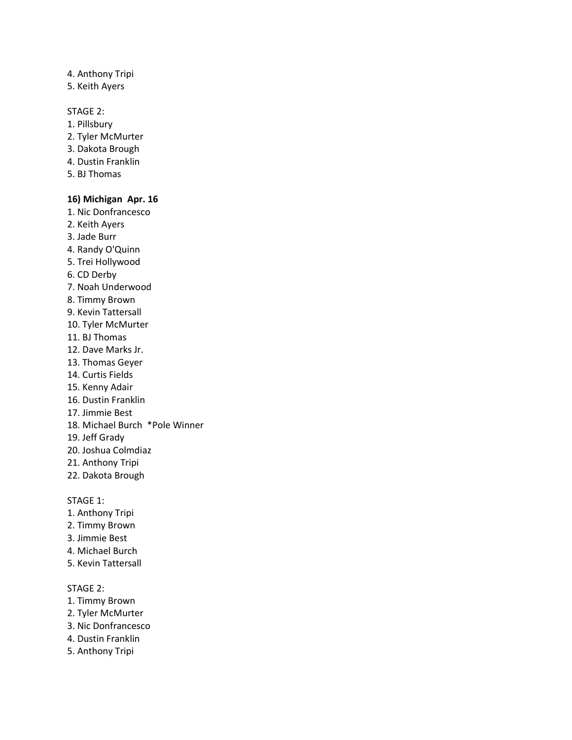### 4. Anthony Tripi

5. Keith Ayers

### STAGE 2:

- 1. Pillsbury
- 2. Tyler McMurter
- 3. Dakota Brough
- 4. Dustin Franklin
- 5. BJ Thomas

### **16) Michigan Apr. 16**

- 1. Nic Donfrancesco
- 2. Keith Ayers
- 3. Jade Burr
- 4. Randy O'Quinn
- 5. Trei Hollywood
- 6. CD Derby
- 7. Noah Underwood
- 8. Timmy Brown
- 9. Kevin Tattersall
- 10. Tyler McMurter
- 11. BJ Thomas
- 12. Dave Marks Jr.
- 13. Thomas Geyer
- 14. Curtis Fields
- 15. Kenny Adair
- 16. Dustin Franklin
- 17. Jimmie Best
- 18. Michael Burch \*Pole Winner
- 19. Jeff Grady
- 20. Joshua Colmdiaz
- 21. Anthony Tripi
- 22. Dakota Brough

#### STAGE 1:

- 1. Anthony Tripi
- 2. Timmy Brown
- 3. Jimmie Best
- 4. Michael Burch
- 5. Kevin Tattersall

### STAGE 2:

- 1. Timmy Brown
- 2. Tyler McMurter
- 3. Nic Donfrancesco
- 4. Dustin Franklin
- 5. Anthony Tripi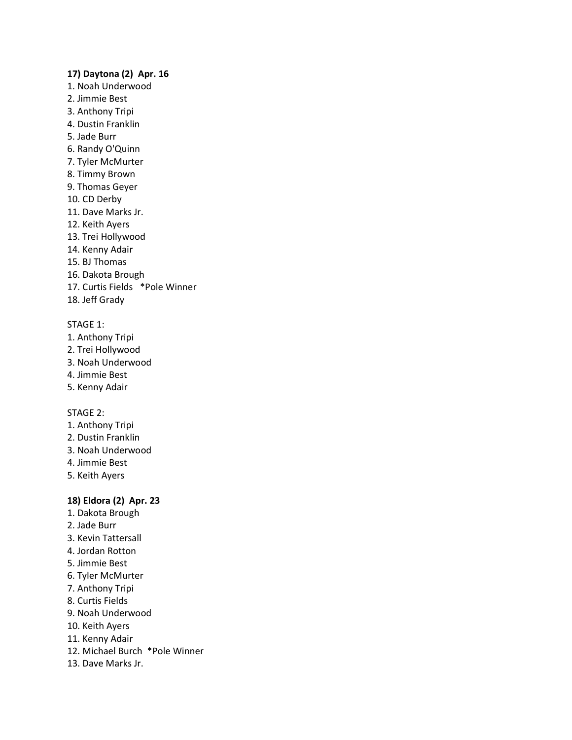#### **17) Daytona (2) Apr. 16**

- 1. Noah Underwood
- 2. Jimmie Best
- 3. Anthony Tripi
- 4. Dustin Franklin
- 5. Jade Burr
- 6. Randy O'Quinn
- 7. Tyler McMurter
- 8. Timmy Brown
- 9. Thomas Geyer
- 10. CD Derby
- 11. Dave Marks Jr.
- 12. Keith Ayers
- 13. Trei Hollywood
- 14. Kenny Adair
- 15. BJ Thomas
- 16. Dakota Brough
- 17. Curtis Fields \*Pole Winner
- 18. Jeff Grady

#### STAGE 1:

- 1. Anthony Tripi
- 2. Trei Hollywood
- 3. Noah Underwood
- 4. Jimmie Best
- 5. Kenny Adair

#### STAGE 2:

- 1. Anthony Tripi
- 2. Dustin Franklin
- 3. Noah Underwood
- 4. Jimmie Best
- 5. Keith Ayers

#### **18) Eldora (2) Apr. 23**

- 1. Dakota Brough
- 2. Jade Burr
- 3. Kevin Tattersall
- 4. Jordan Rotton
- 5. Jimmie Best
- 6. Tyler McMurter
- 7. Anthony Tripi
- 8. Curtis Fields
- 9. Noah Underwood
- 10. Keith Ayers
- 11. Kenny Adair
- 12. Michael Burch \*Pole Winner
- 13. Dave Marks Jr.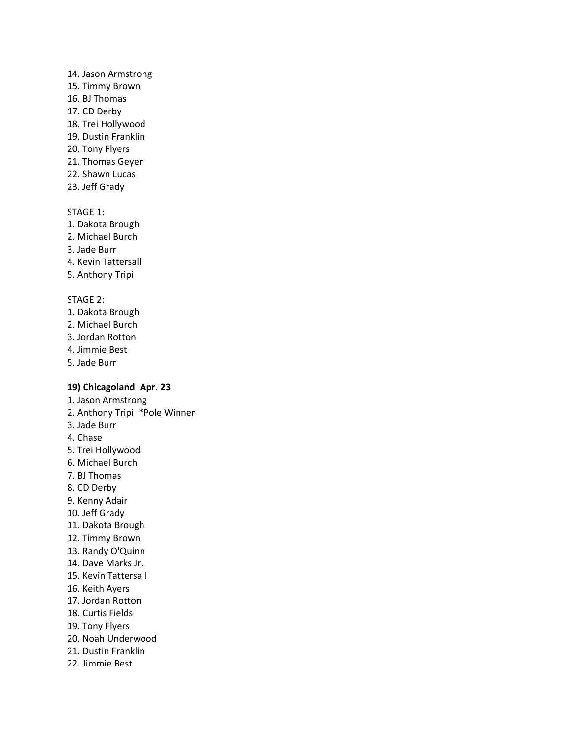#### 14. Jason Armstrong

- 15. Timmy Brown
- 16. BJ Thomas
- 17. CD Derby
- 18. Trei Hollywood
- 19. Dustin Franklin
- 20. Tony Flyers
- 21. Thomas Geyer
- 22. Shawn Lucas
- 23. Jeff Grady

### STAGE 1:

- 1. Dakota Brough
- 2. Michael Burch
- 3. Jade Burr
- 4. Kevin Tattersall
- 5. Anthony Tripi

### STAGE 2:

- 1. Dakota Brough
- 2. Michael Burch
- 3. Jordan Rotton
- 4. Jimmie Best
- 5. Jade Burr

### **19) Chicagoland Apr. 23**

- 1. Jason Armstrong
- 2. Anthony Tripi \*Pole Winner
- 3. Jade Burr
- 4. Chase
- 5. Trei Hollywood
- 6. Michael Burch
- 7. BJ Thomas
- 8. CD Derby
- 9. Kenny Adair
- 10. Jeff Grady
- 11. Dakota Brough
- 12. Timmy Brown
- 13. Randy O'Quinn
- 14. Dave Marks Jr.
- 15. Kevin Tattersall
- 16. Keith Ayers
- 17. Jordan Rotton
- 18. Curtis Fields
- 19. Tony Flyers
- 20. Noah Underwood
- 21. Dustin Franklin
- 22. Jimmie Best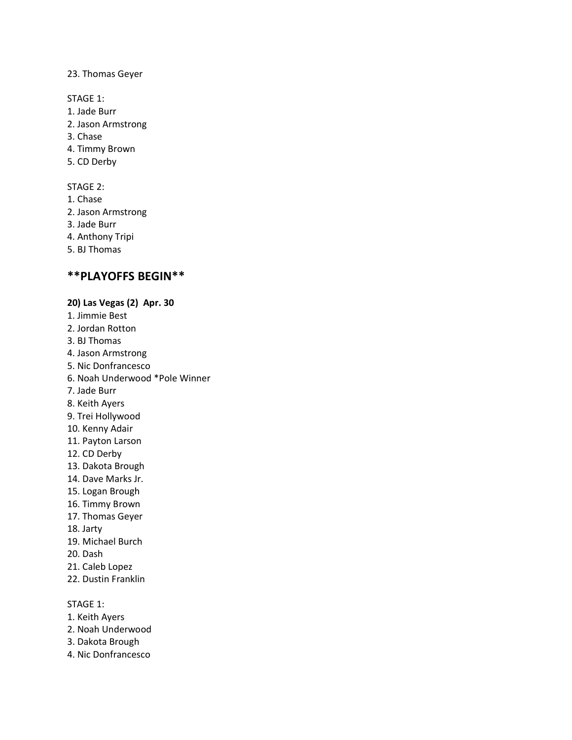#### 23. Thomas Geyer

STAGE 1:

- 1. Jade Burr
- 2. Jason Armstrong
- 3. Chase
- 4. Timmy Brown
- 5. CD Derby

### STAGE 2:

- 1. Chase
- 2. Jason Armstrong
- 3. Jade Burr
- 4. Anthony Tripi
- 5. BJ Thomas

### **\*\*PLAYOFFS BEGIN\*\***

### **20) Las Vegas (2) Apr. 30**

- 1. Jimmie Best
- 2. Jordan Rotton
- 3. BJ Thomas
- 4. Jason Armstrong
- 5. Nic Donfrancesco
- 6. Noah Underwood \*Pole Winner
- 7. Jade Burr
- 8. Keith Ayers
- 9. Trei Hollywood
- 10. Kenny Adair
- 11. Payton Larson
- 12. CD Derby
- 13. Dakota Brough
- 14. Dave Marks Jr.
- 15. Logan Brough
- 16. Timmy Brown
- 17. Thomas Geyer
- 18. Jarty
- 19. Michael Burch
- 20. Dash
- 21. Caleb Lopez
- 22. Dustin Franklin

### STAGE 1:

- 1. Keith Ayers
- 2. Noah Underwood
- 3. Dakota Brough
- 4. Nic Donfrancesco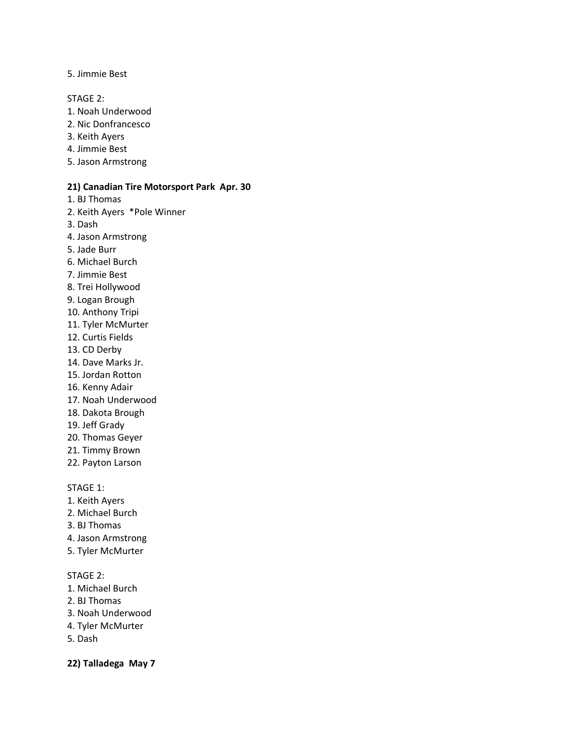5. Jimmie Best

STAGE 2:

- 1. Noah Underwood
- 2. Nic Donfrancesco
- 3. Keith Ayers
- 4. Jimmie Best
- 5. Jason Armstrong

### **21) Canadian Tire Motorsport Park Apr. 30**

1. BJ Thomas

2. Keith Ayers \*Pole Winner

3. Dash

- 4. Jason Armstrong
- 5. Jade Burr
- 6. Michael Burch
- 7. Jimmie Best
- 8. Trei Hollywood
- 9. Logan Brough
- 10. Anthony Tripi
- 11. Tyler McMurter
- 12. Curtis Fields
- 13. CD Derby
- 14. Dave Marks Jr.
- 15. Jordan Rotton
- 16. Kenny Adair
- 17. Noah Underwood
- 18. Dakota Brough
- 19. Jeff Grady
- 20. Thomas Geyer
- 21. Timmy Brown
- 22. Payton Larson

STAGE 1:

- 1. Keith Ayers
- 2. Michael Burch
- 3. BJ Thomas
- 4. Jason Armstrong
- 5. Tyler McMurter

### STAGE 2:

- 1. Michael Burch
- 2. BJ Thomas
- 3. Noah Underwood
- 4. Tyler McMurter
- 5. Dash

**22) Talladega May 7**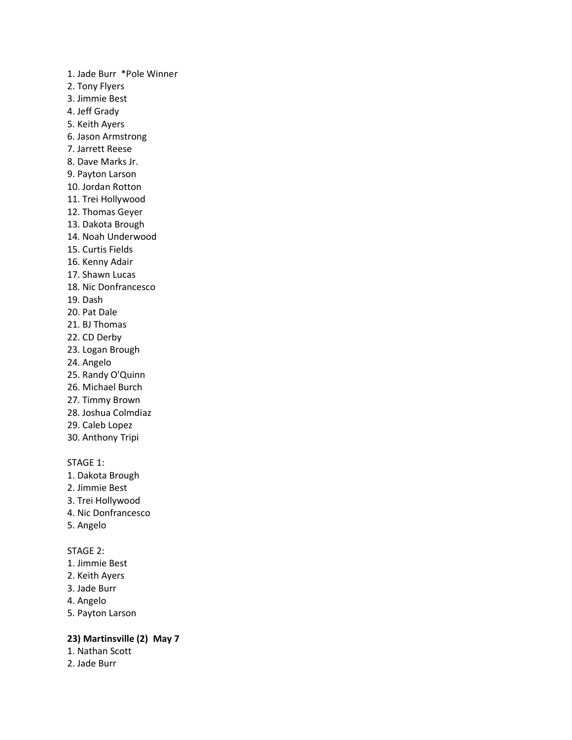1. Jade Burr \*Pole Winner 2. Tony Flyers 3. Jimmie Best 4. Jeff Grady 5. Keith Ayers 6. Jason Armstrong 7. Jarrett Reese 8. Dave Marks Jr. 9. Payton Larson 10. Jordan Rotton 11. Trei Hollywood 12. Thomas Geyer 13. Dakota Brough 14. Noah Underwood 15. Curtis Fields 16. Kenny Adair 17. Shawn Lucas 18. Nic Donfrancesco 19. Dash 20. Pat Dale 21. BJ Thomas 22. CD Derby 23. Logan Brough 24. Angelo 25. Randy O'Quinn 26. Michael Burch 27. Timmy Brown

- 28. Joshua Colmdiaz
- 29. Caleb Lopez
- 30. Anthony Tripi

### STAGE 1:

- 1. Dakota Brough
- 2. Jimmie Best
- 3. Trei Hollywood
- 4. Nic Donfrancesco
- 5. Angelo

### STAGE 2:

- 1. Jimmie Best
- 2. Keith Ayers
- 3. Jade Burr
- 4. Angelo
- 5. Payton Larson

### **23) Martinsville (2) May 7**

- 1. Nathan Scott
- 2. Jade Burr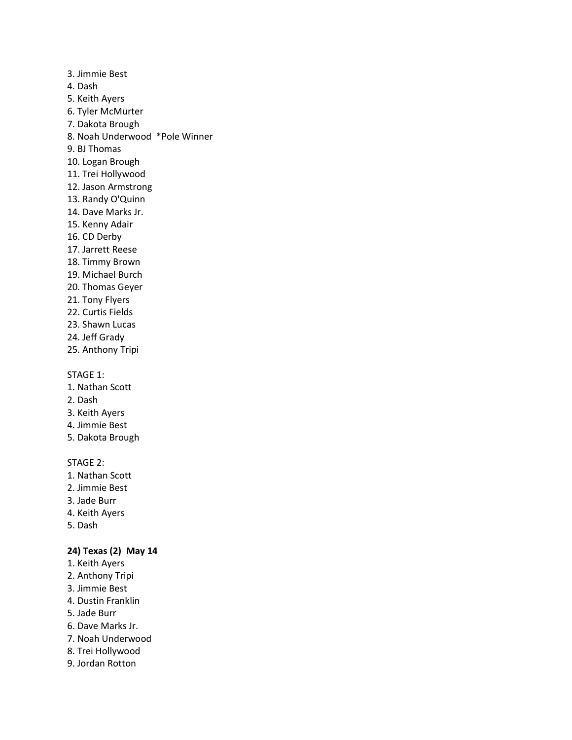- 3. Jimmie Best
- 4. Dash
- 5. Keith Ayers
- 6. Tyler McMurter
- 7. Dakota Brough
- 8. Noah Underwood \*Pole Winner
- 9. BJ Thomas
- 10. Logan Brough
- 11. Trei Hollywood
- 12. Jason Armstrong
- 13. Randy O'Quinn
- 14. Dave Marks Jr.
- 15. Kenny Adair
- 16. CD Derby
- 17. Jarrett Reese
- 18. Timmy Brown
- 19. Michael Burch
- 20. Thomas Geyer
- 21. Tony Flyers
- 22. Curtis Fields
- 23. Shawn Lucas
- 24. Jeff Grady
- 25. Anthony Tripi

- 1. Nathan Scott
- 2. Dash
- 3. Keith Ayers
- 4. Jimmie Best
- 5. Dakota Brough

### STAGE 2:

- 1. Nathan Scott
- 2. Jimmie Best
- 3. Jade Burr
- 4. Keith Ayers
- 5. Dash

### **24) Texas (2) May 14**

- 1. Keith Ayers
- 2. Anthony Tripi
- 3. Jimmie Best
- 4. Dustin Franklin
- 5. Jade Burr
- 6. Dave Marks Jr.
- 7. Noah Underwood
- 8. Trei Hollywood
- 9. Jordan Rotton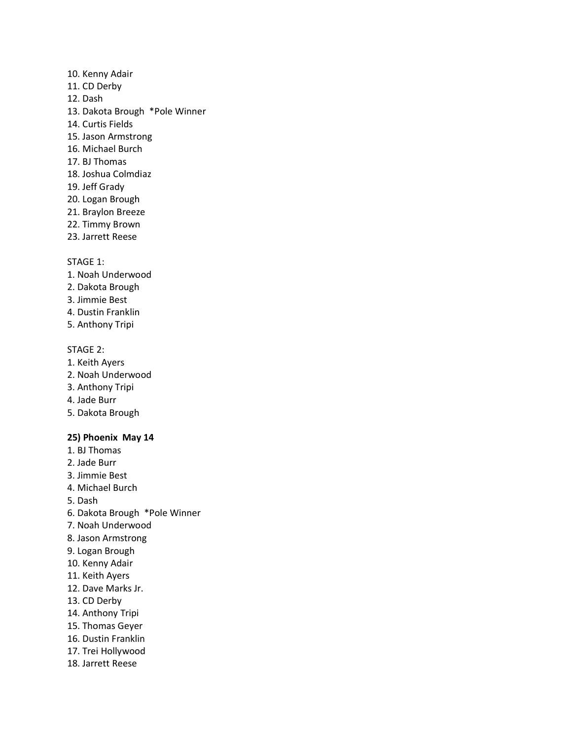- 10. Kenny Adair
- 11. CD Derby
- 12. Dash
- 13. Dakota Brough \*Pole Winner
- 14. Curtis Fields
- 15. Jason Armstrong
- 16. Michael Burch
- 17. BJ Thomas
- 18. Joshua Colmdiaz
- 19. Jeff Grady
- 20. Logan Brough
- 21. Braylon Breeze
- 22. Timmy Brown
- 23. Jarrett Reese

- 1. Noah Underwood
- 2. Dakota Brough
- 3. Jimmie Best
- 4. Dustin Franklin
- 5. Anthony Tripi

### STAGE 2:

- 1. Keith Ayers
- 2. Noah Underwood
- 3. Anthony Tripi
- 4. Jade Burr
- 5. Dakota Brough

### **25) Phoenix May 14**

- 1. BJ Thomas
- 2. Jade Burr
- 3. Jimmie Best
- 4. Michael Burch
- 5. Dash
- 6. Dakota Brough \*Pole Winner
- 7. Noah Underwood
- 8. Jason Armstrong
- 9. Logan Brough
- 10. Kenny Adair
- 11. Keith Ayers
- 12. Dave Marks Jr.
- 13. CD Derby
- 14. Anthony Tripi
- 15. Thomas Geyer
- 16. Dustin Franklin
- 17. Trei Hollywood
- 18. Jarrett Reese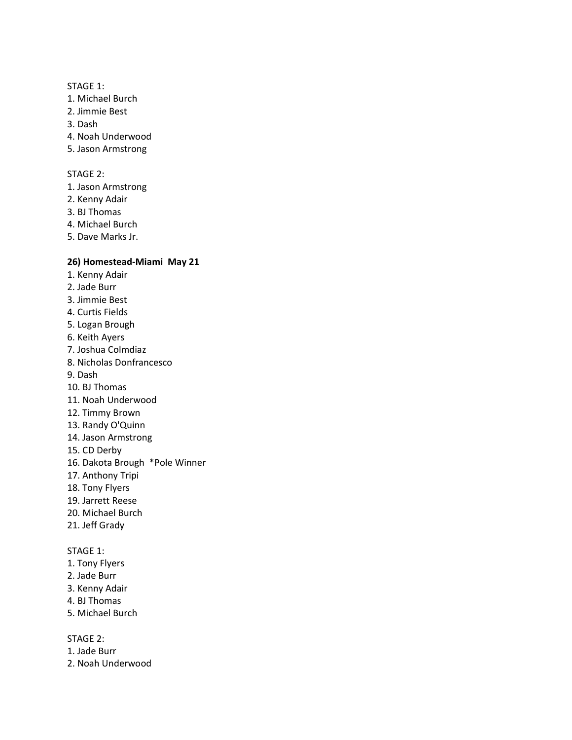- 1. Michael Burch
- 2. Jimmie Best
- 3. Dash
- 4. Noah Underwood
- 5. Jason Armstrong

#### STAGE 2:

- 1. Jason Armstrong
- 2. Kenny Adair
- 3. BJ Thomas
- 4. Michael Burch
- 5. Dave Marks Jr.

### **26) Homestead-Miami May 21**

- 1. Kenny Adair
- 2. Jade Burr
- 3. Jimmie Best
- 4. Curtis Fields
- 5. Logan Brough
- 6. Keith Ayers
- 7. Joshua Colmdiaz
- 8. Nicholas Donfrancesco
- 9. Dash
- 10. BJ Thomas
- 11. Noah Underwood
- 12. Timmy Brown
- 13. Randy O'Quinn
- 14. Jason Armstrong
- 15. CD Derby
- 16. Dakota Brough \*Pole Winner
- 17. Anthony Tripi
- 18. Tony Flyers
- 19. Jarrett Reese
- 20. Michael Burch
- 21. Jeff Grady

### STAGE 1:

- 1. Tony Flyers
- 2. Jade Burr
- 3. Kenny Adair
- 4. BJ Thomas
- 5. Michael Burch

STAGE 2:

- 1. Jade Burr
- 2. Noah Underwood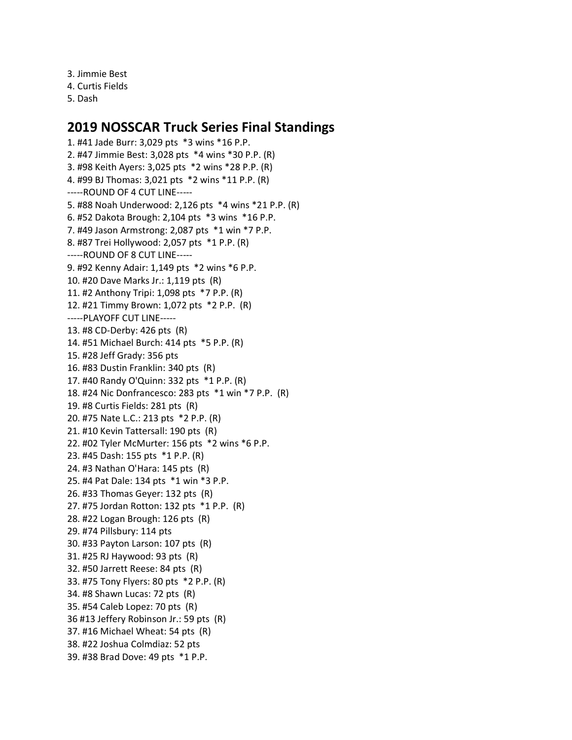3. Jimmie Best 4. Curtis Fields

5. Dash

# **2019 NOSSCAR Truck Series Final Standings**

1. #41 Jade Burr: 3,029 pts \*3 wins \*16 P.P. 2. #47 Jimmie Best: 3,028 pts \*4 wins \*30 P.P. (R) 3. #98 Keith Ayers: 3,025 pts \*2 wins \*28 P.P. (R) 4. #99 BJ Thomas: 3,021 pts \*2 wins \*11 P.P. (R) -----ROUND OF 4 CUT LINE----- 5. #88 Noah Underwood: 2,126 pts \*4 wins \*21 P.P. (R) 6. #52 Dakota Brough: 2,104 pts \*3 wins \*16 P.P. 7. #49 Jason Armstrong: 2,087 pts \*1 win \*7 P.P. 8. #87 Trei Hollywood: 2,057 pts \*1 P.P. (R) -----ROUND OF 8 CUT LINE----- 9. #92 Kenny Adair: 1,149 pts \*2 wins \*6 P.P. 10. #20 Dave Marks Jr.: 1,119 pts (R) 11. #2 Anthony Tripi: 1,098 pts \*7 P.P. (R) 12. #21 Timmy Brown: 1,072 pts \*2 P.P. (R) -----PLAYOFF CUT LINE----- 13. #8 CD-Derby: 426 pts (R) 14. #51 Michael Burch: 414 pts \*5 P.P. (R) 15. #28 Jeff Grady: 356 pts 16. #83 Dustin Franklin: 340 pts (R) 17. #40 Randy O'Quinn: 332 pts \*1 P.P. (R) 18. #24 Nic Donfrancesco: 283 pts \*1 win \*7 P.P. (R) 19. #8 Curtis Fields: 281 pts (R) 20. #75 Nate L.C.: 213 pts \*2 P.P. (R) 21. #10 Kevin Tattersall: 190 pts (R) 22. #02 Tyler McMurter: 156 pts \*2 wins \*6 P.P. 23. #45 Dash: 155 pts \*1 P.P. (R) 24. #3 Nathan O'Hara: 145 pts (R) 25. #4 Pat Dale: 134 pts \*1 win \*3 P.P. 26. #33 Thomas Geyer: 132 pts (R) 27. #75 Jordan Rotton: 132 pts \*1 P.P. (R) 28. #22 Logan Brough: 126 pts (R) 29. #74 Pillsbury: 114 pts 30. #33 Payton Larson: 107 pts (R) 31. #25 RJ Haywood: 93 pts (R) 32. #50 Jarrett Reese: 84 pts (R) 33. #75 Tony Flyers: 80 pts \*2 P.P. (R) 34. #8 Shawn Lucas: 72 pts (R) 35. #54 Caleb Lopez: 70 pts (R) 36 #13 Jeffery Robinson Jr.: 59 pts (R) 37. #16 Michael Wheat: 54 pts (R) 38. #22 Joshua Colmdiaz: 52 pts 39. #38 Brad Dove: 49 pts \*1 P.P.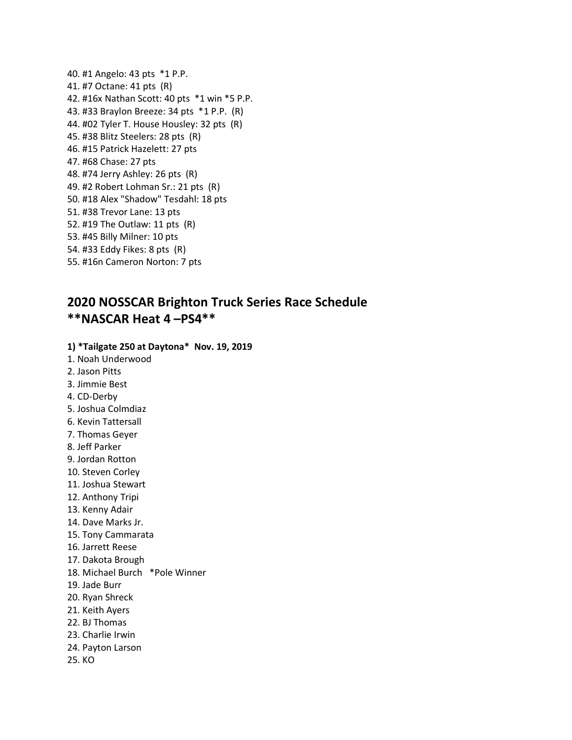40. #1 Angelo: 43 pts \*1 P.P. 41. #7 Octane: 41 pts (R) 42. #16x Nathan Scott: 40 pts \*1 win \*5 P.P. 43. #33 Braylon Breeze: 34 pts \*1 P.P. (R) 44. #02 Tyler T. House Housley: 32 pts (R) 45. #38 Blitz Steelers: 28 pts (R) 46. #15 Patrick Hazelett: 27 pts 47. #68 Chase: 27 pts 48. #74 Jerry Ashley: 26 pts (R) 49. #2 Robert Lohman Sr.: 21 pts (R) 50. #18 Alex "Shadow" Tesdahl: 18 pts 51. #38 Trevor Lane: 13 pts 52. #19 The Outlaw: 11 pts (R) 53. #45 Billy Milner: 10 pts 54. #33 Eddy Fikes: 8 pts (R) 55. #16n Cameron Norton: 7 pts

# **2020 NOSSCAR Brighton Truck Series Race Schedule \*\*NASCAR Heat 4 –PS4\*\***

#### **1) \*Tailgate 250 at Daytona\* Nov. 19, 2019**

- 1. Noah Underwood
- 2. Jason Pitts
- 3. Jimmie Best
- 4. CD-Derby
- 5. Joshua Colmdiaz
- 6. Kevin Tattersall
- 7. Thomas Geyer
- 8. Jeff Parker
- 9. Jordan Rotton
- 10. Steven Corley
- 11. Joshua Stewart
- 12. Anthony Tripi
- 13. Kenny Adair
- 14. Dave Marks Jr.
- 15. Tony Cammarata
- 16. Jarrett Reese
- 17. Dakota Brough
- 18. Michael Burch \*Pole Winner
- 19. Jade Burr
- 20. Ryan Shreck
- 21. Keith Ayers
- 22. BJ Thomas
- 23. Charlie Irwin
- 24. Payton Larson
- 25. KO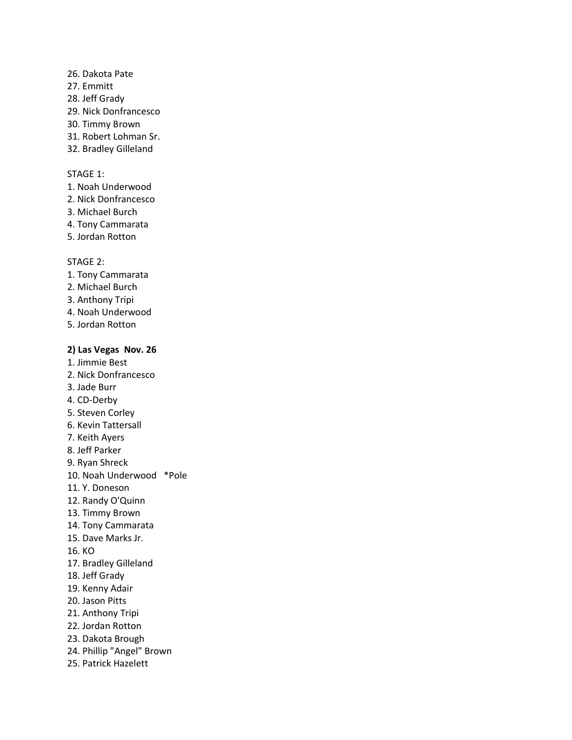- 26. Dakota Pate
- 27. Emmitt
- 28. Jeff Grady
- 29. Nick Donfrancesco
- 30. Timmy Brown
- 31. Robert Lohman Sr.
- 32. Bradley Gilleland

- 1. Noah Underwood
- 2. Nick Donfrancesco
- 3. Michael Burch
- 4. Tony Cammarata
- 5. Jordan Rotton

#### STAGE 2:

- 1. Tony Cammarata
- 2. Michael Burch
- 3. Anthony Tripi
- 4. Noah Underwood
- 5. Jordan Rotton

#### **2) Las Vegas Nov. 26**

- 1. Jimmie Best 2. Nick Donfrancesco
- 3. Jade Burr
- 4. CD-Derby
- 5. Steven Corley
- 6. Kevin Tattersall
- 7. Keith Ayers
- 8. Jeff Parker
- 9. Ryan Shreck
- 10. Noah Underwood \*Pole
- 11. Y. Doneson
- 12. Randy O'Quinn
- 13. Timmy Brown
- 14. Tony Cammarata
- 15. Dave Marks Jr.
- 16. KO
- 17. Bradley Gilleland
- 18. Jeff Grady
- 19. Kenny Adair
- 20. Jason Pitts
- 21. Anthony Tripi
- 22. Jordan Rotton
- 23. Dakota Brough
- 24. Phillip "Angel" Brown
- 25. Patrick Hazelett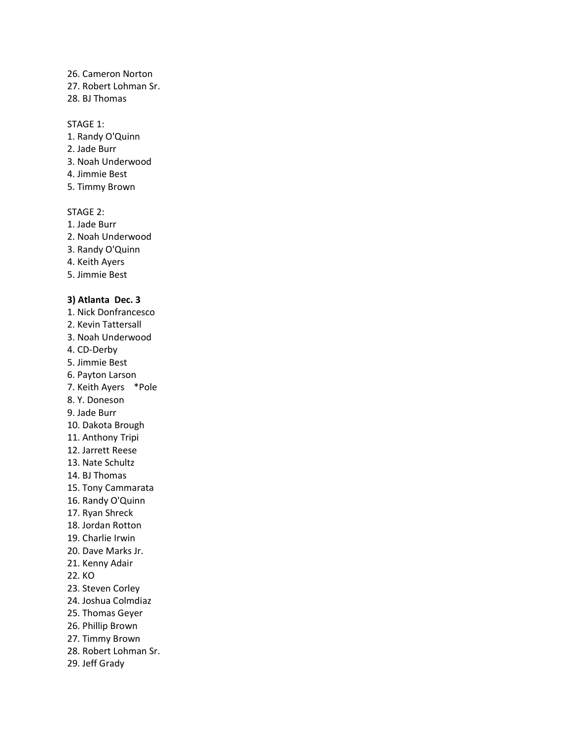26. Cameron Norton

27. Robert Lohman Sr.

28. BJ Thomas

#### STAGE 1:

- 1. Randy O'Quinn
- 2. Jade Burr
- 3. Noah Underwood
- 4. Jimmie Best
- 5. Timmy Brown

## STAGE 2:

- 1. Jade Burr
- 2. Noah Underwood
- 3. Randy O'Quinn
- 4. Keith Ayers
- 5. Jimmie Best

# **3) Atlanta Dec. 3**

- 1. Nick Donfrancesco
- 2. Kevin Tattersall
- 3. Noah Underwood
- 4. CD-Derby
- 5. Jimmie Best
- 6. Payton Larson
- 7. Keith Ayers \*Pole
- 8. Y. Doneson
- 9. Jade Burr
- 10. Dakota Brough
- 11. Anthony Tripi
- 12. Jarrett Reese
- 13. Nate Schultz
- 14. BJ Thomas
- 15. Tony Cammarata
- 16. Randy O'Quinn
- 17. Ryan Shreck
- 18. Jordan Rotton
- 19. Charlie Irwin
- 20. Dave Marks Jr.
- 21. Kenny Adair
- 22. KO
- 23. Steven Corley
- 24. Joshua Colmdiaz
- 25. Thomas Geyer
- 26. Phillip Brown
- 27. Timmy Brown
- 28. Robert Lohman Sr.
- 29. Jeff Grady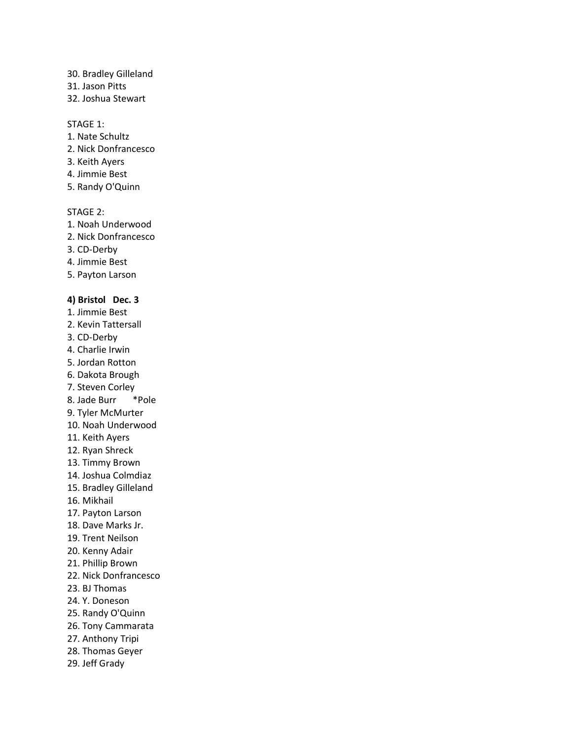30. Bradley Gilleland

31. Jason Pitts

32. Joshua Stewart

## STAGE 1:

- 1. Nate Schultz
- 2. Nick Donfrancesco
- 3. Keith Ayers
- 4. Jimmie Best
- 5. Randy O'Quinn

## STAGE 2:

- 1. Noah Underwood
- 2. Nick Donfrancesco
- 3. CD-Derby
- 4. Jimmie Best
- 5. Payton Larson

# **4) Bristol Dec. 3**

- 1. Jimmie Best
- 2. Kevin Tattersall
- 3. CD-Derby
- 4. Charlie Irwin
- 5. Jordan Rotton
- 6. Dakota Brough
- 7. Steven Corley
- 8. Jade Burr \*Pole
- 9. Tyler McMurter
- 10. Noah Underwood
- 11. Keith Ayers
- 12. Ryan Shreck
- 13. Timmy Brown
- 14. Joshua Colmdiaz
- 15. Bradley Gilleland
- 16. Mikhail
- 17. Payton Larson
- 18. Dave Marks Jr.
- 19. Trent Neilson
- 20. Kenny Adair
- 21. Phillip Brown
- 22. Nick Donfrancesco
- 23. BJ Thomas
- 24. Y. Doneson
- 25. Randy O'Quinn
- 26. Tony Cammarata
- 27. Anthony Tripi
- 28. Thomas Geyer
- 29. Jeff Grady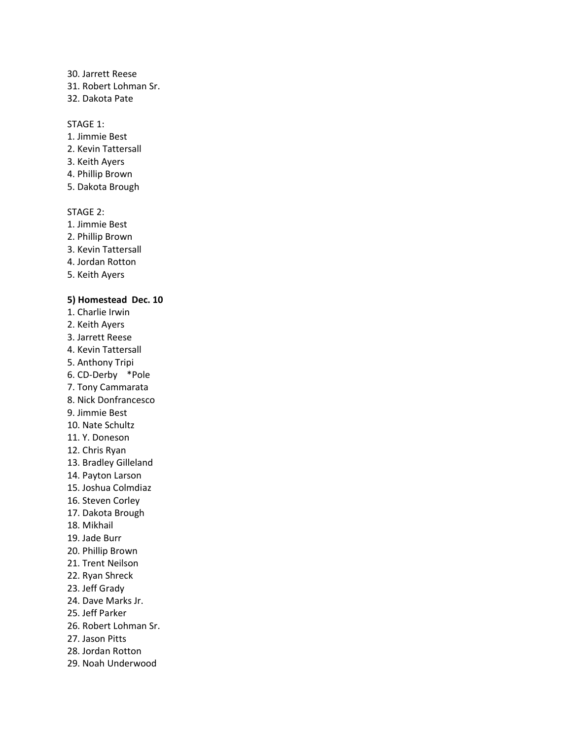30. Jarrett Reese

31. Robert Lohman Sr.

32. Dakota Pate

#### STAGE 1:

- 1. Jimmie Best
- 2. Kevin Tattersall
- 3. Keith Ayers
- 4. Phillip Brown
- 5. Dakota Brough

#### STAGE 2:

- 1. Jimmie Best
- 2. Phillip Brown
- 3. Kevin Tattersall
- 4. Jordan Rotton
- 5. Keith Ayers

### **5) Homestead Dec. 10**

- 1. Charlie Irwin
- 2. Keith Ayers
- 3. Jarrett Reese
- 4. Kevin Tattersall
- 5. Anthony Tripi
- 6. CD-Derby \*Pole
- 7. Tony Cammarata
- 8. Nick Donfrancesco
- 9. Jimmie Best
- 10. Nate Schultz
- 11. Y. Doneson
- 12. Chris Ryan
- 13. Bradley Gilleland
- 14. Payton Larson
- 15. Joshua Colmdiaz
- 16. Steven Corley
- 17. Dakota Brough
- 18. Mikhail
- 19. Jade Burr
- 20. Phillip Brown
- 21. Trent Neilson
- 22. Ryan Shreck
- 23. Jeff Grady
- 24. Dave Marks Jr.
- 25. Jeff Parker
- 26. Robert Lohman Sr.
- 27. Jason Pitts
- 28. Jordan Rotton
- 29. Noah Underwood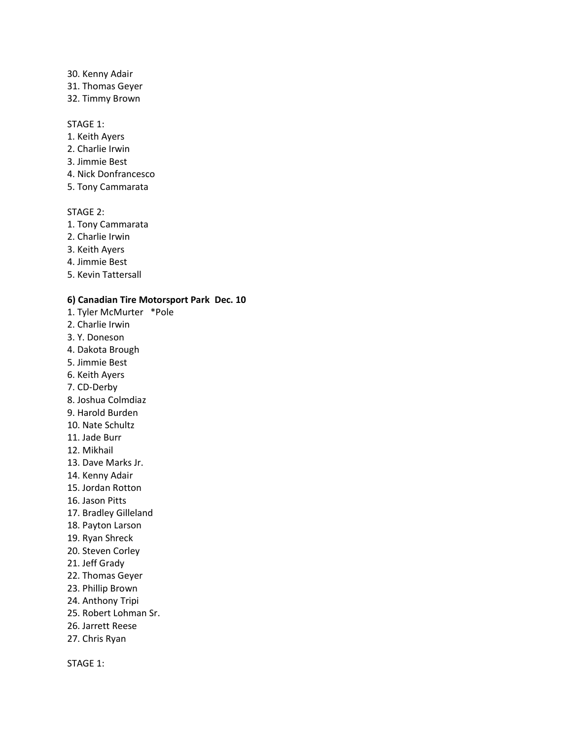- 30. Kenny Adair
- 31. Thomas Geyer
- 32. Timmy Brown

- 1. Keith Ayers
- 2. Charlie Irwin
- 3. Jimmie Best
- 4. Nick Donfrancesco
- 5. Tony Cammarata

#### STAGE 2:

- 1. Tony Cammarata
- 2. Charlie Irwin
- 3. Keith Ayers
- 4. Jimmie Best
- 5. Kevin Tattersall

### **6) Canadian Tire Motorsport Park Dec. 10**

- 1. Tyler McMurter \*Pole
- 2. Charlie Irwin
- 3. Y. Doneson
- 4. Dakota Brough
- 5. Jimmie Best
- 6. Keith Ayers
- 7. CD-Derby
- 8. Joshua Colmdiaz
- 9. Harold Burden
- 10. Nate Schultz
- 11. Jade Burr
- 12. Mikhail
- 13. Dave Marks Jr.
- 14. Kenny Adair
- 15. Jordan Rotton
- 16. Jason Pitts
- 17. Bradley Gilleland
- 18. Payton Larson
- 19. Ryan Shreck
- 20. Steven Corley
- 21. Jeff Grady
- 22. Thomas Geyer
- 23. Phillip Brown
- 24. Anthony Tripi
- 25. Robert Lohman Sr.
- 26. Jarrett Reese
- 27. Chris Ryan

STAGE 1: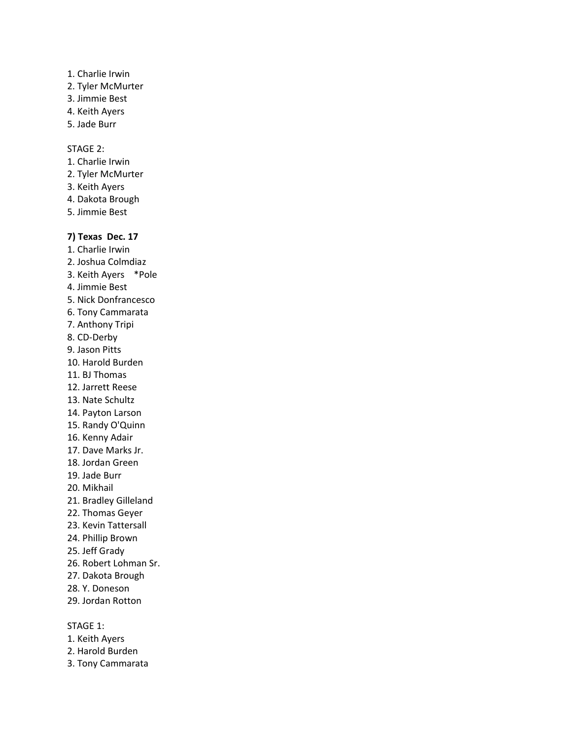- 1. Charlie Irwin
- 2. Tyler McMurter
- 3. Jimmie Best
- 4. Keith Ayers
- 5. Jade Burr

STAGE 2:

- 1. Charlie Irwin
- 2. Tyler McMurter
- 3. Keith Ayers
- 4. Dakota Brough
- 5. Jimmie Best

# **7) Texas Dec. 17**

- 1. Charlie Irwin
- 2. Joshua Colmdiaz
- 3. Keith Ayers \*Pole
- 4. Jimmie Best
- 5. Nick Donfrancesco
- 6. Tony Cammarata
- 7. Anthony Tripi
- 8. CD-Derby
- 9. Jason Pitts
- 10. Harold Burden
- 11. BJ Thomas
- 12. Jarrett Reese
- 13. Nate Schultz
- 14. Payton Larson
- 15. Randy O'Quinn
- 16. Kenny Adair
- 17. Dave Marks Jr.
- 18. Jordan Green
- 19. Jade Burr
- 20. Mikhail
- 21. Bradley Gilleland
- 22. Thomas Geyer
- 23. Kevin Tattersall
- 24. Phillip Brown
- 25. Jeff Grady
- 26. Robert Lohman Sr.
- 27. Dakota Brough
- 28. Y. Doneson
- 29. Jordan Rotton

## STAGE 1:

- 1. Keith Ayers
- 2. Harold Burden
- 3. Tony Cammarata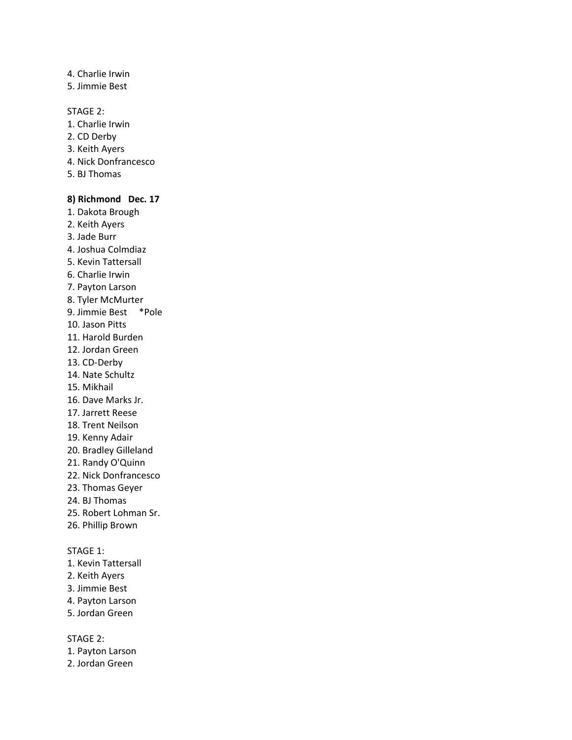- 4. Charlie Irwin
- 5. Jimmie Best

#### STAGE 2:

- 1. Charlie Irwin
- 2. CD Derby
- 3. Keith Ayers
- 4. Nick Donfrancesco
- 5. BJ Thomas

#### **8) Richmond Dec. 17**

- 1. Dakota Brough
- 2. Keith Ayers
- 3. Jade Burr
- 4. Joshua Colmdiaz
- 5. Kevin Tattersall
- 6. Charlie Irwin
- 7. Payton Larson
- 8. Tyler McMurter
- 9. Jimmie Best \*Pole
- 10. Jason Pitts
- 11. Harold Burden
- 12. Jordan Green
- 13. CD-Derby
- 14. Nate Schultz
- 15. Mikhail
- 16. Dave Marks Jr.
- 17. Jarrett Reese
- 18. Trent Neilson
- 19. Kenny Adair
- 20. Bradley Gilleland
- 21. Randy O'Quinn
- 22. Nick Donfrancesco
- 23. Thomas Geyer
- 24. BJ Thomas
- 25. Robert Lohman Sr.
- 26. Phillip Brown

# STAGE 1:

- 1. Kevin Tattersall
- 2. Keith Ayers
- 3. Jimmie Best
- 4. Payton Larson
- 5. Jordan Green

- 1. Payton Larson
- 2. Jordan Green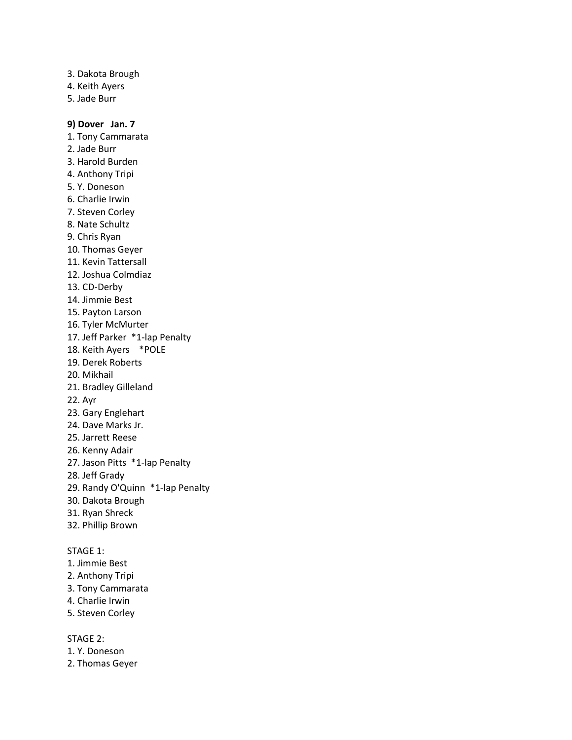- 3. Dakota Brough
- 4. Keith Ayers
- 5. Jade Burr

## **9) Dover Jan. 7**

- 1. Tony Cammarata
- 2. Jade Burr
- 3. Harold Burden
- 4. Anthony Tripi
- 5. Y. Doneson
- 6. Charlie Irwin
- 7. Steven Corley
- 8. Nate Schultz
- 9. Chris Ryan
- 10. Thomas Geyer
- 11. Kevin Tattersall
- 12. Joshua Colmdiaz
- 13. CD-Derby
- 14. Jimmie Best
- 15. Payton Larson
- 16. Tyler McMurter
- 17. Jeff Parker \*1-lap Penalty
- 18. Keith Ayers \*POLE
- 19. Derek Roberts
- 20. Mikhail
- 21. Bradley Gilleland
- 22. Ayr
- 23. Gary Englehart
- 24. Dave Marks Jr.
- 25. Jarrett Reese
- 26. Kenny Adair
- 27. Jason Pitts \*1-lap Penalty
- 28. Jeff Grady
- 29. Randy O'Quinn \*1-lap Penalty
- 30. Dakota Brough
- 31. Ryan Shreck
- 32. Phillip Brown

# STAGE 1:

- 1. Jimmie Best
- 2. Anthony Tripi
- 3. Tony Cammarata
- 4. Charlie Irwin
- 5. Steven Corley

- 1. Y. Doneson
- 2. Thomas Geyer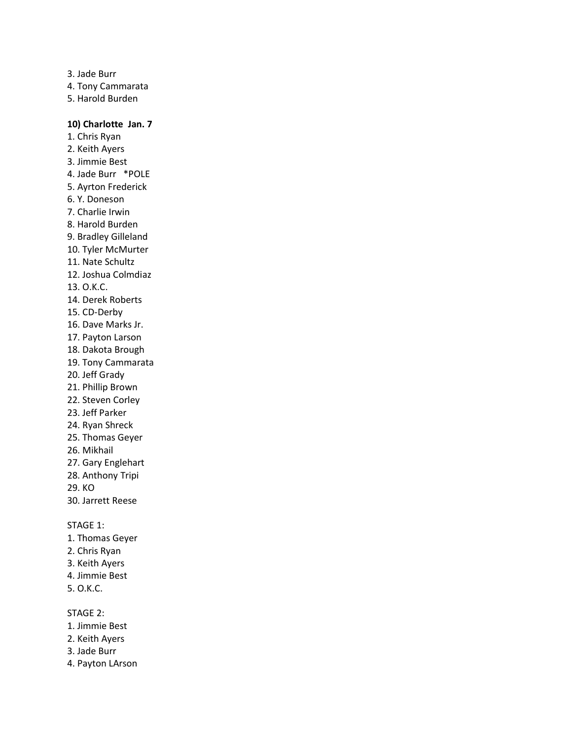3. Jade Burr 4. Tony Cammarata 5. Harold Burden

# **10) Charlotte Jan. 7**

1. Chris Ryan 2. Keith Ayers 3. Jimmie Best 4. Jade Burr \*POLE 5. Ayrton Frederick 6. Y. Doneson 7. Charlie Irwin 8. Harold Burden 9. Bradley Gilleland 10. Tyler McMurter 11. Nate Schultz 12. Joshua Colmdiaz 13. O.K.C. 14. Derek Roberts 15. CD-Derby 16. Dave Marks Jr. 17. Payton Larson 18. Dakota Brough 19. Tony Cammarata 20. Jeff Grady 21. Phillip Brown 22. Steven Corley 23. Jeff Parker 24. Ryan Shreck 25. Thomas Geyer 26. Mikhail 27. Gary Englehart 28. Anthony Tripi 29. KO 30. Jarrett Reese

#### STAGE 1:

- 1. Thomas Geyer
- 2. Chris Ryan
- 3. Keith Ayers
- 4. Jimmie Best
- 5. O.K.C.

- 1. Jimmie Best
- 2. Keith Ayers
- 3. Jade Burr
- 4. Payton LArson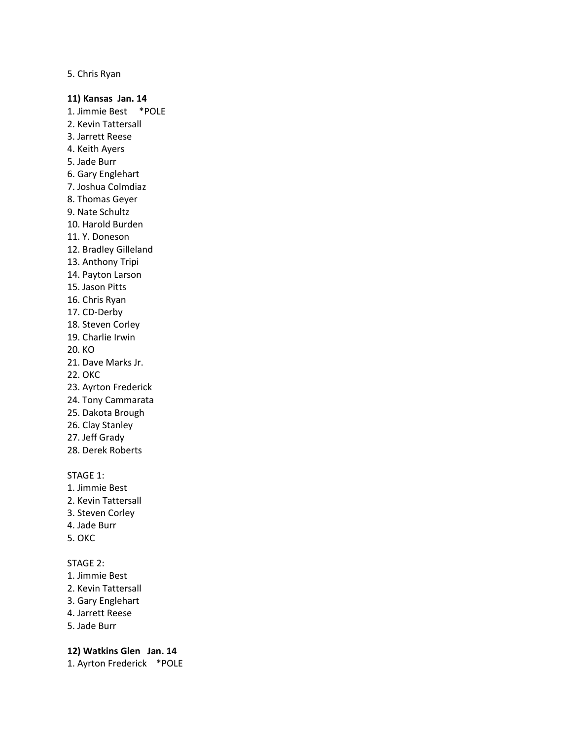5. Chris Ryan

#### **11) Kansas Jan. 14**

- 1. Jimmie Best \*POLE
- 2. Kevin Tattersall
- 3. Jarrett Reese
- 4. Keith Ayers
- 5. Jade Burr
- 6. Gary Englehart
- 7. Joshua Colmdiaz
- 8. Thomas Geyer
- 9. Nate Schultz
- 10. Harold Burden
- 11. Y. Doneson
- 12. Bradley Gilleland
- 13. Anthony Tripi
- 14. Payton Larson
- 15. Jason Pitts
- 16. Chris Ryan
- 17. CD-Derby
- 18. Steven Corley
- 19. Charlie Irwin
- 20. KO
- 21. Dave Marks Jr.
- 22. OKC
- 23. Ayrton Frederick
- 24. Tony Cammarata
- 25. Dakota Brough
- 26. Clay Stanley
- 27. Jeff Grady
- 28. Derek Roberts

## STAGE 1:

- 1. Jimmie Best
- 2. Kevin Tattersall
- 3. Steven Corley
- 4. Jade Burr
- 5. OKC

#### STAGE 2:

- 1. Jimmie Best
- 2. Kevin Tattersall
- 3. Gary Englehart
- 4. Jarrett Reese
- 5. Jade Burr

#### **12) Watkins Glen Jan. 14**

1. Ayrton Frederick \*POLE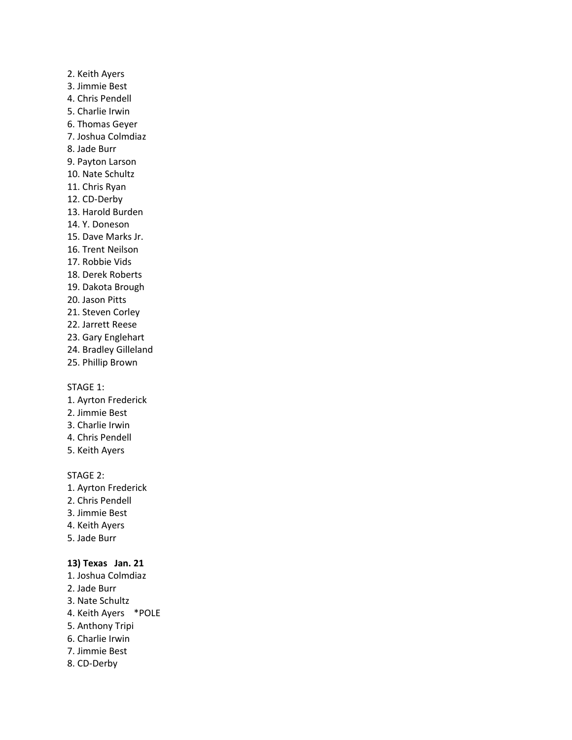- 2. Keith Ayers 3. Jimmie Best 4. Chris Pendell 5. Charlie Irwin 6. Thomas Geyer 7. Joshua Colmdiaz 8. Jade Burr 9. Payton Larson 10. Nate Schultz 11. Chris Ryan 12. CD-Derby 13. Harold Burden 14. Y. Doneson 15. Dave Marks Jr. 16. Trent Neilson 17. Robbie Vids 18. Derek Roberts 19. Dakota Brough 20. Jason Pitts 21. Steven Corley 22. Jarrett Reese 23. Gary Englehart
- 24. Bradley Gilleland
- 25. Phillip Brown

- 1. Ayrton Frederick
- 2. Jimmie Best
- 3. Charlie Irwin
- 4. Chris Pendell
- 5. Keith Ayers

#### STAGE 2:

- 1. Ayrton Frederick
- 2. Chris Pendell
- 3. Jimmie Best
- 4. Keith Ayers
- 5. Jade Burr

# **13) Texas Jan. 21**

- 1. Joshua Colmdiaz
- 2. Jade Burr
- 3. Nate Schultz
- 4. Keith Ayers \*POLE
- 5. Anthony Tripi
- 6. Charlie Irwin
- 7. Jimmie Best
- 8. CD-Derby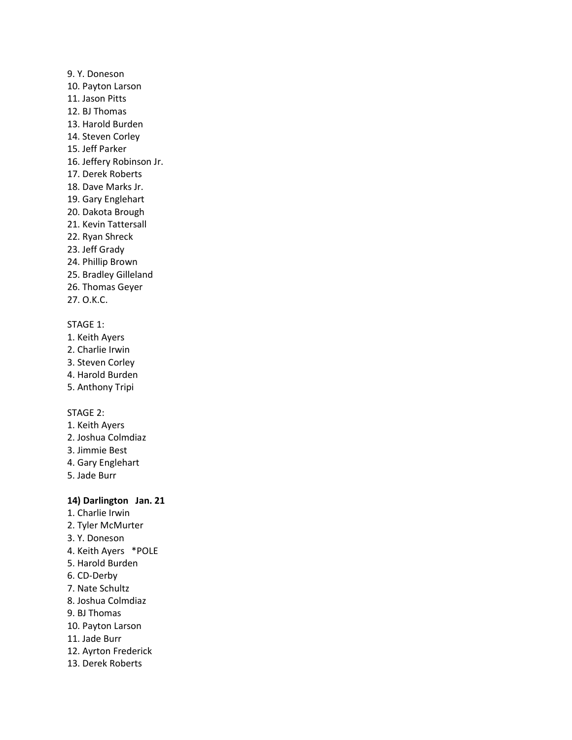- 9. Y. Doneson 10. Payton Larson 11. Jason Pitts 12. BJ Thomas 13. Harold Burden 14. Steven Corley 15. Jeff Parker 16. Jeffery Robinson Jr. 17. Derek Roberts 18. Dave Marks Jr. 19. Gary Englehart 20. Dakota Brough 21. Kevin Tattersall 22. Ryan Shreck 23. Jeff Grady 24. Phillip Brown 25. Bradley Gilleland
- 26. Thomas Geyer
- 27. O.K.C.

- 1. Keith Ayers
- 2. Charlie Irwin
- 3. Steven Corley
- 4. Harold Burden
- 5. Anthony Tripi

## STAGE 2:

- 1. Keith Ayers
- 2. Joshua Colmdiaz
- 3. Jimmie Best
- 4. Gary Englehart
- 5. Jade Burr

## **14) Darlington Jan. 21**

- 1. Charlie Irwin
- 2. Tyler McMurter
- 3. Y. Doneson
- 4. Keith Ayers \*POLE
- 5. Harold Burden
- 6. CD-Derby
- 7. Nate Schultz
- 8. Joshua Colmdiaz
- 9. BJ Thomas
- 10. Payton Larson
- 11. Jade Burr
- 12. Ayrton Frederick
- 13. Derek Roberts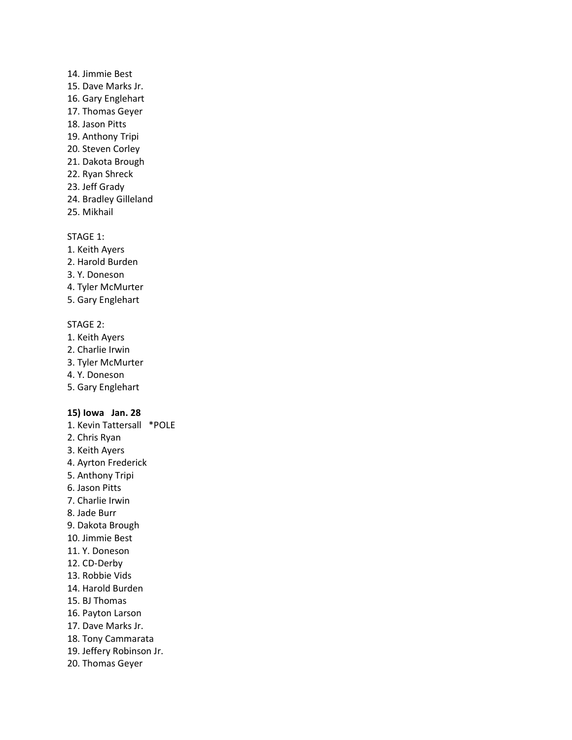- 14. Jimmie Best 15. Dave Marks Jr. 16. Gary Englehart 17. Thomas Geyer 18. Jason Pitts 19. Anthony Tripi 20. Steven Corley 21. Dakota Brough 22. Ryan Shreck 23. Jeff Grady
- 24. Bradley Gilleland
- 25. Mikhail

- 1. Keith Ayers
- 2. Harold Burden
- 3. Y. Doneson
- 4. Tyler McMurter
- 5. Gary Englehart

#### STAGE 2:

- 1. Keith Ayers
- 2. Charlie Irwin
- 3. Tyler McMurter
- 4. Y. Doneson
- 5. Gary Englehart

#### **15) Iowa Jan. 28**

- 1. Kevin Tattersall \*POLE
- 2. Chris Ryan
- 3. Keith Ayers
- 4. Ayrton Frederick
- 5. Anthony Tripi
- 6. Jason Pitts
- 7. Charlie Irwin
- 8. Jade Burr
- 9. Dakota Brough
- 10. Jimmie Best
- 11. Y. Doneson
- 12. CD-Derby
- 13. Robbie Vids
- 14. Harold Burden
- 15. BJ Thomas
- 16. Payton Larson
- 17. Dave Marks Jr.
- 18. Tony Cammarata
- 19. Jeffery Robinson Jr.
- 20. Thomas Geyer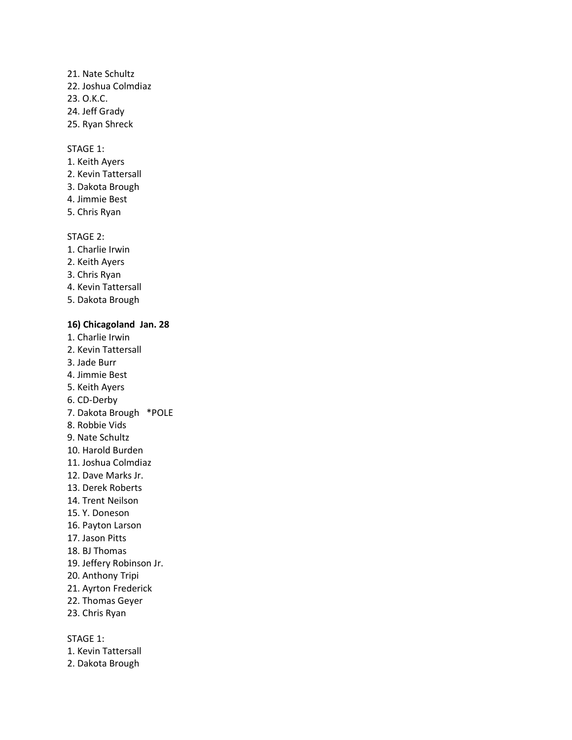# 21. Nate Schultz 22. Joshua Colmdiaz 23. O.K.C.

- 24. Jeff Grady
- 25. Ryan Shreck

# STAGE 1:

- 1. Keith Ayers
- 2. Kevin Tattersall
- 3. Dakota Brough
- 4. Jimmie Best
- 5. Chris Ryan

# STAGE 2:

- 1. Charlie Irwin
- 2. Keith Ayers
- 3. Chris Ryan
- 4. Kevin Tattersall
- 5. Dakota Brough

# **16) Chicagoland Jan. 28**

- 1. Charlie Irwin
- 2. Kevin Tattersall
- 3. Jade Burr
- 4. Jimmie Best
- 5. Keith Ayers
- 6. CD-Derby
- 7. Dakota Brough \*POLE
- 8. Robbie Vids
- 9. Nate Schultz
- 10. Harold Burden
- 11. Joshua Colmdiaz
- 12. Dave Marks Jr.
- 13. Derek Roberts
- 14. Trent Neilson
- 15. Y. Doneson
- 16. Payton Larson
- 17. Jason Pitts
- 18. BJ Thomas
- 19. Jeffery Robinson Jr.
- 20. Anthony Tripi
- 21. Ayrton Frederick
- 22. Thomas Geyer
- 23. Chris Ryan

STAGE 1:

- 1. Kevin Tattersall
- 2. Dakota Brough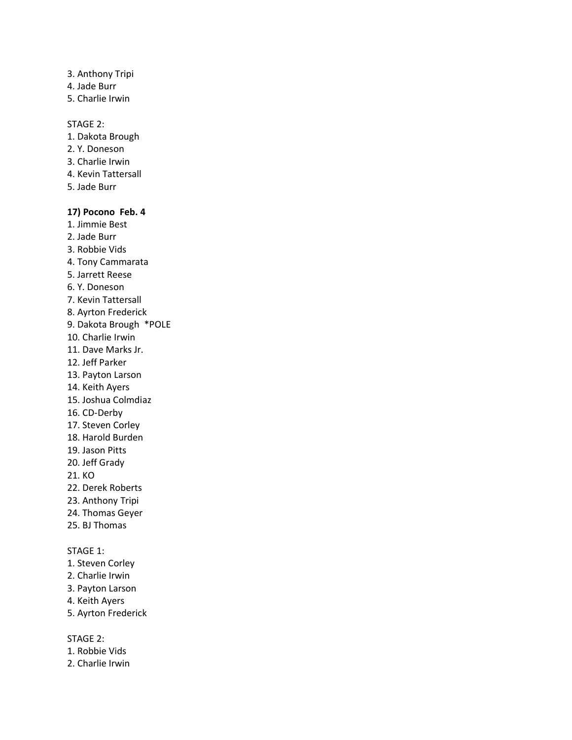- 3. Anthony Tripi
- 4. Jade Burr
- 5. Charlie Irwin

### STAGE 2:

- 1. Dakota Brough
- 2. Y. Doneson
- 3. Charlie Irwin
- 4. Kevin Tattersall
- 5. Jade Burr

# **17) Pocono Feb. 4**

- 1. Jimmie Best
- 2. Jade Burr
- 3. Robbie Vids
- 4. Tony Cammarata
- 5. Jarrett Reese
- 6. Y. Doneson
- 7. Kevin Tattersall
- 8. Ayrton Frederick
- 9. Dakota Brough \*POLE
- 10. Charlie Irwin
- 11. Dave Marks Jr.
- 12. Jeff Parker
- 13. Payton Larson
- 14. Keith Ayers
- 15. Joshua Colmdiaz
- 16. CD-Derby
- 17. Steven Corley
- 18. Harold Burden
- 19. Jason Pitts
- 20. Jeff Grady
- 21. KO
- 22. Derek Roberts
- 23. Anthony Tripi
- 24. Thomas Geyer
- 25. BJ Thomas

# STAGE 1:

- 1. Steven Corley
- 2. Charlie Irwin
- 3. Payton Larson
- 4. Keith Ayers
- 5. Ayrton Frederick

- 1. Robbie Vids
- 2. Charlie Irwin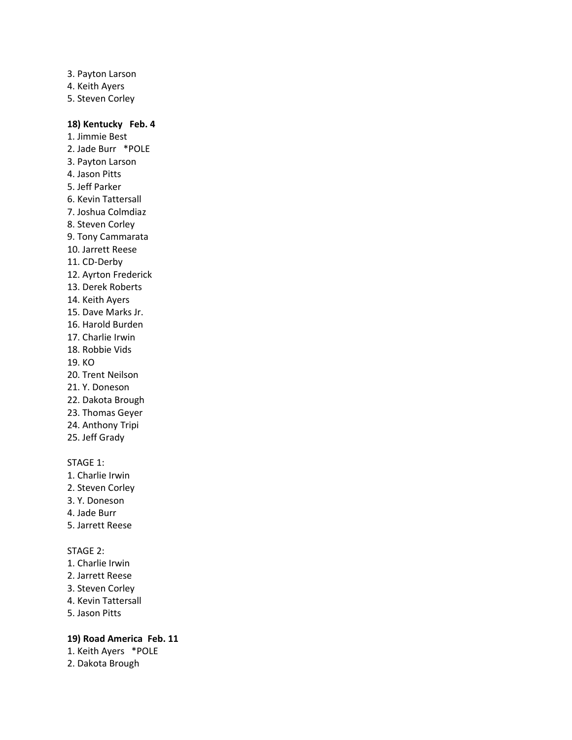- 3. Payton Larson
- 4. Keith Ayers
- 5. Steven Corley

# **18) Kentucky Feb. 4**

1. Jimmie Best 2. Jade Burr \*POLE 3. Payton Larson 4. Jason Pitts 5. Jeff Parker 6. Kevin Tattersall 7. Joshua Colmdiaz 8. Steven Corley 9. Tony Cammarata 10. Jarrett Reese 11. CD-Derby 12. Ayrton Frederick 13. Derek Roberts 14. Keith Ayers 15. Dave Marks Jr. 16. Harold Burden 17. Charlie Irwin 18. Robbie Vids 19. KO 20. Trent Neilson 21. Y. Doneson 22. Dakota Brough 23. Thomas Geyer 24. Anthony Tripi 25. Jeff Grady

# STAGE 1:

- 1. Charlie Irwin
- 2. Steven Corley
- 3. Y. Doneson
- 4. Jade Burr
- 5. Jarrett Reese

# STAGE 2:

- 1. Charlie Irwin
- 2. Jarrett Reese
- 3. Steven Corley
- 4. Kevin Tattersall
- 5. Jason Pitts

# **19) Road America Feb. 11**

- 1. Keith Ayers \*POLE
- 2. Dakota Brough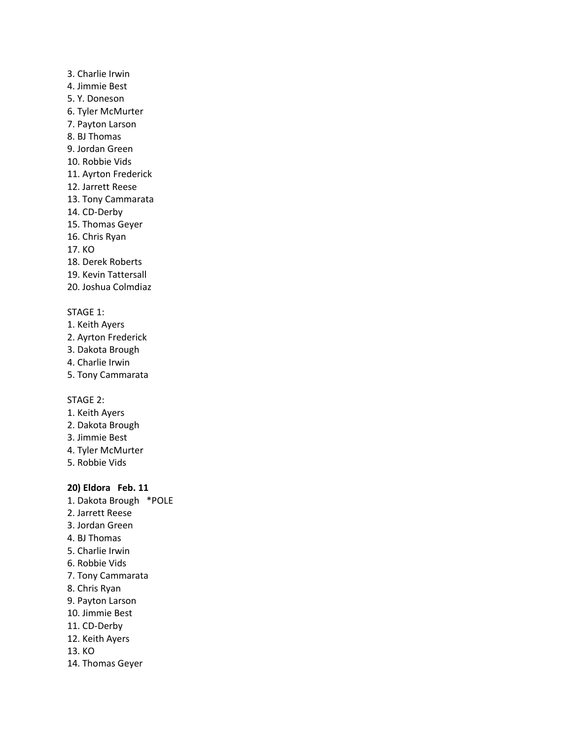# 3. Charlie Irwin

- 4. Jimmie Best
- 5. Y. Doneson
- 6. Tyler McMurter
- 7. Payton Larson
- 8. BJ Thomas
- 9. Jordan Green
- 10. Robbie Vids
- 11. Ayrton Frederick
- 12. Jarrett Reese
- 13. Tony Cammarata
- 14. CD-Derby
- 15. Thomas Geyer
- 16. Chris Ryan
- 17. KO
- 18. Derek Roberts
- 19. Kevin Tattersall
- 20. Joshua Colmdiaz

# STAGE 1:

- 1. Keith Ayers
- 2. Ayrton Frederick
- 3. Dakota Brough
- 4. Charlie Irwin
- 5. Tony Cammarata

# STAGE 2:

- 1. Keith Ayers
- 2. Dakota Brough
- 3. Jimmie Best
- 4. Tyler McMurter
- 5. Robbie Vids

# **20) Eldora Feb. 11**

- 1. Dakota Brough \*POLE
- 2. Jarrett Reese
- 3. Jordan Green
- 4. BJ Thomas
- 5. Charlie Irwin
- 6. Robbie Vids
- 7. Tony Cammarata
- 8. Chris Ryan
- 9. Payton Larson
- 10. Jimmie Best
- 11. CD-Derby
- 12. Keith Ayers
- 13. KO
- 14. Thomas Geyer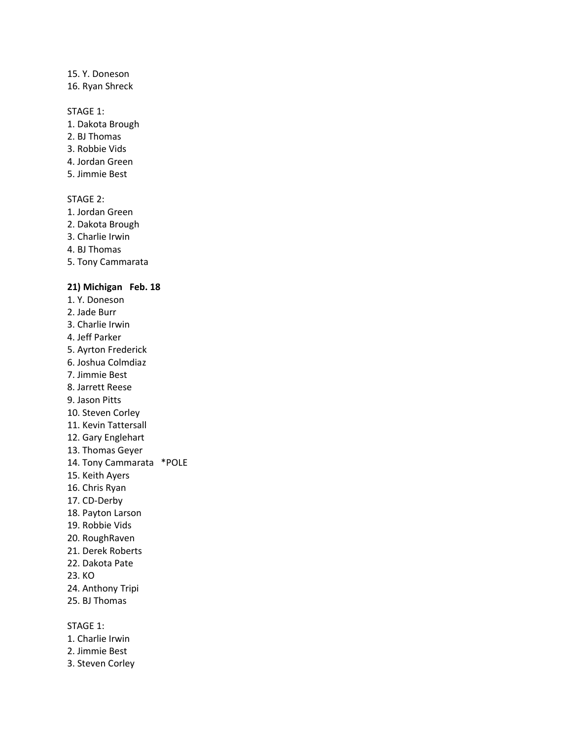#### 15. Y. Doneson

16. Ryan Shreck

#### STAGE 1:

- 1. Dakota Brough
- 2. BJ Thomas
- 3. Robbie Vids
- 4. Jordan Green
- 5. Jimmie Best

#### STAGE 2:

- 1. Jordan Green
- 2. Dakota Brough
- 3. Charlie Irwin
- 4. BJ Thomas
- 5. Tony Cammarata

### **21) Michigan Feb. 18**

- 1. Y. Doneson
- 2. Jade Burr
- 3. Charlie Irwin
- 4. Jeff Parker
- 5. Ayrton Frederick
- 6. Joshua Colmdiaz
- 7. Jimmie Best
- 8. Jarrett Reese
- 9. Jason Pitts
- 10. Steven Corley
- 11. Kevin Tattersall
- 12. Gary Englehart
- 13. Thomas Geyer
- 14. Tony Cammarata \*POLE
- 15. Keith Ayers
- 16. Chris Ryan
- 17. CD-Derby
- 18. Payton Larson
- 19. Robbie Vids
- 20. RoughRaven
- 21. Derek Roberts
- 22. Dakota Pate
- 23. KO
- 24. Anthony Tripi
- 25. BJ Thomas

# STAGE 1:

- 1. Charlie Irwin
- 2. Jimmie Best
- 3. Steven Corley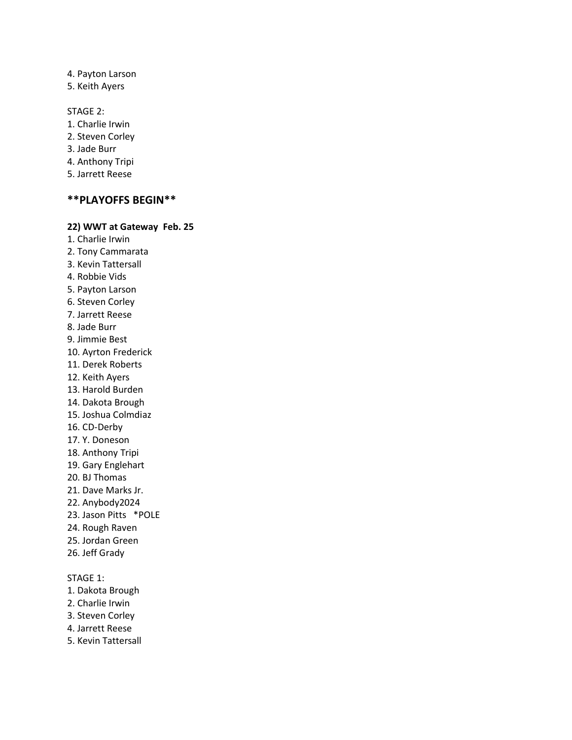#### 4. Payton Larson

5. Keith Ayers

#### STAGE 2:

- 1. Charlie Irwin
- 2. Steven Corley
- 3. Jade Burr
- 4. Anthony Tripi
- 5. Jarrett Reese

## **\*\*PLAYOFFS BEGIN\*\***

## **22) WWT at Gateway Feb. 25**

- 1. Charlie Irwin 2. Tony Cammarata 3. Kevin Tattersall 4. Robbie Vids 5. Payton Larson 6. Steven Corley 7. Jarrett Reese 8. Jade Burr
- 9. Jimmie Best
- 10. Ayrton Frederick
- 11. Derek Roberts
- 12. Keith Ayers
- 13. Harold Burden
- 14. Dakota Brough
- 15. Joshua Colmdiaz
- 16. CD-Derby
- 17. Y. Doneson
- 18. Anthony Tripi
- 19. Gary Englehart
- 20. BJ Thomas
- 21. Dave Marks Jr.
- 22. Anybody2024
- 23. Jason Pitts \*POLE
- 24. Rough Raven
- 25. Jordan Green
- 26. Jeff Grady

#### STAGE 1:

- 1. Dakota Brough
- 2. Charlie Irwin
- 3. Steven Corley
- 4. Jarrett Reese
- 5. Kevin Tattersall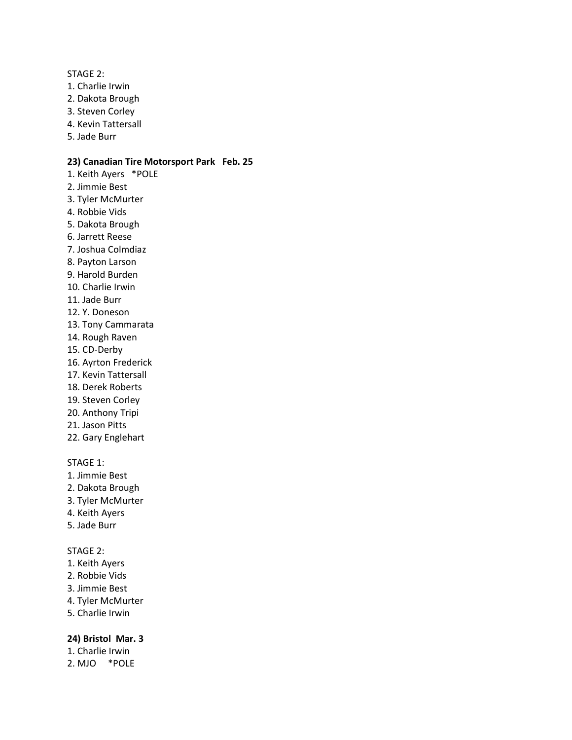#### STAGE 2:

- 1. Charlie Irwin
- 2. Dakota Brough
- 3. Steven Corley
- 4. Kevin Tattersall
- 5. Jade Burr

## **23) Canadian Tire Motorsport Park Feb. 25**

- 1. Keith Ayers \*POLE 2. Jimmie Best
- 3. Tyler McMurter
- 4. Robbie Vids
- 5. Dakota Brough
- 6. Jarrett Reese
- 7. Joshua Colmdiaz
- 8. Payton Larson
- 9. Harold Burden
- 10. Charlie Irwin
- 11. Jade Burr
- 12. Y. Doneson
- 13. Tony Cammarata
- 14. Rough Raven
- 15. CD-Derby
- 16. Ayrton Frederick
- 17. Kevin Tattersall
- 18. Derek Roberts
- 19. Steven Corley
- 20. Anthony Tripi
- 21. Jason Pitts
- 22. Gary Englehart

# STAGE 1:

- 1. Jimmie Best
- 2. Dakota Brough
- 3. Tyler McMurter
- 4. Keith Ayers
- 5. Jade Burr

# STAGE 2:

- 1. Keith Ayers
- 2. Robbie Vids
- 3. Jimmie Best
- 4. Tyler McMurter
- 5. Charlie Irwin

### **24) Bristol Mar. 3**

- 1. Charlie Irwin
- 2. MJO \*POLE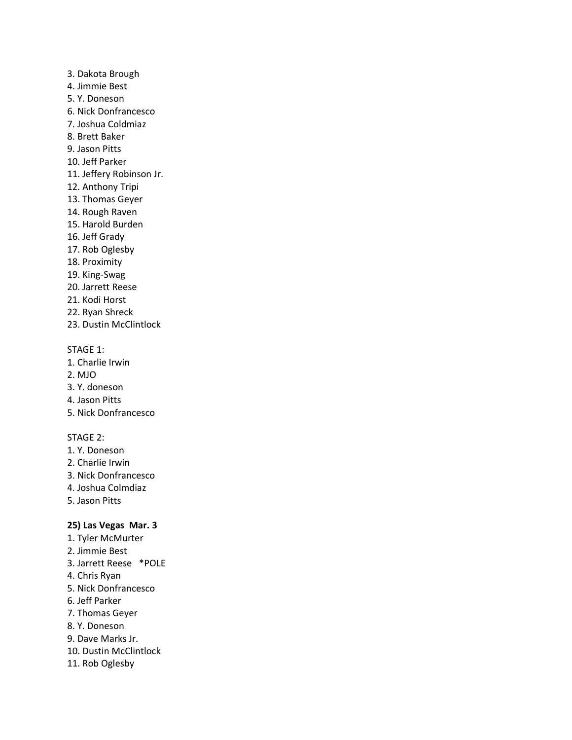- 3. Dakota Brough
- 4. Jimmie Best
- 5. Y. Doneson
- 6. Nick Donfrancesco
- 7. Joshua Coldmiaz
- 8. Brett Baker
- 9. Jason Pitts
- 10. Jeff Parker
- 11. Jeffery Robinson Jr.
- 12. Anthony Tripi
- 13. Thomas Geyer
- 14. Rough Raven
- 15. Harold Burden
- 16. Jeff Grady
- 17. Rob Oglesby
- 18. Proximity
- 19. King-Swag
- 20. Jarrett Reese
- 21. Kodi Horst
- 22. Ryan Shreck
- 23. Dustin McClintlock

- 1. Charlie Irwin
- 2. MJO
- 3. Y. doneson
- 4. Jason Pitts
- 5. Nick Donfrancesco

# STAGE 2:

- 1. Y. Doneson
- 2. Charlie Irwin
- 3. Nick Donfrancesco
- 4. Joshua Colmdiaz
- 5. Jason Pitts

# **25) Las Vegas Mar. 3**

- 1. Tyler McMurter
- 2. Jimmie Best
- 3. Jarrett Reese \*POLE
- 4. Chris Ryan
- 5. Nick Donfrancesco
- 6. Jeff Parker
- 7. Thomas Geyer
- 8. Y. Doneson
- 9. Dave Marks Jr.
- 10. Dustin McClintlock
- 11. Rob Oglesby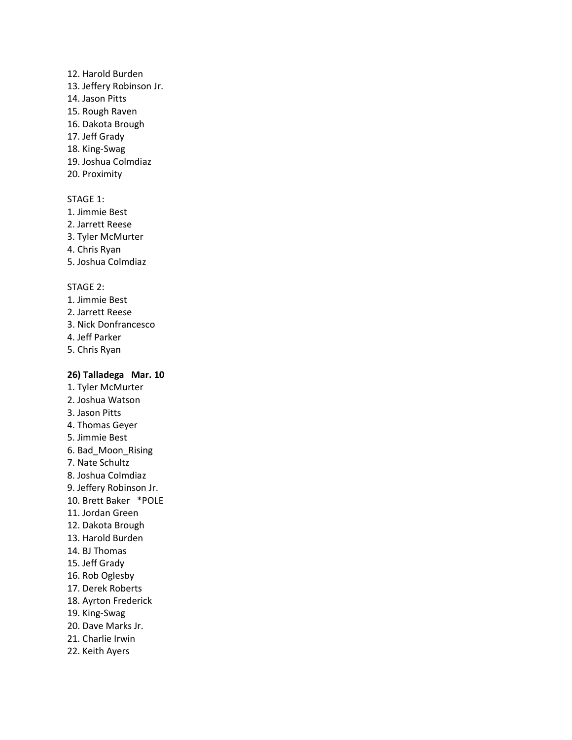#### 12. Harold Burden

- 13. Jeffery Robinson Jr.
- 14. Jason Pitts
- 15. Rough Raven
- 16. Dakota Brough
- 17. Jeff Grady
- 18. King-Swag
- 19. Joshua Colmdiaz
- 20. Proximity

### STAGE 1:

- 1. Jimmie Best
- 2. Jarrett Reese
- 3. Tyler McMurter
- 4. Chris Ryan
- 5. Joshua Colmdiaz

## STAGE 2:

- 1. Jimmie Best
- 2. Jarrett Reese
- 3. Nick Donfrancesco
- 4. Jeff Parker
- 5. Chris Ryan

# **26) Talladega Mar. 10**

- 1. Tyler McMurter
- 2. Joshua Watson
- 3. Jason Pitts
- 4. Thomas Geyer
- 5. Jimmie Best
- 6. Bad\_Moon\_Rising
- 7. Nate Schultz
- 8. Joshua Colmdiaz
- 9. Jeffery Robinson Jr.
- 10. Brett Baker \*POLE
- 11. Jordan Green
- 12. Dakota Brough
- 13. Harold Burden
- 14. BJ Thomas
- 15. Jeff Grady
- 16. Rob Oglesby
- 17. Derek Roberts
- 18. Ayrton Frederick
- 19. King-Swag
- 20. Dave Marks Jr.
- 21. Charlie Irwin
- 22. Keith Ayers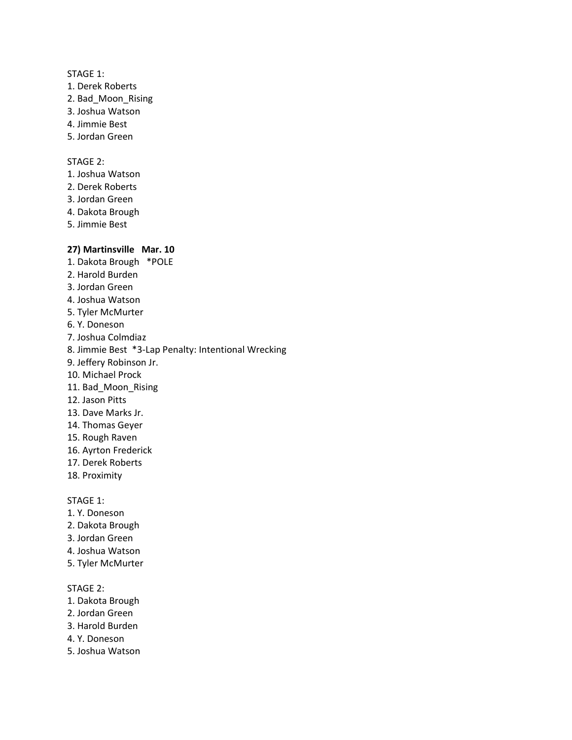- 1. Derek Roberts
- 2. Bad\_Moon\_Rising
- 3. Joshua Watson
- 4. Jimmie Best
- 5. Jordan Green

## STAGE 2:

- 1. Joshua Watson
- 2. Derek Roberts
- 3. Jordan Green
- 4. Dakota Brough
- 5. Jimmie Best

## **27) Martinsville Mar. 10**

- 1. Dakota Brough \*POLE
- 2. Harold Burden
- 3. Jordan Green
- 4. Joshua Watson
- 5. Tyler McMurter
- 6. Y. Doneson
- 7. Joshua Colmdiaz
- 8. Jimmie Best \*3-Lap Penalty: Intentional Wrecking
- 9. Jeffery Robinson Jr.
- 10. Michael Prock
- 11. Bad Moon Rising
- 12. Jason Pitts
- 13. Dave Marks Jr.
- 14. Thomas Geyer
- 15. Rough Raven
- 16. Ayrton Frederick
- 17. Derek Roberts
- 18. Proximity

#### STAGE 1:

- 1. Y. Doneson
- 2. Dakota Brough
- 3. Jordan Green
- 4. Joshua Watson
- 5. Tyler McMurter

- 1. Dakota Brough
- 2. Jordan Green
- 3. Harold Burden
- 4. Y. Doneson
- 5. Joshua Watson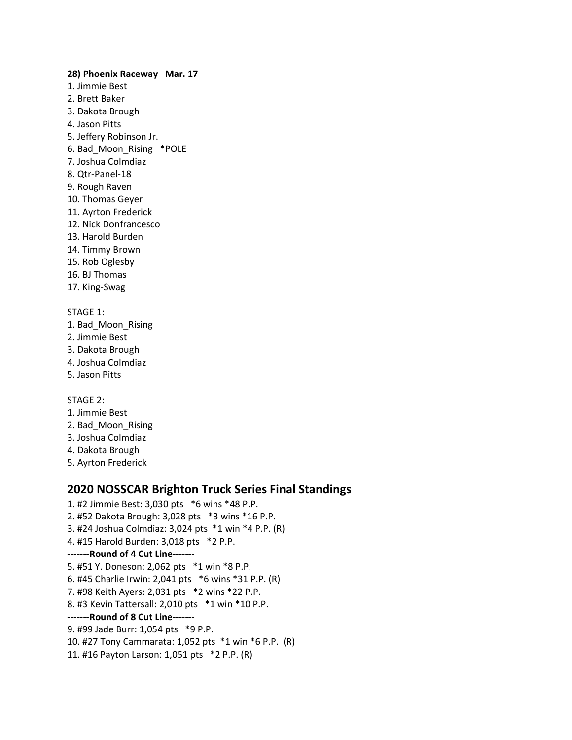- **28) Phoenix Raceway Mar. 17** 1. Jimmie Best 2. Brett Baker 3. Dakota Brough 4. Jason Pitts 5. Jeffery Robinson Jr. 6. Bad\_Moon\_Rising \*POLE 7. Joshua Colmdiaz 8. Qtr-Panel-18 9. Rough Raven 10. Thomas Geyer 11. Ayrton Frederick 12. Nick Donfrancesco 13. Harold Burden 14. Timmy Brown 15. Rob Oglesby
- 16. BJ Thomas
- 17. King-Swag

- 1. Bad\_Moon\_Rising
- 2. Jimmie Best
- 3. Dakota Brough
- 4. Joshua Colmdiaz
- 5. Jason Pitts

STAGE 2:

- 1. Jimmie Best
- 2. Bad\_Moon\_Rising
- 3. Joshua Colmdiaz
- 4. Dakota Brough
- 5. Ayrton Frederick

# **2020 NOSSCAR Brighton Truck Series Final Standings**

1. #2 Jimmie Best: 3,030 pts \*6 wins \*48 P.P. 2. #52 Dakota Brough: 3,028 pts \*3 wins \*16 P.P. 3. #24 Joshua Colmdiaz: 3,024 pts \*1 win \*4 P.P. (R) 4. #15 Harold Burden: 3,018 pts \*2 P.P. **-------Round of 4 Cut Line-------** 5. #51 Y. Doneson: 2,062 pts \*1 win \*8 P.P. 6. #45 Charlie Irwin: 2,041 pts \*6 wins \*31 P.P. (R) 7. #98 Keith Ayers: 2,031 pts \*2 wins \*22 P.P. 8. #3 Kevin Tattersall: 2,010 pts \*1 win \*10 P.P. **-------Round of 8 Cut Line-------** 9. #99 Jade Burr: 1,054 pts \*9 P.P. 10. #27 Tony Cammarata: 1,052 pts \*1 win \*6 P.P. (R) 11. #16 Payton Larson: 1,051 pts \*2 P.P. (R)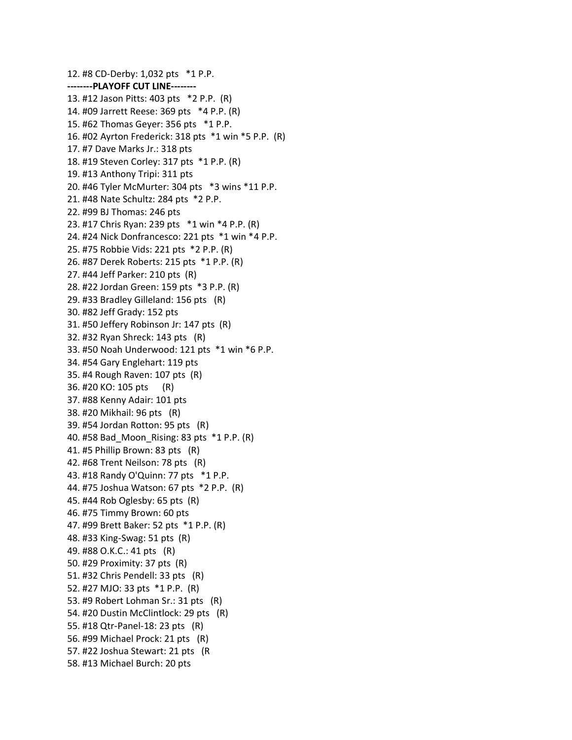12. #8 CD-Derby: 1,032 pts \*1 P.P. **--------PLAYOFF CUT LINE--------** 13. #12 Jason Pitts: 403 pts \*2 P.P. (R) 14. #09 Jarrett Reese: 369 pts \*4 P.P. (R) 15. #62 Thomas Geyer: 356 pts \*1 P.P. 16. #02 Ayrton Frederick: 318 pts \*1 win \*5 P.P. (R) 17. #7 Dave Marks Jr.: 318 pts 18. #19 Steven Corley: 317 pts \*1 P.P. (R) 19. #13 Anthony Tripi: 311 pts 20. #46 Tyler McMurter: 304 pts \*3 wins \*11 P.P. 21. #48 Nate Schultz: 284 pts \*2 P.P. 22. #99 BJ Thomas: 246 pts 23. #17 Chris Ryan: 239 pts \*1 win \*4 P.P. (R) 24. #24 Nick Donfrancesco: 221 pts \*1 win \*4 P.P. 25. #75 Robbie Vids: 221 pts \*2 P.P. (R) 26. #87 Derek Roberts: 215 pts \*1 P.P. (R) 27. #44 Jeff Parker: 210 pts (R) 28. #22 Jordan Green: 159 pts \*3 P.P. (R) 29. #33 Bradley Gilleland: 156 pts (R) 30. #82 Jeff Grady: 152 pts 31. #50 Jeffery Robinson Jr: 147 pts (R) 32. #32 Ryan Shreck: 143 pts (R) 33. #50 Noah Underwood: 121 pts \*1 win \*6 P.P. 34. #54 Gary Englehart: 119 pts 35. #4 Rough Raven: 107 pts (R) 36. #20 KO: 105 pts (R) 37. #88 Kenny Adair: 101 pts 38. #20 Mikhail: 96 pts (R) 39. #54 Jordan Rotton: 95 pts (R) 40. #58 Bad\_Moon\_Rising: 83 pts \*1 P.P. (R) 41. #5 Phillip Brown: 83 pts (R) 42. #68 Trent Neilson: 78 pts (R) 43. #18 Randy O'Quinn: 77 pts \*1 P.P. 44. #75 Joshua Watson: 67 pts \*2 P.P. (R) 45. #44 Rob Oglesby: 65 pts (R) 46. #75 Timmy Brown: 60 pts 47. #99 Brett Baker: 52 pts \*1 P.P. (R) 48. #33 King-Swag: 51 pts (R) 49. #88 O.K.C.: 41 pts (R) 50. #29 Proximity: 37 pts (R) 51. #32 Chris Pendell: 33 pts (R) 52. #27 MJO: 33 pts \*1 P.P. (R) 53. #9 Robert Lohman Sr.: 31 pts (R) 54. #20 Dustin McClintlock: 29 pts (R) 55. #18 Qtr-Panel-18: 23 pts (R) 56. #99 Michael Prock: 21 pts (R) 57. #22 Joshua Stewart: 21 pts (R 58. #13 Michael Burch: 20 pts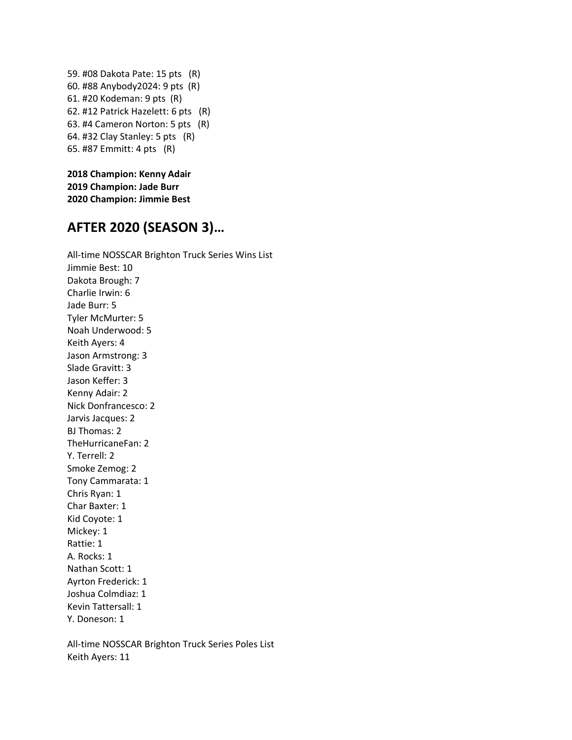59. #08 Dakota Pate: 15 pts (R) 60. #88 Anybody2024: 9 pts (R) 61. #20 Kodeman: 9 pts (R) 62. #12 Patrick Hazelett: 6 pts (R) 63. #4 Cameron Norton: 5 pts (R) 64. #32 Clay Stanley: 5 pts (R) 65. #87 Emmitt: 4 pts (R)

**2018 Champion: Kenny Adair 2019 Champion: Jade Burr 2020 Champion: Jimmie Best**

# **AFTER 2020 (SEASON 3)…**

All-time NOSSCAR Brighton Truck Series Wins List Jimmie Best: 10 Dakota Brough: 7 Charlie Irwin: 6 Jade Burr: 5 Tyler McMurter: 5 Noah Underwood: 5 Keith Ayers: 4 Jason Armstrong: 3 Slade Gravitt: 3 Jason Keffer: 3 Kenny Adair: 2 Nick Donfrancesco: 2 Jarvis Jacques: 2 BJ Thomas: 2 TheHurricaneFan: 2 Y. Terrell: 2 Smoke Zemog: 2 Tony Cammarata: 1 Chris Ryan: 1 Char Baxter: 1 Kid Coyote: 1 Mickey: 1 Rattie: 1 A. Rocks: 1 Nathan Scott: 1 Ayrton Frederick: 1 Joshua Colmdiaz: 1 Kevin Tattersall: 1 Y. Doneson: 1 All-time NOSSCAR Brighton Truck Series Poles List

Keith Ayers: 11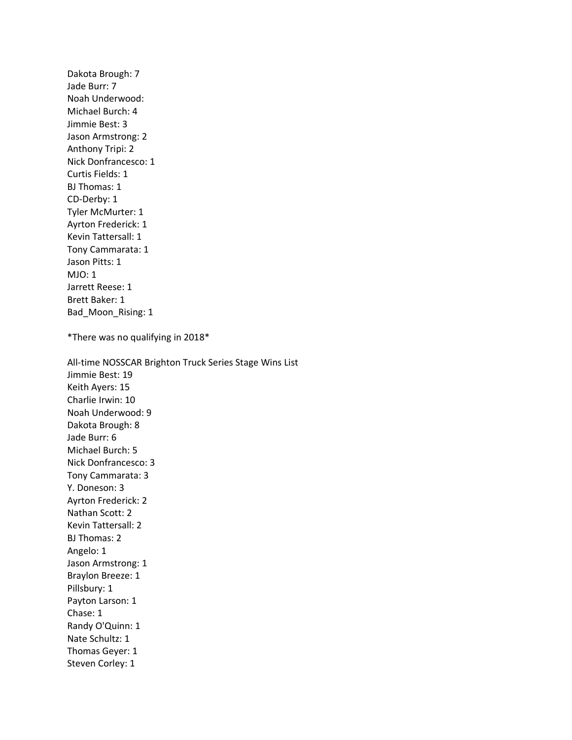Dakota Brough: 7 Jade Burr: 7 Noah Underwood: Michael Burch: 4 Jimmie Best: 3 Jason Armstrong: 2 Anthony Tripi: 2 Nick Donfrancesco: 1 Curtis Fields: 1 BJ Thomas: 1 CD-Derby: 1 Tyler McMurter: 1 Ayrton Frederick: 1 Kevin Tattersall: 1 Tony Cammarata: 1 Jason Pitts: 1 MJO: 1 Jarrett Reese: 1 Brett Baker: 1 Bad\_Moon\_Rising: 1 \*There was no qualifying in 2018\* All-time NOSSCAR Brighton Truck Series Stage Wins List Jimmie Best: 19 Keith Ayers: 15 Charlie Irwin: 10 Noah Underwood: 9 Dakota Brough: 8 Jade Burr: 6 Michael Burch: 5 Nick Donfrancesco: 3 Tony Cammarata: 3 Y. Doneson: 3 Ayrton Frederick: 2 Nathan Scott: 2 Kevin Tattersall: 2 BJ Thomas: 2 Angelo: 1 Jason Armstrong: 1 Braylon Breeze: 1 Pillsbury: 1 Payton Larson: 1 Chase: 1 Randy O'Quinn: 1 Nate Schultz: 1 Thomas Geyer: 1 Steven Corley: 1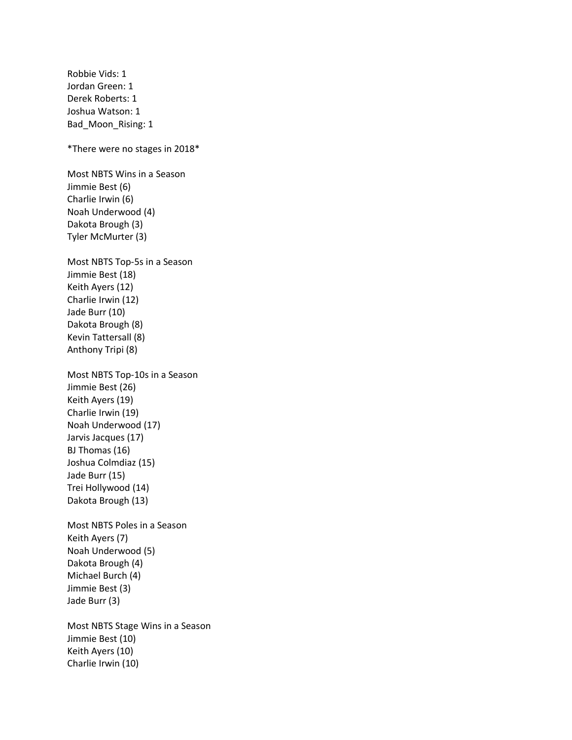Robbie Vids: 1 Jordan Green: 1 Derek Roberts: 1 Joshua Watson: 1 Bad\_Moon\_Rising: 1 \*There were no stages in 2018\* Most NBTS Wins in a Season Jimmie Best (6) Charlie Irwin (6) Noah Underwood (4) Dakota Brough (3) Tyler McMurter (3) Most NBTS Top-5s in a Season Jimmie Best (18) Keith Ayers (12) Charlie Irwin (12) Jade Burr (10) Dakota Brough (8) Kevin Tattersall (8) Anthony Tripi (8) Most NBTS Top-10s in a Season Jimmie Best (26) Keith Ayers (19) Charlie Irwin (19) Noah Underwood (17) Jarvis Jacques (17) BJ Thomas (16) Joshua Colmdiaz (15) Jade Burr (15) Trei Hollywood (14) Dakota Brough (13) Most NBTS Poles in a Season Keith Ayers (7) Noah Underwood (5) Dakota Brough (4) Michael Burch (4) Jimmie Best (3) Jade Burr (3) Most NBTS Stage Wins in a Season Jimmie Best (10) Keith Ayers (10) Charlie Irwin (10)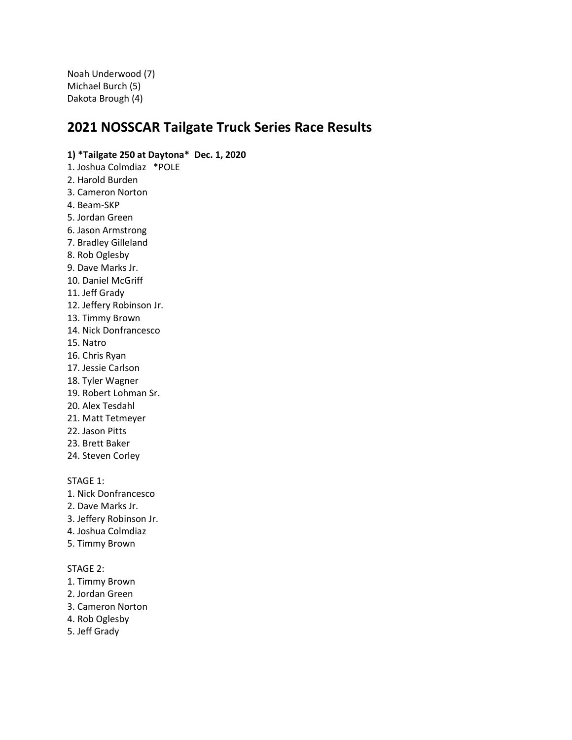Noah Underwood (7) Michael Burch (5) Dakota Brough (4)

# **2021 NOSSCAR Tailgate Truck Series Race Results**

# **1) \*Tailgate 250 at Daytona\* Dec. 1, 2020**

- 1. Joshua Colmdiaz \*POLE
- 2. Harold Burden
- 3. Cameron Norton
- 4. Beam-SKP
- 5. Jordan Green
- 6. Jason Armstrong
- 7. Bradley Gilleland
- 8. Rob Oglesby
- 9. Dave Marks Jr.
- 10. Daniel McGriff
- 11. Jeff Grady
- 12. Jeffery Robinson Jr.
- 13. Timmy Brown
- 14. Nick Donfrancesco
- 15. Natro
- 16. Chris Ryan
- 17. Jessie Carlson
- 18. Tyler Wagner
- 19. Robert Lohman Sr.
- 20. Alex Tesdahl
- 21. Matt Tetmeyer
- 22. Jason Pitts
- 23. Brett Baker
- 24. Steven Corley

STAGE 1:

- 1. Nick Donfrancesco
- 2. Dave Marks Jr.
- 3. Jeffery Robinson Jr.
- 4. Joshua Colmdiaz
- 5. Timmy Brown

- 1. Timmy Brown
- 2. Jordan Green
- 3. Cameron Norton
- 4. Rob Oglesby
- 5. Jeff Grady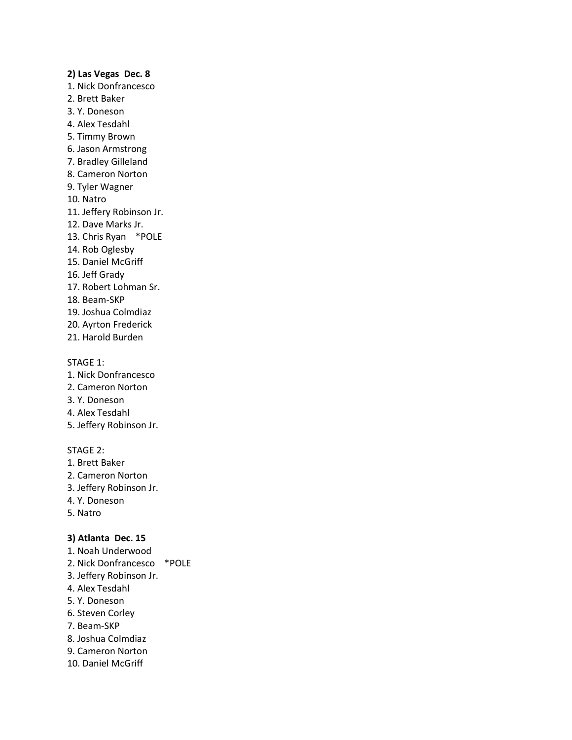#### **2) Las Vegas Dec. 8**

- 1. Nick Donfrancesco
- 2. Brett Baker
- 3. Y. Doneson
- 4. Alex Tesdahl
- 5. Timmy Brown
- 6. Jason Armstrong
- 7. Bradley Gilleland
- 8. Cameron Norton
- 9. Tyler Wagner
- 10. Natro
- 11. Jeffery Robinson Jr.
- 12. Dave Marks Jr.
- 13. Chris Ryan \*POLE
- 14. Rob Oglesby
- 15. Daniel McGriff
- 16. Jeff Grady
- 17. Robert Lohman Sr.
- 18. Beam-SKP
- 19. Joshua Colmdiaz
- 20. Ayrton Frederick
- 21. Harold Burden

#### STAGE 1:

- 1. Nick Donfrancesco
- 2. Cameron Norton
- 3. Y. Doneson
- 4. Alex Tesdahl
- 5. Jeffery Robinson Jr.

#### STAGE 2:

- 1. Brett Baker
- 2. Cameron Norton
- 3. Jeffery Robinson Jr.
- 4. Y. Doneson
- 5. Natro

#### **3) Atlanta Dec. 15**

- 1. Noah Underwood
- 2. Nick Donfrancesco \*POLE
- 3. Jeffery Robinson Jr.
- 4. Alex Tesdahl
- 5. Y. Doneson
- 6. Steven Corley
- 7. Beam-SKP
- 8. Joshua Colmdiaz
- 9. Cameron Norton
- 10. Daniel McGriff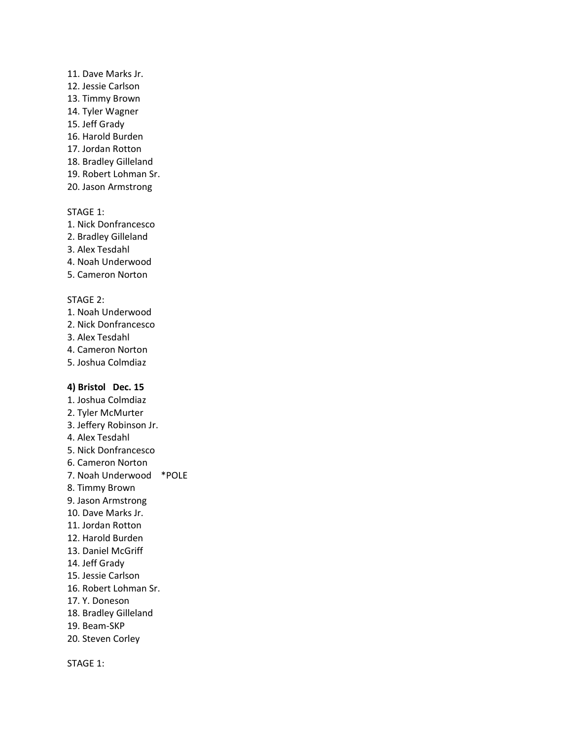- 11. Dave Marks Jr.
- 12. Jessie Carlson
- 13. Timmy Brown
- 14. Tyler Wagner
- 15. Jeff Grady
- 16. Harold Burden
- 17. Jordan Rotton
- 18. Bradley Gilleland
- 19. Robert Lohman Sr.
- 20. Jason Armstrong

- 1. Nick Donfrancesco
- 2. Bradley Gilleland
- 3. Alex Tesdahl
- 4. Noah Underwood
- 5. Cameron Norton

# STAGE 2:

- 1. Noah Underwood
- 2. Nick Donfrancesco
- 3. Alex Tesdahl
- 4. Cameron Norton
- 5. Joshua Colmdiaz

# **4) Bristol Dec. 15**

1. Joshua Colmdiaz 2. Tyler McMurter 3. Jeffery Robinson Jr. 4. Alex Tesdahl 5. Nick Donfrancesco 6. Cameron Norton 7. Noah Underwood \*POLE 8. Timmy Brown 9. Jason Armstrong 10. Dave Marks Jr. 11. Jordan Rotton 12. Harold Burden 13. Daniel McGriff 14. Jeff Grady 15. Jessie Carlson 16. Robert Lohman Sr. 17. Y. Doneson 18. Bradley Gilleland 19. Beam-SKP 20. Steven Corley

STAGE 1: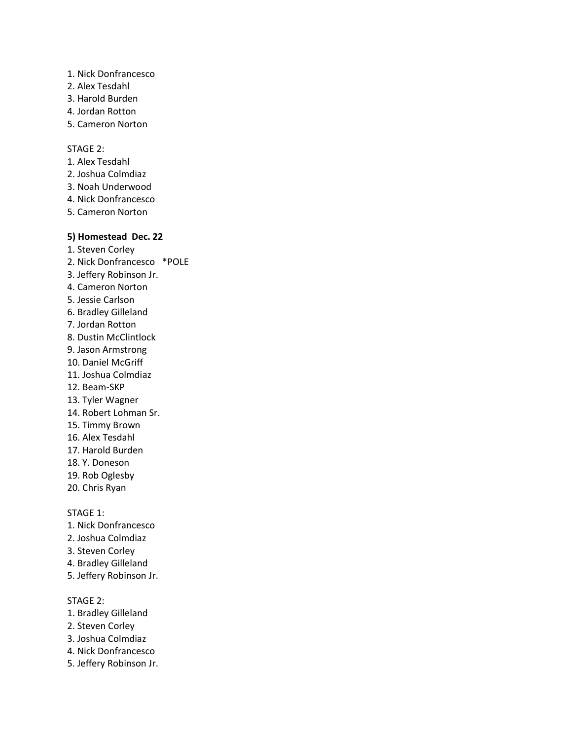- 1. Nick Donfrancesco
- 2. Alex Tesdahl
- 3. Harold Burden
- 4. Jordan Rotton
- 5. Cameron Norton

# STAGE 2:

- 1. Alex Tesdahl
- 2. Joshua Colmdiaz
- 3. Noah Underwood
- 4. Nick Donfrancesco
- 5. Cameron Norton

# **5) Homestead Dec. 22**

- 1. Steven Corley
- 2. Nick Donfrancesco \*POLE
- 3. Jeffery Robinson Jr.
- 4. Cameron Norton
- 5. Jessie Carlson
- 6. Bradley Gilleland
- 7. Jordan Rotton
- 8. Dustin McClintlock
- 9. Jason Armstrong
- 10. Daniel McGriff
- 11. Joshua Colmdiaz
- 12. Beam-SKP
- 13. Tyler Wagner
- 14. Robert Lohman Sr.
- 15. Timmy Brown
- 16. Alex Tesdahl
- 17. Harold Burden
- 18. Y. Doneson
- 19. Rob Oglesby
- 20. Chris Ryan

STAGE 1:

- 1. Nick Donfrancesco
- 2. Joshua Colmdiaz
- 3. Steven Corley
- 4. Bradley Gilleland
- 5. Jeffery Robinson Jr.

- 1. Bradley Gilleland
- 2. Steven Corley
- 3. Joshua Colmdiaz
- 4. Nick Donfrancesco
- 5. Jeffery Robinson Jr.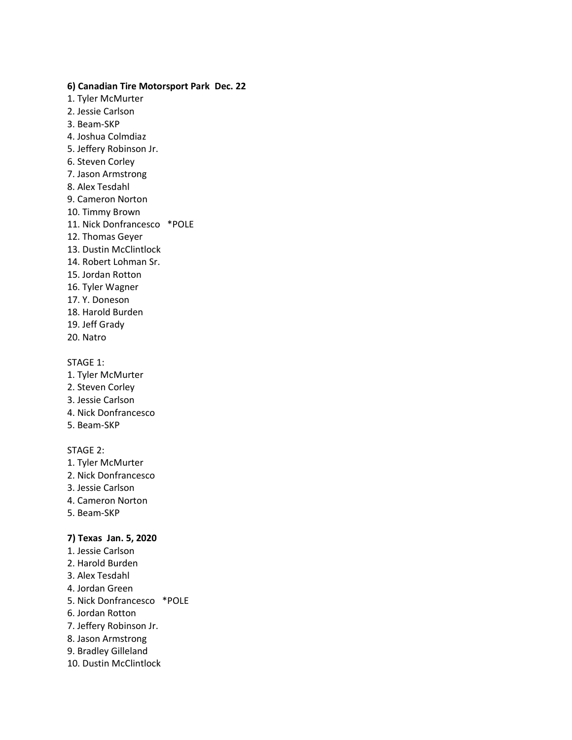## **6) Canadian Tire Motorsport Park Dec. 22**

- 1. Tyler McMurter
- 2. Jessie Carlson
- 3. Beam-SKP
- 4. Joshua Colmdiaz
- 5. Jeffery Robinson Jr.
- 6. Steven Corley
- 7. Jason Armstrong
- 8. Alex Tesdahl
- 9. Cameron Norton
- 10. Timmy Brown
- 11. Nick Donfrancesco \*POLE
- 12. Thomas Geyer
- 13. Dustin McClintlock
- 14. Robert Lohman Sr.
- 15. Jordan Rotton
- 16. Tyler Wagner
- 17. Y. Doneson
- 18. Harold Burden
- 19. Jeff Grady
- 20. Natro

## STAGE 1:

- 1. Tyler McMurter
- 2. Steven Corley
- 3. Jessie Carlson
- 4. Nick Donfrancesco
- 5. Beam-SKP

# STAGE 2:

- 1. Tyler McMurter
- 2. Nick Donfrancesco
- 3. Jessie Carlson
- 4. Cameron Norton
- 5. Beam-SKP

# **7) Texas Jan. 5, 2020**

- 1. Jessie Carlson
- 2. Harold Burden
- 3. Alex Tesdahl
- 4. Jordan Green
- 5. Nick Donfrancesco \*POLE
- 6. Jordan Rotton
- 7. Jeffery Robinson Jr.
- 8. Jason Armstrong
- 9. Bradley Gilleland
- 10. Dustin McClintlock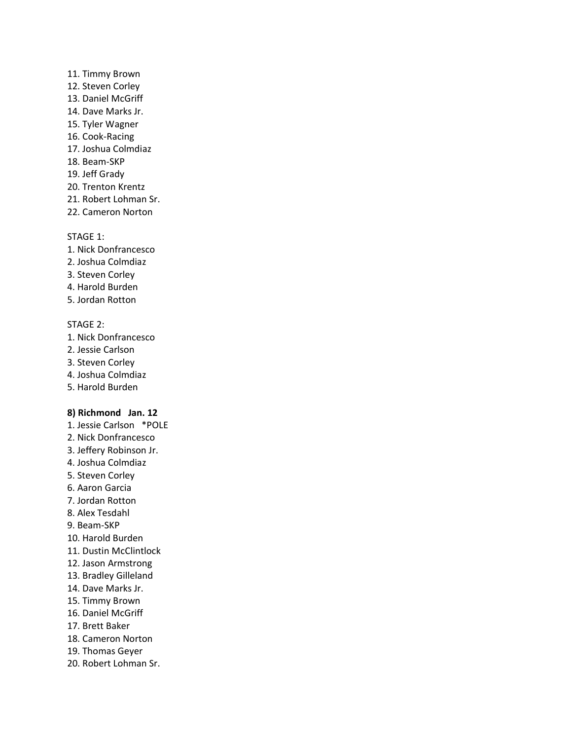## 11. Timmy Brown

- 12. Steven Corley
- 13. Daniel McGriff
- 14. Dave Marks Jr.
- 15. Tyler Wagner
- 16. Cook-Racing
- 17. Joshua Colmdiaz
- 18. Beam-SKP
- 19. Jeff Grady
- 20. Trenton Krentz
- 21. Robert Lohman Sr.
- 22. Cameron Norton

## STAGE 1:

- 1. Nick Donfrancesco
- 2. Joshua Colmdiaz
- 3. Steven Corley
- 4. Harold Burden
- 5. Jordan Rotton

# STAGE 2:

- 1. Nick Donfrancesco
- 2. Jessie Carlson
- 3. Steven Corley
- 4. Joshua Colmdiaz
- 5. Harold Burden

# **8) Richmond Jan. 12**

- 1. Jessie Carlson \*POLE
- 2. Nick Donfrancesco
- 3. Jeffery Robinson Jr.
- 4. Joshua Colmdiaz
- 5. Steven Corley
- 6. Aaron Garcia
- 7. Jordan Rotton
- 8. Alex Tesdahl
- 9. Beam-SKP
- 10. Harold Burden
- 11. Dustin McClintlock
- 12. Jason Armstrong
- 13. Bradley Gilleland
- 14. Dave Marks Jr.
- 15. Timmy Brown
- 16. Daniel McGriff
- 17. Brett Baker
- 18. Cameron Norton
- 19. Thomas Geyer
- 20. Robert Lohman Sr.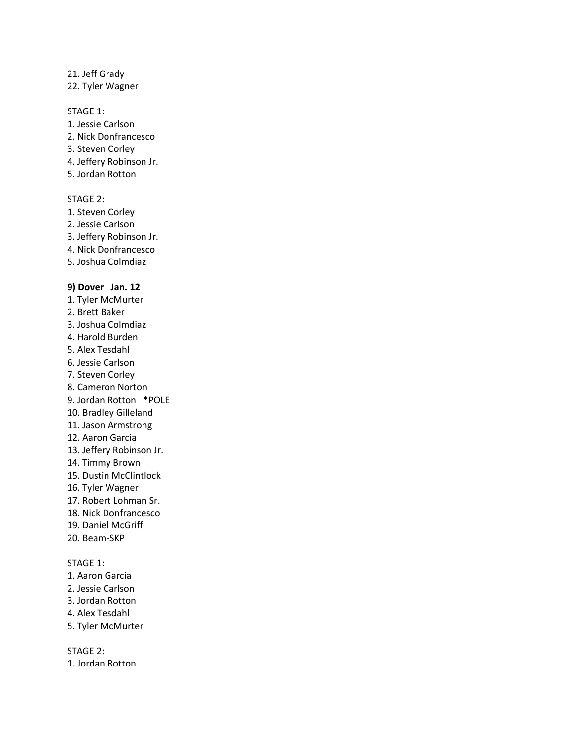#### 21. Jeff Grady

22. Tyler Wagner

### STAGE 1:

- 1. Jessie Carlson
- 2. Nick Donfrancesco
- 3. Steven Corley
- 4. Jeffery Robinson Jr.
- 5. Jordan Rotton

#### STAGE 2:

- 1. Steven Corley
- 2. Jessie Carlson
- 3. Jeffery Robinson Jr.
- 4. Nick Donfrancesco
- 5. Joshua Colmdiaz

#### **9) Dover Jan. 12**

- 1. Tyler McMurter
- 2. Brett Baker
- 3. Joshua Colmdiaz
- 4. Harold Burden
- 5. Alex Tesdahl
- 6. Jessie Carlson
- 7. Steven Corley
- 8. Cameron Norton
- 9. Jordan Rotton \*POLE
- 10. Bradley Gilleland
- 11. Jason Armstrong
- 12. Aaron Garcia
- 13. Jeffery Robinson Jr.
- 14. Timmy Brown
- 15. Dustin McClintlock
- 16. Tyler Wagner
- 17. Robert Lohman Sr.
- 18. Nick Donfrancesco
- 19. Daniel McGriff
- 20. Beam-SKP

#### STAGE 1:

- 1. Aaron Garcia
- 2. Jessie Carlson
- 3. Jordan Rotton
- 4. Alex Tesdahl
- 5. Tyler McMurter

STAGE 2:

1. Jordan Rotton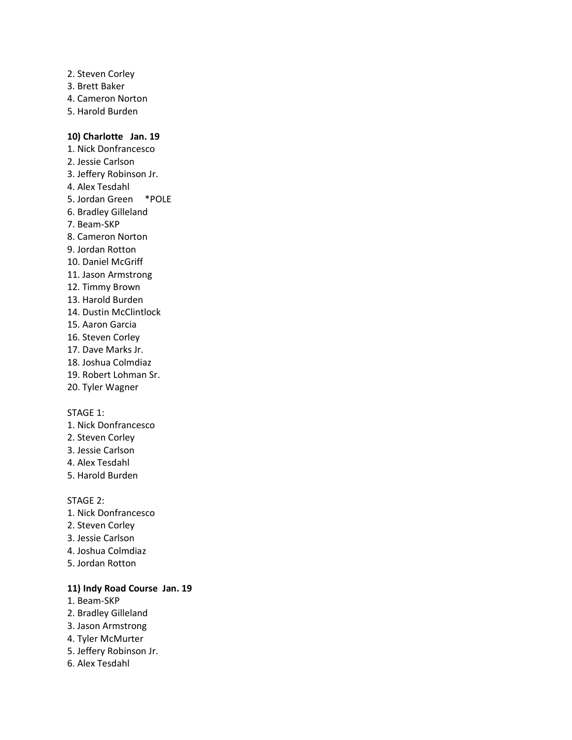- 2. Steven Corley
- 3. Brett Baker
- 4. Cameron Norton
- 5. Harold Burden

## **10) Charlotte Jan. 19**

- 1. Nick Donfrancesco
- 2. Jessie Carlson
- 3. Jeffery Robinson Jr.
- 4. Alex Tesdahl
- 5. Jordan Green \*POLE
- 6. Bradley Gilleland
- 7. Beam-SKP
- 8. Cameron Norton
- 9. Jordan Rotton
- 10. Daniel McGriff
- 11. Jason Armstrong
- 12. Timmy Brown
- 13. Harold Burden
- 14. Dustin McClintlock
- 15. Aaron Garcia
- 16. Steven Corley
- 17. Dave Marks Jr.
- 18. Joshua Colmdiaz
- 19. Robert Lohman Sr.
- 20. Tyler Wagner

## STAGE 1:

- 1. Nick Donfrancesco
- 2. Steven Corley
- 3. Jessie Carlson
- 4. Alex Tesdahl
- 5. Harold Burden

#### STAGE 2:

- 1. Nick Donfrancesco
- 2. Steven Corley
- 3. Jessie Carlson
- 4. Joshua Colmdiaz
- 5. Jordan Rotton

# **11) Indy Road Course Jan. 19**

- 1. Beam-SKP
- 2. Bradley Gilleland
- 3. Jason Armstrong
- 4. Tyler McMurter
- 5. Jeffery Robinson Jr.
- 6. Alex Tesdahl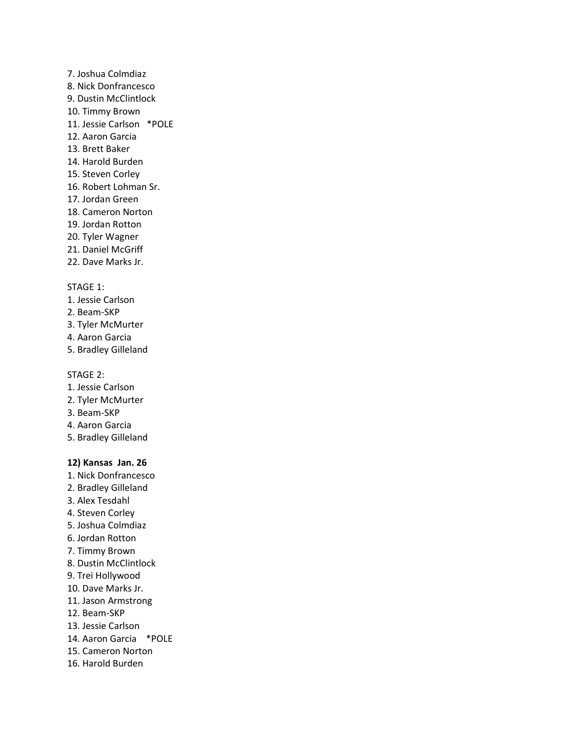- 7. Joshua Colmdiaz
- 8. Nick Donfrancesco
- 9. Dustin McClintlock
- 10. Timmy Brown
- 11. Jessie Carlson \*POLE
- 12. Aaron Garcia
- 13. Brett Baker
- 14. Harold Burden
- 15. Steven Corley
- 16. Robert Lohman Sr.
- 17. Jordan Green
- 18. Cameron Norton
- 19. Jordan Rotton
- 20. Tyler Wagner
- 21. Daniel McGriff
- 22. Dave Marks Jr.

- 1. Jessie Carlson
- 2. Beam-SKP
- 3. Tyler McMurter
- 4. Aaron Garcia
- 5. Bradley Gilleland

## STAGE 2:

- 1. Jessie Carlson
- 2. Tyler McMurter
- 3. Beam-SKP
- 4. Aaron Garcia
- 5. Bradley Gilleland

# **12) Kansas Jan. 26**

- 1. Nick Donfrancesco
- 2. Bradley Gilleland
- 3. Alex Tesdahl
- 4. Steven Corley
- 5. Joshua Colmdiaz
- 6. Jordan Rotton
- 7. Timmy Brown
- 8. Dustin McClintlock
- 9. Trei Hollywood
- 10. Dave Marks Jr.
- 11. Jason Armstrong
- 12. Beam-SKP
- 13. Jessie Carlson
- 14. Aaron Garcia \*POLE
- 15. Cameron Norton
- 16. Harold Burden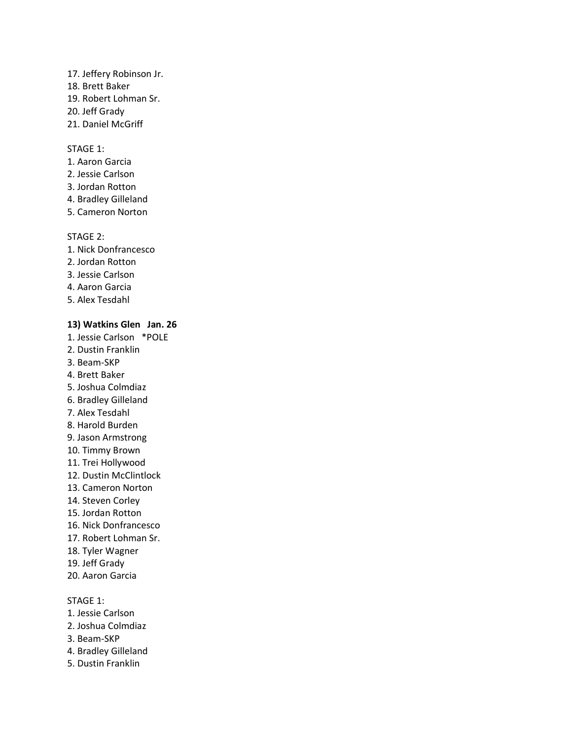#### 17. Jeffery Robinson Jr.

- 18. Brett Baker
- 19. Robert Lohman Sr.
- 20. Jeff Grady
- 21. Daniel McGriff

### STAGE 1:

- 1. Aaron Garcia
- 2. Jessie Carlson
- 3. Jordan Rotton
- 4. Bradley Gilleland
- 5. Cameron Norton

#### STAGE 2:

- 1. Nick Donfrancesco
- 2. Jordan Rotton
- 3. Jessie Carlson
- 4. Aaron Garcia
- 5. Alex Tesdahl

### **13) Watkins Glen Jan. 26**

- 1. Jessie Carlson \*POLE
- 2. Dustin Franklin
- 3. Beam-SKP
- 4. Brett Baker
- 5. Joshua Colmdiaz
- 6. Bradley Gilleland
- 7. Alex Tesdahl
- 8. Harold Burden
- 9. Jason Armstrong
- 10. Timmy Brown
- 11. Trei Hollywood
- 12. Dustin McClintlock
- 13. Cameron Norton
- 14. Steven Corley
- 15. Jordan Rotton
- 16. Nick Donfrancesco
- 17. Robert Lohman Sr.
- 18. Tyler Wagner
- 19. Jeff Grady
- 20. Aaron Garcia

### STAGE 1:

- 1. Jessie Carlson
- 2. Joshua Colmdiaz
- 3. Beam-SKP
- 4. Bradley Gilleland
- 5. Dustin Franklin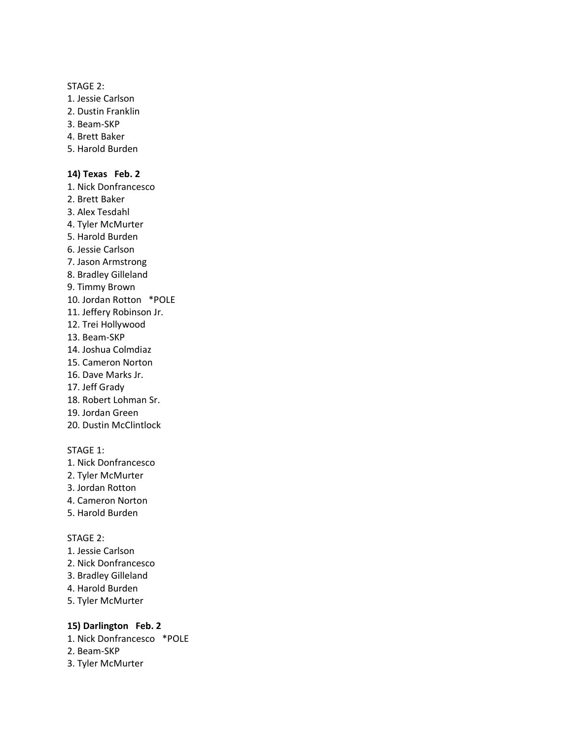#### STAGE 2:

- 1. Jessie Carlson
- 2. Dustin Franklin
- 3. Beam-SKP
- 4. Brett Baker
- 5. Harold Burden

#### **14) Texas Feb. 2**

- 1. Nick Donfrancesco
- 2. Brett Baker
- 3. Alex Tesdahl
- 4. Tyler McMurter
- 5. Harold Burden
- 6. Jessie Carlson
- 7. Jason Armstrong
- 8. Bradley Gilleland
- 9. Timmy Brown
- 10. Jordan Rotton \*POLE
- 11. Jeffery Robinson Jr.
- 12. Trei Hollywood
- 13. Beam-SKP
- 14. Joshua Colmdiaz
- 15. Cameron Norton
- 16. Dave Marks Jr.
- 17. Jeff Grady
- 18. Robert Lohman Sr.
- 19. Jordan Green
- 20. Dustin McClintlock

#### STAGE 1:

- 1. Nick Donfrancesco
- 2. Tyler McMurter
- 3. Jordan Rotton
- 4. Cameron Norton
- 5. Harold Burden

#### STAGE 2:

- 1. Jessie Carlson
- 2. Nick Donfrancesco
- 3. Bradley Gilleland
- 4. Harold Burden
- 5. Tyler McMurter

### **15) Darlington Feb. 2**

- 1. Nick Donfrancesco \*POLE
- 2. Beam-SKP
- 3. Tyler McMurter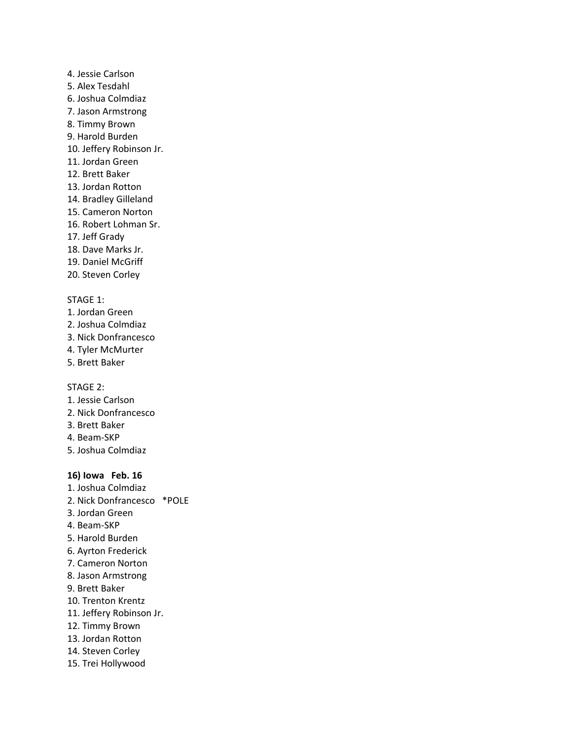- 4. Jessie Carlson
- 5. Alex Tesdahl
- 6. Joshua Colmdiaz
- 7. Jason Armstrong
- 8. Timmy Brown
- 9. Harold Burden
- 10. Jeffery Robinson Jr.
- 11. Jordan Green
- 12. Brett Baker
- 13. Jordan Rotton
- 14. Bradley Gilleland
- 15. Cameron Norton
- 16. Robert Lohman Sr.
- 17. Jeff Grady
- 18. Dave Marks Jr.
- 19. Daniel McGriff
- 20. Steven Corley

- 1. Jordan Green
- 2. Joshua Colmdiaz
- 3. Nick Donfrancesco
- 4. Tyler McMurter
- 5. Brett Baker

### STAGE 2:

- 1. Jessie Carlson
- 2. Nick Donfrancesco
- 3. Brett Baker
- 4. Beam-SKP
- 5. Joshua Colmdiaz

### **16) Iowa Feb. 16**

- 1. Joshua Colmdiaz 2. Nick Donfrancesco \*POLE 3. Jordan Green 4. Beam-SKP 5. Harold Burden 6. Ayrton Frederick 7. Cameron Norton 8. Jason Armstrong 9. Brett Baker 10. Trenton Krentz 11. Jeffery Robinson Jr. 12. Timmy Brown
- 13. Jordan Rotton
- 14. Steven Corley
- 15. Trei Hollywood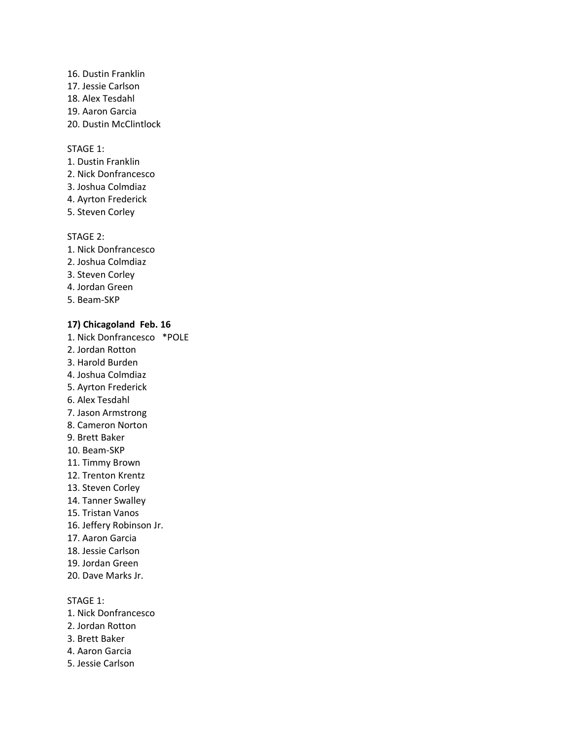- 16. Dustin Franklin 17. Jessie Carlson
- 18. Alex Tesdahl
- 19. Aaron Garcia
- 20. Dustin McClintlock

- 1. Dustin Franklin
- 2. Nick Donfrancesco
- 3. Joshua Colmdiaz
- 4. Ayrton Frederick
- 5. Steven Corley

### STAGE 2:

- 1. Nick Donfrancesco
- 2. Joshua Colmdiaz
- 3. Steven Corley
- 4. Jordan Green
- 5. Beam-SKP

### **17) Chicagoland Feb. 16**

- 1. Nick Donfrancesco \*POLE
- 2. Jordan Rotton
- 3. Harold Burden
- 4. Joshua Colmdiaz
- 5. Ayrton Frederick
- 6. Alex Tesdahl
- 7. Jason Armstrong
- 8. Cameron Norton
- 9. Brett Baker
- 10. Beam-SKP
- 11. Timmy Brown
- 12. Trenton Krentz
- 13. Steven Corley
- 14. Tanner Swalley
- 15. Tristan Vanos
- 16. Jeffery Robinson Jr.
- 17. Aaron Garcia
- 18. Jessie Carlson
- 19. Jordan Green
- 20. Dave Marks Jr.

STAGE 1:

- 1. Nick Donfrancesco
- 2. Jordan Rotton
- 3. Brett Baker
- 4. Aaron Garcia
- 5. Jessie Carlson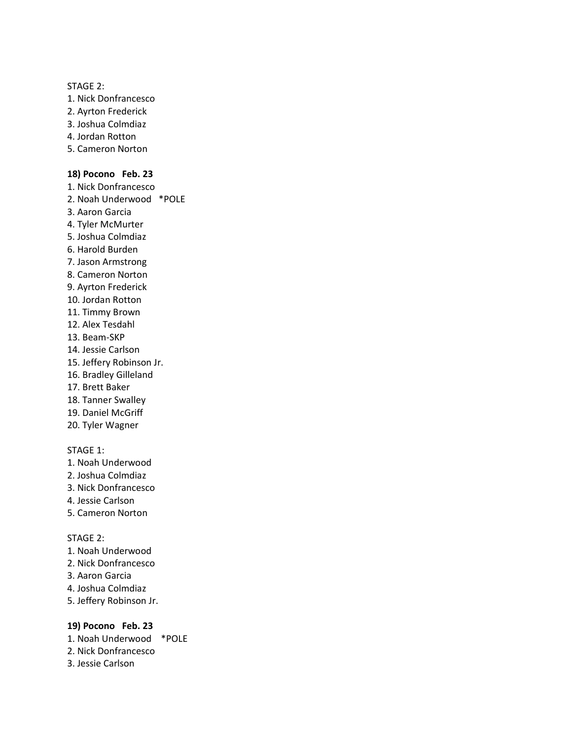#### STAGE 2:

- 1. Nick Donfrancesco
- 2. Ayrton Frederick
- 3. Joshua Colmdiaz
- 4. Jordan Rotton
- 5. Cameron Norton

#### **18) Pocono Feb. 23**

- 1. Nick Donfrancesco
- 2. Noah Underwood \*POLE
- 3. Aaron Garcia
- 4. Tyler McMurter
- 5. Joshua Colmdiaz
- 6. Harold Burden
- 7. Jason Armstrong
- 8. Cameron Norton
- 9. Ayrton Frederick
- 10. Jordan Rotton
- 11. Timmy Brown
- 12. Alex Tesdahl
- 13. Beam-SKP
- 14. Jessie Carlson
- 15. Jeffery Robinson Jr.
- 16. Bradley Gilleland
- 17. Brett Baker
- 18. Tanner Swalley
- 19. Daniel McGriff
- 20. Tyler Wagner

#### STAGE 1:

- 1. Noah Underwood
- 2. Joshua Colmdiaz
- 3. Nick Donfrancesco
- 4. Jessie Carlson
- 5. Cameron Norton

#### STAGE 2:

- 1. Noah Underwood
- 2. Nick Donfrancesco
- 3. Aaron Garcia
- 4. Joshua Colmdiaz
- 5. Jeffery Robinson Jr.

#### **19) Pocono Feb. 23**

- 1. Noah Underwood \*POLE
- 2. Nick Donfrancesco
- 3. Jessie Carlson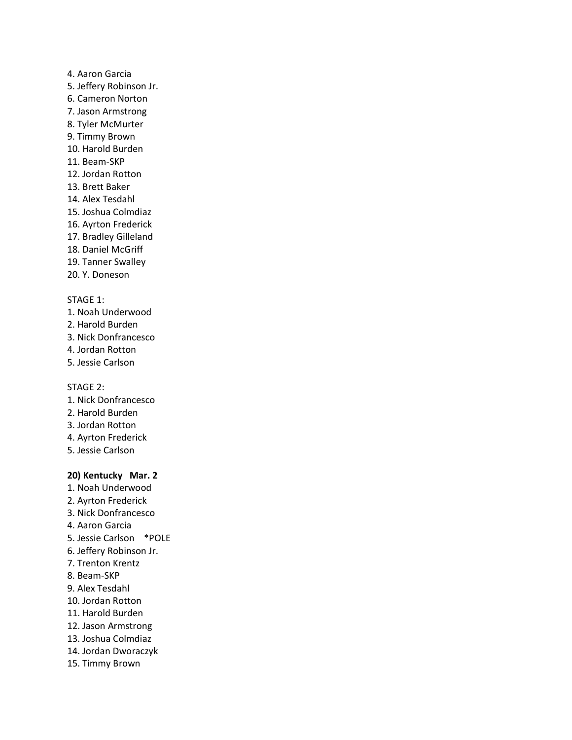#### 4. Aaron Garcia

- 5. Jeffery Robinson Jr.
- 6. Cameron Norton
- 7. Jason Armstrong
- 8. Tyler McMurter
- 9. Timmy Brown
- 10. Harold Burden
- 11. Beam-SKP
- 12. Jordan Rotton
- 13. Brett Baker
- 14. Alex Tesdahl
- 15. Joshua Colmdiaz
- 16. Ayrton Frederick
- 17. Bradley Gilleland
- 18. Daniel McGriff
- 19. Tanner Swalley
- 20. Y. Doneson

#### STAGE 1:

- 1. Noah Underwood
- 2. Harold Burden
- 3. Nick Donfrancesco
- 4. Jordan Rotton
- 5. Jessie Carlson

STAGE 2:

- 1. Nick Donfrancesco
- 2. Harold Burden
- 3. Jordan Rotton
- 4. Ayrton Frederick
- 5. Jessie Carlson

#### **20) Kentucky Mar. 2**

- 1. Noah Underwood
- 2. Ayrton Frederick
- 3. Nick Donfrancesco
- 4. Aaron Garcia
- 5. Jessie Carlson \*POLE
- 6. Jeffery Robinson Jr.
- 7. Trenton Krentz
- 8. Beam-SKP
- 9. Alex Tesdahl
- 10. Jordan Rotton
- 11. Harold Burden
- 12. Jason Armstrong
- 13. Joshua Colmdiaz
- 14. Jordan Dworaczyk
- 15. Timmy Brown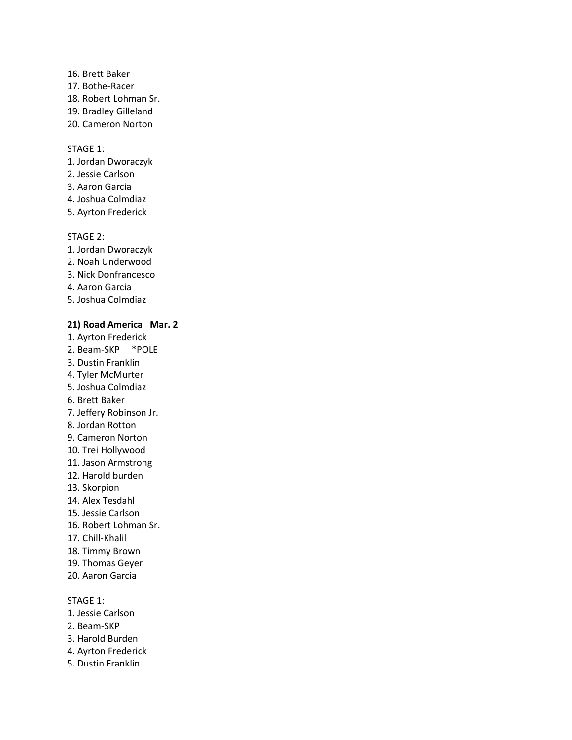- 16. Brett Baker
- 17. Bothe-Racer
- 18. Robert Lohman Sr.
- 19. Bradley Gilleland
- 20. Cameron Norton

- 1. Jordan Dworaczyk
- 2. Jessie Carlson
- 3. Aaron Garcia
- 4. Joshua Colmdiaz
- 5. Ayrton Frederick

### STAGE 2:

- 1. Jordan Dworaczyk
- 2. Noah Underwood
- 3. Nick Donfrancesco
- 4. Aaron Garcia
- 5. Joshua Colmdiaz

### **21) Road America Mar. 2**

- 1. Ayrton Frederick
- 2. Beam-SKP \*POLE
- 3. Dustin Franklin
- 4. Tyler McMurter
- 5. Joshua Colmdiaz
- 6. Brett Baker
- 7. Jeffery Robinson Jr.
- 8. Jordan Rotton
- 9. Cameron Norton
- 10. Trei Hollywood
- 11. Jason Armstrong
- 12. Harold burden
- 13. Skorpion
- 14. Alex Tesdahl
- 15. Jessie Carlson
- 16. Robert Lohman Sr.
- 17. Chill-Khalil
- 18. Timmy Brown
- 19. Thomas Geyer
- 20. Aaron Garcia

### STAGE 1:

- 1. Jessie Carlson
- 2. Beam-SKP
- 3. Harold Burden
- 4. Ayrton Frederick
- 5. Dustin Franklin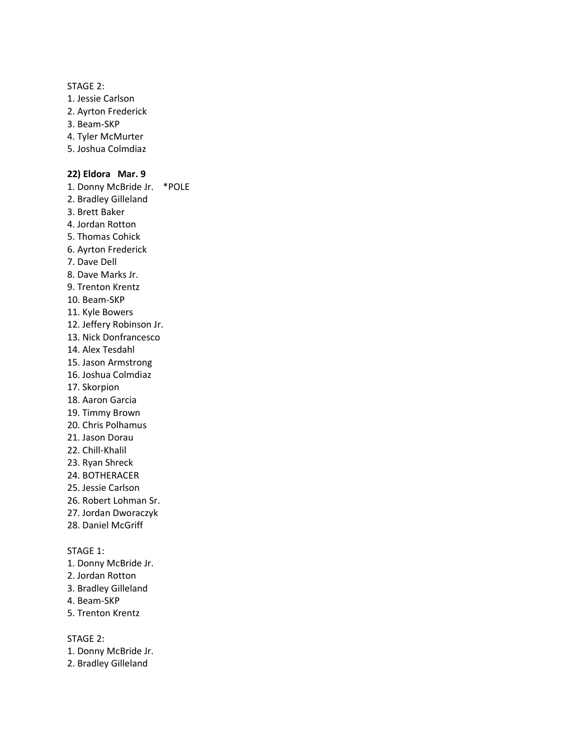STAGE 2:

- 1. Jessie Carlson
- 2. Ayrton Frederick
- 3. Beam-SKP
- 4. Tyler McMurter
- 5. Joshua Colmdiaz

#### **22) Eldora Mar. 9**

1. Donny McBride Jr. \*POLE

- 2. Bradley Gilleland
- 3. Brett Baker
- 4. Jordan Rotton
- 5. Thomas Cohick
- 6. Ayrton Frederick
- 7. Dave Dell
- 8. Dave Marks Jr.
- 9. Trenton Krentz
- 10. Beam-SKP
- 11. Kyle Bowers
- 12. Jeffery Robinson Jr.
- 13. Nick Donfrancesco
- 14. Alex Tesdahl
- 15. Jason Armstrong
- 16. Joshua Colmdiaz
- 17. Skorpion
- 18. Aaron Garcia
- 19. Timmy Brown
- 20. Chris Polhamus
- 21. Jason Dorau
- 22. Chill-Khalil
- 23. Ryan Shreck
- 24. BOTHERACER
- 25. Jessie Carlson
- 26. Robert Lohman Sr.
- 27. Jordan Dworaczyk
- 28. Daniel McGriff

STAGE 1:

- 1. Donny McBride Jr.
- 2. Jordan Rotton
- 3. Bradley Gilleland
- 4. Beam-SKP
- 5. Trenton Krentz

- 1. Donny McBride Jr.
- 2. Bradley Gilleland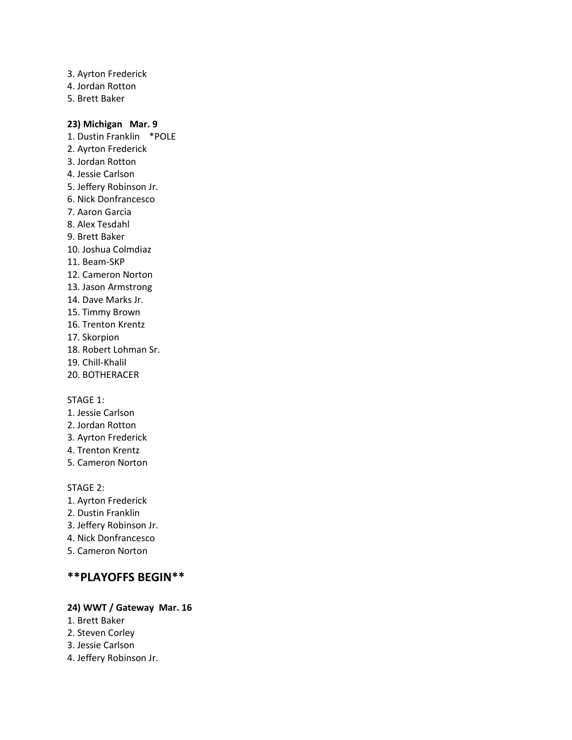- 3. Ayrton Frederick
- 4. Jordan Rotton
- 5. Brett Baker

### **23) Michigan Mar. 9**

1. Dustin Franklin \*POLE 2. Ayrton Frederick 3. Jordan Rotton 4. Jessie Carlson 5. Jeffery Robinson Jr. 6. Nick Donfrancesco 7. Aaron Garcia 8. Alex Tesdahl 9. Brett Baker 10. Joshua Colmdiaz 11. Beam-SKP 12. Cameron Norton 13. Jason Armstrong 14. Dave Marks Jr. 15. Timmy Brown 16. Trenton Krentz 17. Skorpion 18. Robert Lohman Sr. 19. Chill-Khalil 20. BOTHERACER

### STAGE 1:

- 1. Jessie Carlson
- 2. Jordan Rotton
- 3. Ayrton Frederick
- 4. Trenton Krentz
- 5. Cameron Norton

STAGE 2:

- 1. Ayrton Frederick
- 2. Dustin Franklin
- 3. Jeffery Robinson Jr.
- 4. Nick Donfrancesco
- 5. Cameron Norton

# **\*\*PLAYOFFS BEGIN\*\***

### **24) WWT / Gateway Mar. 16**

- 1. Brett Baker
- 2. Steven Corley
- 3. Jessie Carlson
- 4. Jeffery Robinson Jr.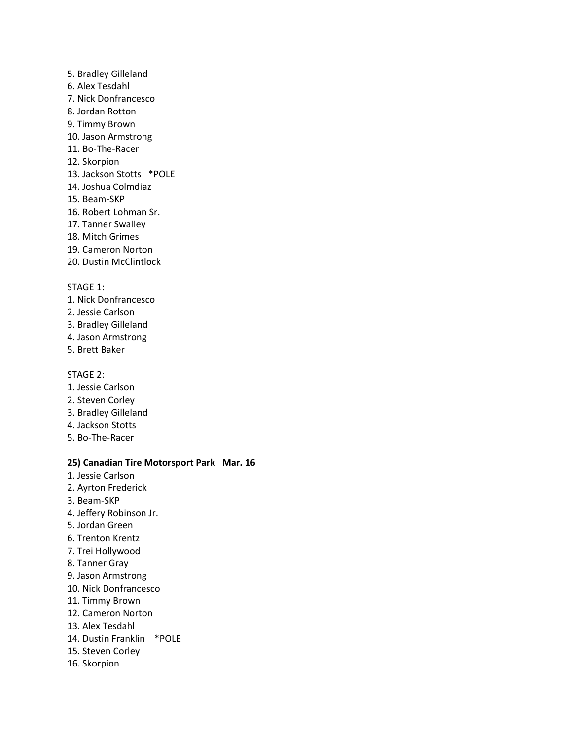- 5. Bradley Gilleland
- 6. Alex Tesdahl
- 7. Nick Donfrancesco
- 8. Jordan Rotton
- 9. Timmy Brown
- 10. Jason Armstrong
- 11. Bo-The-Racer
- 12. Skorpion
- 13. Jackson Stotts \*POLE
- 14. Joshua Colmdiaz
- 15. Beam-SKP
- 16. Robert Lohman Sr.
- 17. Tanner Swalley
- 18. Mitch Grimes
- 19. Cameron Norton
- 20. Dustin McClintlock

- 1. Nick Donfrancesco
- 2. Jessie Carlson
- 3. Bradley Gilleland
- 4. Jason Armstrong
- 5. Brett Baker

### STAGE 2:

- 1. Jessie Carlson
- 2. Steven Corley
- 3. Bradley Gilleland
- 4. Jackson Stotts
- 5. Bo-The-Racer

#### **25) Canadian Tire Motorsport Park Mar. 16**

- 1. Jessie Carlson
- 2. Ayrton Frederick
- 3. Beam-SKP
- 4. Jeffery Robinson Jr.
- 5. Jordan Green
- 6. Trenton Krentz
- 7. Trei Hollywood
- 8. Tanner Gray
- 9. Jason Armstrong
- 10. Nick Donfrancesco
- 11. Timmy Brown
- 12. Cameron Norton
- 13. Alex Tesdahl
- 14. Dustin Franklin \*POLE
- 15. Steven Corley
- 16. Skorpion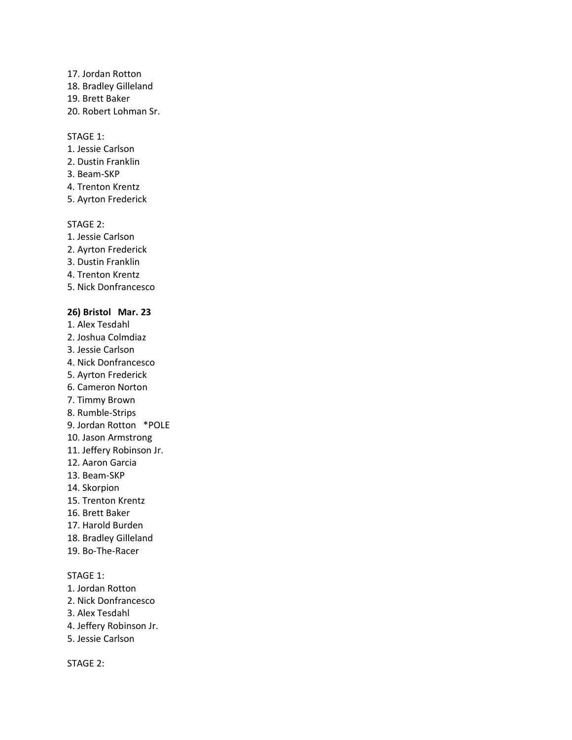- 17. Jordan Rotton
- 18. Bradley Gilleland
- 19. Brett Baker
- 20. Robert Lohman Sr.

- 1. Jessie Carlson
- 2. Dustin Franklin
- 3. Beam-SKP
- 4. Trenton Krentz
- 5. Ayrton Frederick

#### STAGE 2:

- 1. Jessie Carlson
- 2. Ayrton Frederick
- 3. Dustin Franklin
- 4. Trenton Krentz
- 5. Nick Donfrancesco

#### **26) Bristol Mar. 23**

- 1. Alex Tesdahl
- 2. Joshua Colmdiaz
- 3. Jessie Carlson
- 4. Nick Donfrancesco
- 5. Ayrton Frederick
- 6. Cameron Norton
- 7. Timmy Brown
- 8. Rumble-Strips
- 9. Jordan Rotton \*POLE
- 10. Jason Armstrong
- 11. Jeffery Robinson Jr.
- 12. Aaron Garcia
- 13. Beam-SKP
- 14. Skorpion
- 15. Trenton Krentz
- 16. Brett Baker
- 17. Harold Burden
- 18. Bradley Gilleland
- 19. Bo-The-Racer

### STAGE 1:

- 1. Jordan Rotton
- 2. Nick Donfrancesco
- 3. Alex Tesdahl
- 4. Jeffery Robinson Jr.
- 5. Jessie Carlson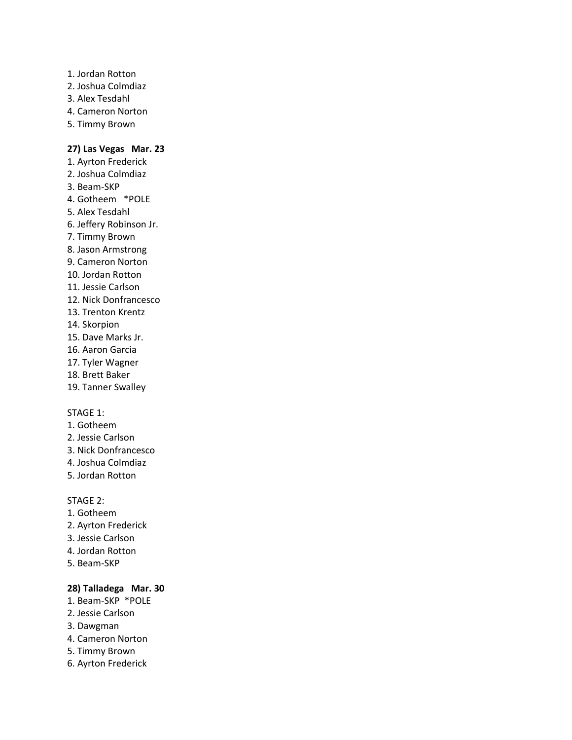- 1. Jordan Rotton
- 2. Joshua Colmdiaz
- 3. Alex Tesdahl
- 4. Cameron Norton
- 5. Timmy Brown

### **27) Las Vegas Mar. 23**

- 1. Ayrton Frederick 2. Joshua Colmdiaz 3. Beam-SKP
- 4. Gotheem \*POLE
- 5. Alex Tesdahl
- 6. Jeffery Robinson Jr.
- 7. Timmy Brown
- 8. Jason Armstrong
- 9. Cameron Norton
- 10. Jordan Rotton
- 11. Jessie Carlson
- 12. Nick Donfrancesco
- 13. Trenton Krentz
- 14. Skorpion
- 15. Dave Marks Jr.
- 16. Aaron Garcia
- 17. Tyler Wagner
- 18. Brett Baker
- 19. Tanner Swalley

### STAGE 1:

- 1. Gotheem
- 2. Jessie Carlson
- 3. Nick Donfrancesco
- 4. Joshua Colmdiaz
- 5. Jordan Rotton

### STAGE 2:

- 1. Gotheem
- 2. Ayrton Frederick
- 3. Jessie Carlson
- 4. Jordan Rotton
- 5. Beam-SKP

### **28) Talladega Mar. 30**

- 1. Beam-SKP \*POLE
- 2. Jessie Carlson
- 3. Dawgman
- 4. Cameron Norton
- 5. Timmy Brown
- 6. Ayrton Frederick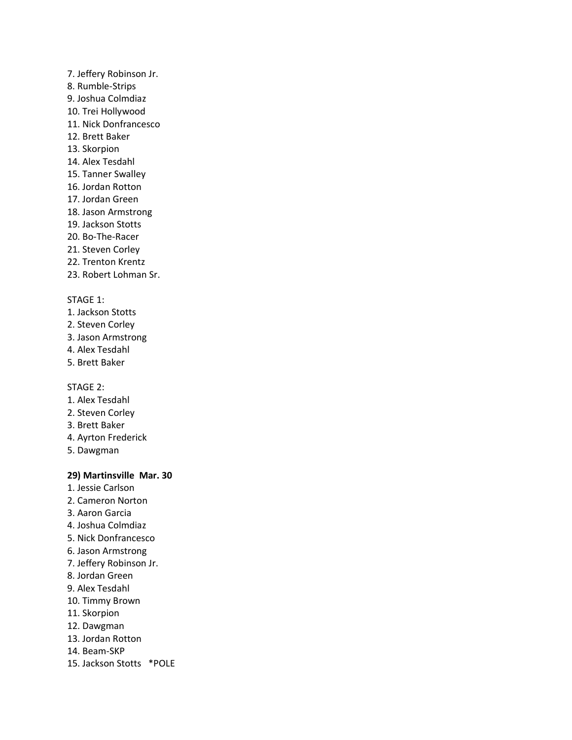- 7. Jeffery Robinson Jr.
- 8. Rumble-Strips
- 9. Joshua Colmdiaz
- 10. Trei Hollywood
- 11. Nick Donfrancesco
- 12. Brett Baker
- 13. Skorpion
- 14. Alex Tesdahl
- 15. Tanner Swalley
- 16. Jordan Rotton
- 17. Jordan Green
- 18. Jason Armstrong
- 19. Jackson Stotts
- 20. Bo-The-Racer
- 21. Steven Corley
- 22. Trenton Krentz
- 23. Robert Lohman Sr.

- 1. Jackson Stotts
- 2. Steven Corley
- 3. Jason Armstrong
- 4. Alex Tesdahl
- 5. Brett Baker

STAGE 2:

- 1. Alex Tesdahl
- 2. Steven Corley
- 3. Brett Baker
- 4. Ayrton Frederick
- 5. Dawgman

### **29) Martinsville Mar. 30**

- 1. Jessie Carlson
- 2. Cameron Norton
- 3. Aaron Garcia
- 4. Joshua Colmdiaz
- 5. Nick Donfrancesco
- 6. Jason Armstrong
- 7. Jeffery Robinson Jr.
- 8. Jordan Green
- 9. Alex Tesdahl
- 10. Timmy Brown
- 11. Skorpion
- 12. Dawgman
- 13. Jordan Rotton
- 14. Beam-SKP
- 15. Jackson Stotts \*POLE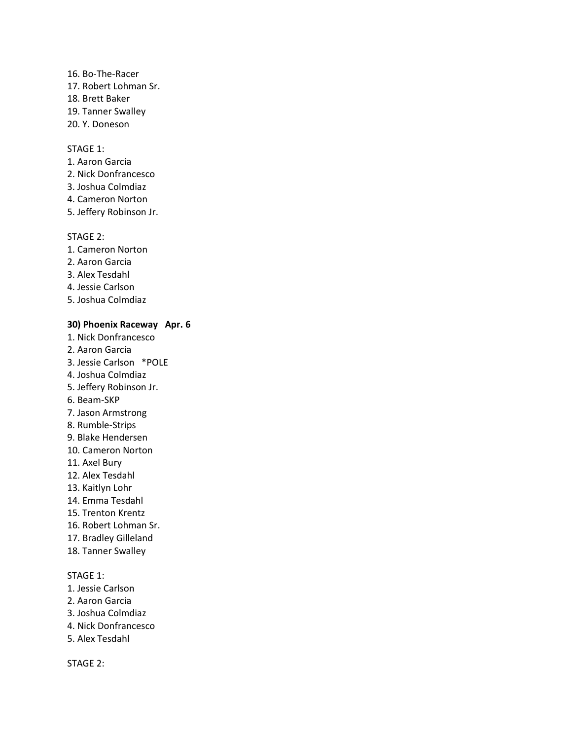- 16. Bo-The-Racer
- 17. Robert Lohman Sr.
- 18. Brett Baker
- 19. Tanner Swalley
- 20. Y. Doneson

- 1. Aaron Garcia
- 2. Nick Donfrancesco
- 3. Joshua Colmdiaz
- 4. Cameron Norton
- 5. Jeffery Robinson Jr.

#### STAGE 2:

- 1. Cameron Norton
- 2. Aaron Garcia
- 3. Alex Tesdahl
- 4. Jessie Carlson
- 5. Joshua Colmdiaz

### **30) Phoenix Raceway Apr. 6**

- 1. Nick Donfrancesco
- 2. Aaron Garcia
- 3. Jessie Carlson \*POLE
- 4. Joshua Colmdiaz
- 5. Jeffery Robinson Jr.
- 6. Beam-SKP
- 7. Jason Armstrong
- 8. Rumble-Strips
- 9. Blake Hendersen
- 10. Cameron Norton
- 11. Axel Bury
- 12. Alex Tesdahl
- 13. Kaitlyn Lohr
- 14. Emma Tesdahl
- 15. Trenton Krentz
- 16. Robert Lohman Sr.
- 17. Bradley Gilleland
- 18. Tanner Swalley

### STAGE 1:

- 1. Jessie Carlson
- 2. Aaron Garcia
- 3. Joshua Colmdiaz
- 4. Nick Donfrancesco
- 5. Alex Tesdahl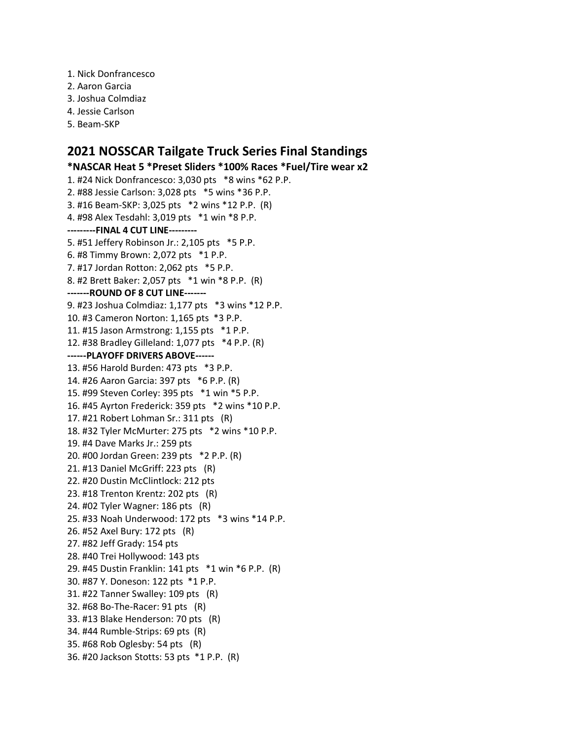- 1. Nick Donfrancesco
- 2. Aaron Garcia
- 3. Joshua Colmdiaz
- 4. Jessie Carlson
- 5. Beam-SKP

## **2021 NOSSCAR Tailgate Truck Series Final Standings**

**\*NASCAR Heat 5 \*Preset Sliders \*100% Races \*Fuel/Tire wear x2** 1. #24 Nick Donfrancesco: 3,030 pts \*8 wins \*62 P.P. 2. #88 Jessie Carlson: 3,028 pts \*5 wins \*36 P.P. 3. #16 Beam-SKP: 3,025 pts \*2 wins \*12 P.P. (R) 4. #98 Alex Tesdahl: 3,019 pts \*1 win \*8 P.P. **---------FINAL 4 CUT LINE---------** 5. #51 Jeffery Robinson Jr.: 2,105 pts \*5 P.P. 6. #8 Timmy Brown: 2,072 pts \*1 P.P. 7. #17 Jordan Rotton: 2,062 pts \*5 P.P. 8. #2 Brett Baker: 2,057 pts \*1 win \*8 P.P. (R) **-------ROUND OF 8 CUT LINE-------** 9. #23 Joshua Colmdiaz: 1,177 pts \*3 wins \*12 P.P. 10. #3 Cameron Norton: 1,165 pts \*3 P.P. 11. #15 Jason Armstrong: 1,155 pts \*1 P.P. 12. #38 Bradley Gilleland: 1,077 pts \*4 P.P. (R) **------PLAYOFF DRIVERS ABOVE------** 13. #56 Harold Burden: 473 pts \*3 P.P. 14. #26 Aaron Garcia: 397 pts \*6 P.P. (R) 15. #99 Steven Corley: 395 pts \*1 win \*5 P.P. 16. #45 Ayrton Frederick: 359 pts \*2 wins \*10 P.P. 17. #21 Robert Lohman Sr.: 311 pts (R) 18. #32 Tyler McMurter: 275 pts \*2 wins \*10 P.P. 19. #4 Dave Marks Jr.: 259 pts 20. #00 Jordan Green: 239 pts \*2 P.P. (R) 21. #13 Daniel McGriff: 223 pts (R) 22. #20 Dustin McClintlock: 212 pts 23. #18 Trenton Krentz: 202 pts (R) 24. #02 Tyler Wagner: 186 pts (R) 25. #33 Noah Underwood: 172 pts \*3 wins \*14 P.P. 26. #52 Axel Bury: 172 pts (R) 27. #82 Jeff Grady: 154 pts 28. #40 Trei Hollywood: 143 pts 29. #45 Dustin Franklin: 141 pts \*1 win \*6 P.P. (R) 30. #87 Y. Doneson: 122 pts \*1 P.P. 31. #22 Tanner Swalley: 109 pts (R) 32. #68 Bo-The-Racer: 91 pts (R) 33. #13 Blake Henderson: 70 pts (R) 34. #44 Rumble-Strips: 69 pts (R) 35. #68 Rob Oglesby: 54 pts (R) 36. #20 Jackson Stotts: 53 pts \*1 P.P. (R)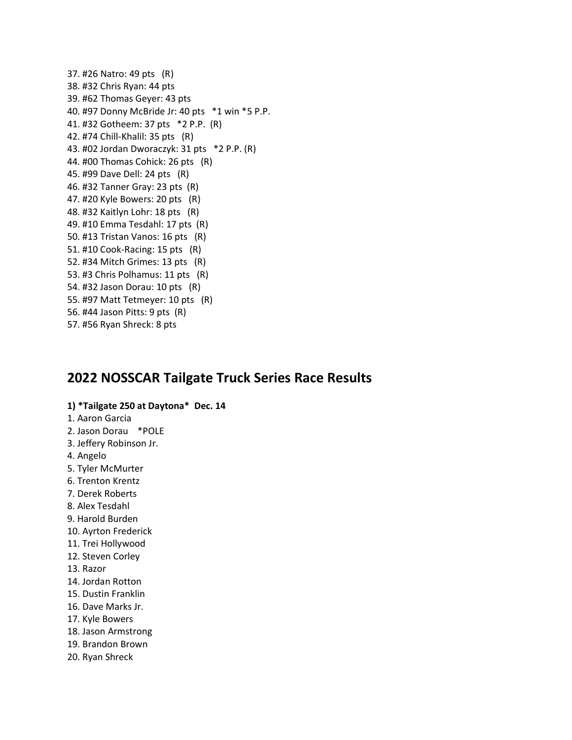37. #26 Natro: 49 pts (R) 38. #32 Chris Ryan: 44 pts 39. #62 Thomas Geyer: 43 pts 40. #97 Donny McBride Jr: 40 pts \*1 win \*5 P.P. 41. #32 Gotheem: 37 pts \*2 P.P. (R) 42. #74 Chill-Khalil: 35 pts (R) 43. #02 Jordan Dworaczyk: 31 pts \*2 P.P. (R) 44. #00 Thomas Cohick: 26 pts (R) 45. #99 Dave Dell: 24 pts (R) 46. #32 Tanner Gray: 23 pts (R) 47. #20 Kyle Bowers: 20 pts (R) 48. #32 Kaitlyn Lohr: 18 pts (R) 49. #10 Emma Tesdahl: 17 pts (R) 50. #13 Tristan Vanos: 16 pts (R) 51. #10 Cook-Racing: 15 pts (R) 52. #34 Mitch Grimes: 13 pts (R) 53. #3 Chris Polhamus: 11 pts (R) 54. #32 Jason Dorau: 10 pts (R) 55. #97 Matt Tetmeyer: 10 pts (R) 56. #44 Jason Pitts: 9 pts (R) 57. #56 Ryan Shreck: 8 pts

# **2022 NOSSCAR Tailgate Truck Series Race Results**

#### **1) \*Tailgate 250 at Daytona\* Dec. 14**

#### 1. Aaron Garcia

- 2. Jason Dorau \*POLE
- 3. Jeffery Robinson Jr.
- 4. Angelo
- 5. Tyler McMurter
- 6. Trenton Krentz
- 7. Derek Roberts
- 8. Alex Tesdahl
- 9. Harold Burden
- 10. Ayrton Frederick
- 11. Trei Hollywood
- 12. Steven Corley
- 13. Razor
- 14. Jordan Rotton
- 15. Dustin Franklin
- 16. Dave Marks Jr.
- 17. Kyle Bowers
- 18. Jason Armstrong
- 19. Brandon Brown
- 20. Ryan Shreck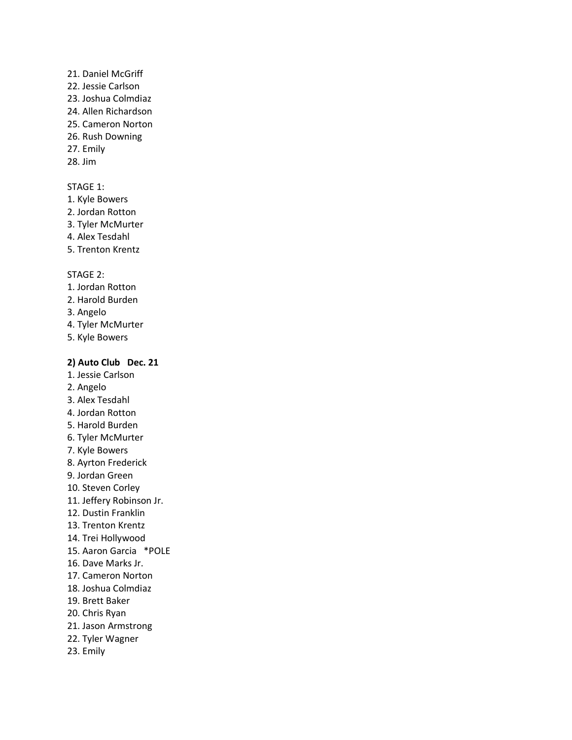- 21. Daniel McGriff
- 22. Jessie Carlson
- 23. Joshua Colmdiaz
- 24. Allen Richardson
- 25. Cameron Norton
- 26. Rush Downing
- 27. Emily
- 28. Jim

- 1. Kyle Bowers
- 2. Jordan Rotton
- 3. Tyler McMurter
- 4. Alex Tesdahl
- 5. Trenton Krentz

### STAGE 2:

- 1. Jordan Rotton
- 2. Harold Burden
- 3. Angelo
- 4. Tyler McMurter
- 5. Kyle Bowers

### **2) Auto Club Dec. 21**

- 1. Jessie Carlson
- 2. Angelo
- 3. Alex Tesdahl
- 4. Jordan Rotton
- 5. Harold Burden
- 6. Tyler McMurter
- 7. Kyle Bowers
- 8. Ayrton Frederick
- 9. Jordan Green
- 10. Steven Corley
- 11. Jeffery Robinson Jr.
- 12. Dustin Franklin
- 13. Trenton Krentz
- 14. Trei Hollywood
- 15. Aaron Garcia \*POLE
- 16. Dave Marks Jr.
- 17. Cameron Norton
- 18. Joshua Colmdiaz
- 19. Brett Baker
- 20. Chris Ryan
- 21. Jason Armstrong
- 22. Tyler Wagner
- 23. Emily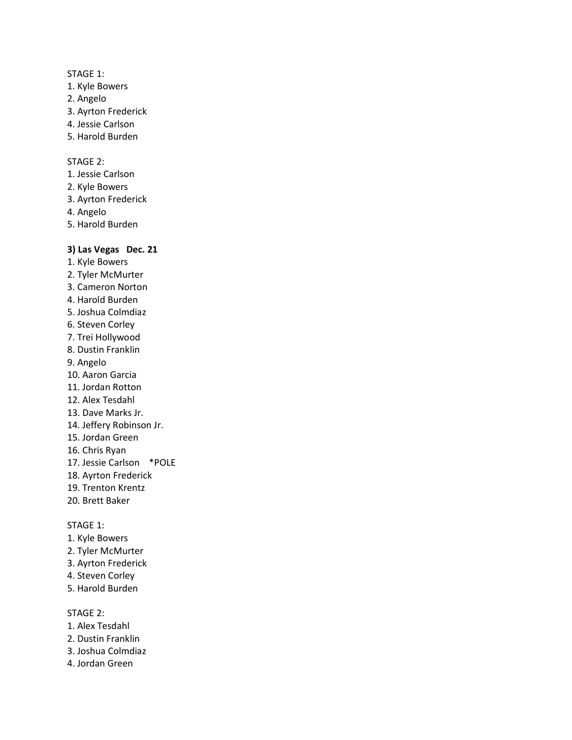- 1. Kyle Bowers
- 2. Angelo
- 3. Ayrton Frederick
- 4. Jessie Carlson
- 5. Harold Burden

### STAGE 2:

- 1. Jessie Carlson
- 2. Kyle Bowers
- 3. Ayrton Frederick
- 4. Angelo
- 5. Harold Burden

#### **3) Las Vegas Dec. 21**

- 1. Kyle Bowers
- 2. Tyler McMurter
- 3. Cameron Norton
- 4. Harold Burden
- 5. Joshua Colmdiaz
- 6. Steven Corley
- 7. Trei Hollywood
- 8. Dustin Franklin
- 9. Angelo
- 10. Aaron Garcia
- 11. Jordan Rotton
- 12. Alex Tesdahl
- 13. Dave Marks Jr.
- 14. Jeffery Robinson Jr.
- 15. Jordan Green
- 16. Chris Ryan
- 17. Jessie Carlson \*POLE
- 18. Ayrton Frederick
- 19. Trenton Krentz
- 20. Brett Baker

#### STAGE 1:

- 1. Kyle Bowers
- 2. Tyler McMurter
- 3. Ayrton Frederick
- 4. Steven Corley
- 5. Harold Burden

- 1. Alex Tesdahl
- 2. Dustin Franklin
- 3. Joshua Colmdiaz
- 4. Jordan Green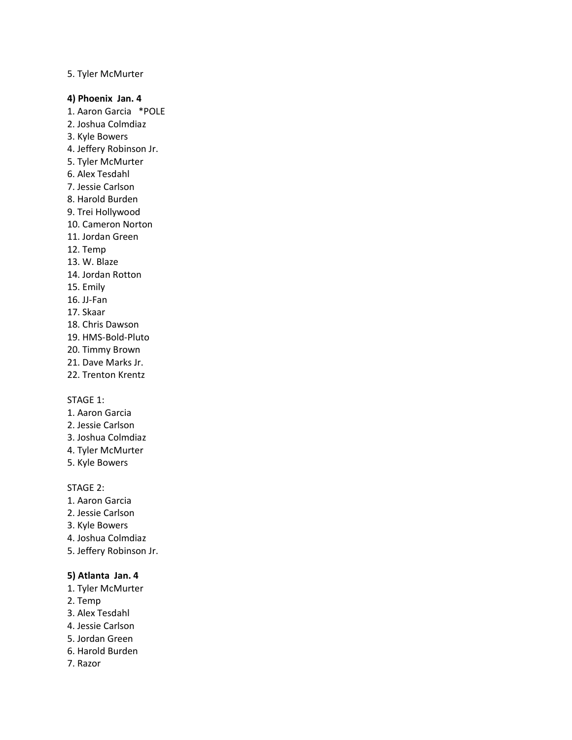#### 5. Tyler McMurter

#### **4) Phoenix Jan. 4**

- 1. Aaron Garcia \*POLE
- 2. Joshua Colmdiaz
- 3. Kyle Bowers
- 4. Jeffery Robinson Jr.
- 5. Tyler McMurter
- 6. Alex Tesdahl
- 7. Jessie Carlson
- 8. Harold Burden
- 9. Trei Hollywood
- 10. Cameron Norton
- 11. Jordan Green
- 12. Temp
- 13. W. Blaze
- 14. Jordan Rotton
- 15. Emily
- 16. JJ-Fan
- 17. Skaar
- 18. Chris Dawson
- 19. HMS-Bold-Pluto
- 20. Timmy Brown
- 21. Dave Marks Jr.
- 22. Trenton Krentz

#### STAGE 1:

- 1. Aaron Garcia
- 2. Jessie Carlson
- 3. Joshua Colmdiaz
- 4. Tyler McMurter
- 5. Kyle Bowers

### STAGE 2:

- 1. Aaron Garcia
- 2. Jessie Carlson
- 3. Kyle Bowers
- 4. Joshua Colmdiaz
- 5. Jeffery Robinson Jr.

### **5) Atlanta Jan. 4**

- 1. Tyler McMurter
- 2. Temp
- 3. Alex Tesdahl
- 4. Jessie Carlson
- 5. Jordan Green
- 6. Harold Burden
- 7. Razor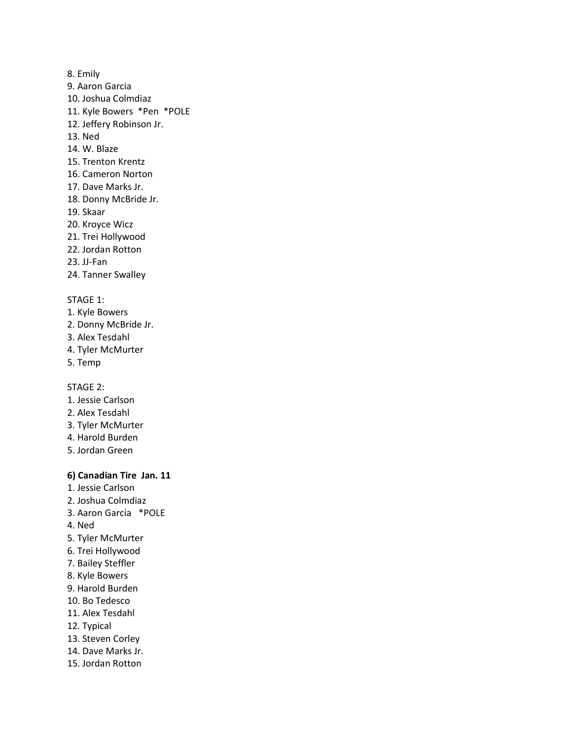- 8. Emily
- 9. Aaron Garcia
- 10. Joshua Colmdiaz
- 11. Kyle Bowers \*Pen \*POLE
- 12. Jeffery Robinson Jr.
- 13. Ned
- 14. W. Blaze
- 15. Trenton Krentz
- 16. Cameron Norton
- 17. Dave Marks Jr.
- 18. Donny McBride Jr.
- 19. Skaar
- 20. Kroyce Wicz
- 21. Trei Hollywood
- 22. Jordan Rotton
- 23. JJ-Fan
- 24. Tanner Swalley

- 1. Kyle Bowers
- 2. Donny McBride Jr.
- 3. Alex Tesdahl
- 4. Tyler McMurter
- 5. Temp

STAGE 2:

- 1. Jessie Carlson
- 2. Alex Tesdahl
- 3. Tyler McMurter
- 4. Harold Burden
- 5. Jordan Green

### **6) Canadian Tire Jan. 11**

- 1. Jessie Carlson
- 2. Joshua Colmdiaz
- 3. Aaron Garcia \*POLE
- 4. Ned
- 5. Tyler McMurter
- 6. Trei Hollywood
- 7. Bailey Steffler
- 8. Kyle Bowers
- 9. Harold Burden
- 10. Bo Tedesco
- 11. Alex Tesdahl
- 12. Typical
- 13. Steven Corley
- 14. Dave Marks Jr.
- 15. Jordan Rotton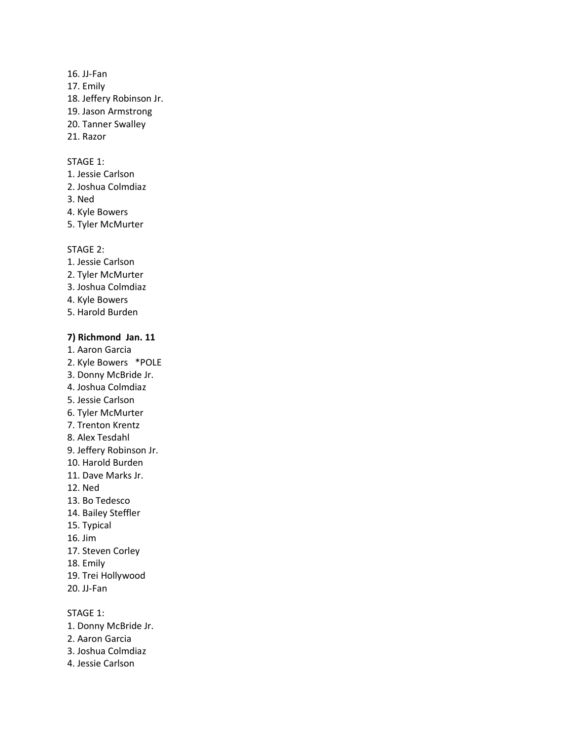### 16. JJ-Fan

- 17. Emily
- 18. Jeffery Robinson Jr.
- 19. Jason Armstrong
- 20. Tanner Swalley
- 21. Razor

### STAGE 1:

- 1. Jessie Carlson
- 2. Joshua Colmdiaz
- 3. Ned
- 4. Kyle Bowers
- 5. Tyler McMurter

#### STAGE 2:

- 1. Jessie Carlson
- 2. Tyler McMurter
- 3. Joshua Colmdiaz
- 4. Kyle Bowers
- 5. Harold Burden

#### **7) Richmond Jan. 11**

- 1. Aaron Garcia
- 2. Kyle Bowers \*POLE
- 3. Donny McBride Jr.
- 4. Joshua Colmdiaz
- 5. Jessie Carlson
- 6. Tyler McMurter
- 7. Trenton Krentz
- 8. Alex Tesdahl
- 9. Jeffery Robinson Jr.
- 10. Harold Burden
- 11. Dave Marks Jr.
- 12. Ned
- 13. Bo Tedesco
- 14. Bailey Steffler
- 15. Typical
- 16. Jim
- 17. Steven Corley
- 18. Emily
- 19. Trei Hollywood
- 20. JJ-Fan

STAGE 1:

- 1. Donny McBride Jr.
- 2. Aaron Garcia
- 3. Joshua Colmdiaz
- 4. Jessie Carlson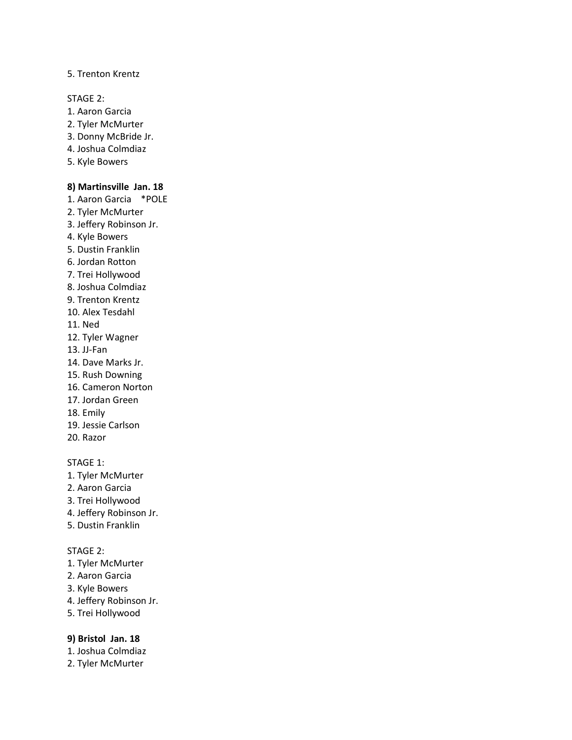#### 5. Trenton Krentz

STAGE 2:

- 1. Aaron Garcia
- 2. Tyler McMurter
- 3. Donny McBride Jr.
- 4. Joshua Colmdiaz
- 5. Kyle Bowers

#### **8) Martinsville Jan. 18**

- 1. Aaron Garcia \*POLE
- 2. Tyler McMurter
- 3. Jeffery Robinson Jr.
- 4. Kyle Bowers
- 5. Dustin Franklin
- 6. Jordan Rotton
- 7. Trei Hollywood
- 8. Joshua Colmdiaz
- 9. Trenton Krentz
- 10. Alex Tesdahl
- 11. Ned
- 12. Tyler Wagner
- 13. JJ-Fan
- 14. Dave Marks Jr.
- 15. Rush Downing
- 16. Cameron Norton
- 17. Jordan Green
- 18. Emily
- 19. Jessie Carlson
- 20. Razor

### STAGE 1:

- 1. Tyler McMurter
- 2. Aaron Garcia
- 3. Trei Hollywood
- 4. Jeffery Robinson Jr.
- 5. Dustin Franklin

### STAGE 2:

- 1. Tyler McMurter
- 2. Aaron Garcia
- 3. Kyle Bowers
- 4. Jeffery Robinson Jr.
- 5. Trei Hollywood

### **9) Bristol Jan. 18**

- 1. Joshua Colmdiaz
- 2. Tyler McMurter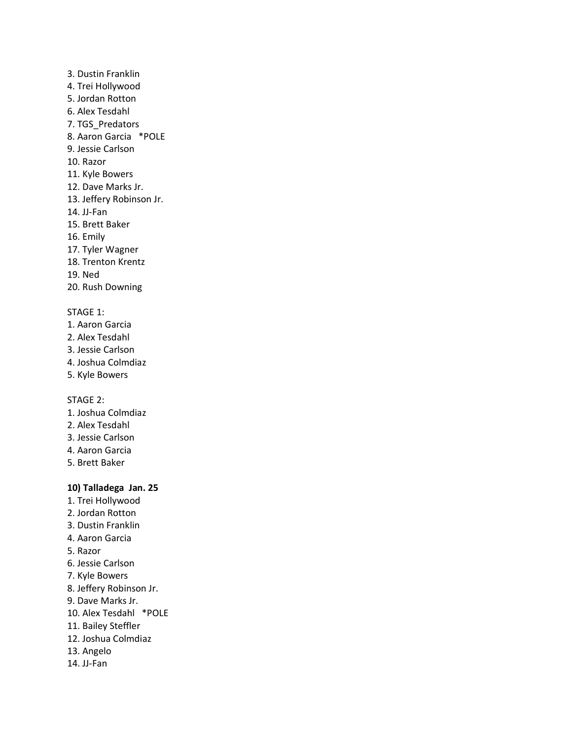### 3. Dustin Franklin

- 4. Trei Hollywood
- 5. Jordan Rotton
- 6. Alex Tesdahl
- 7. TGS\_Predators
- 8. Aaron Garcia \*POLE
- 9. Jessie Carlson
- 10. Razor
- 11. Kyle Bowers
- 12. Dave Marks Jr.
- 13. Jeffery Robinson Jr.
- 14. JJ-Fan
- 15. Brett Baker
- 16. Emily
- 17. Tyler Wagner
- 18. Trenton Krentz
- 19. Ned
- 20. Rush Downing

### STAGE 1:

- 1. Aaron Garcia
- 2. Alex Tesdahl
- 3. Jessie Carlson
- 4. Joshua Colmdiaz
- 5. Kyle Bowers

STAGE 2:

- 1. Joshua Colmdiaz
- 2. Alex Tesdahl
- 3. Jessie Carlson
- 4. Aaron Garcia
- 5. Brett Baker

### **10) Talladega Jan. 25**

- 1. Trei Hollywood
- 2. Jordan Rotton
- 3. Dustin Franklin
- 4. Aaron Garcia
- 5. Razor
- 6. Jessie Carlson
- 7. Kyle Bowers
- 8. Jeffery Robinson Jr.
- 9. Dave Marks Jr.
- 10. Alex Tesdahl \*POLE
- 11. Bailey Steffler
- 12. Joshua Colmdiaz
- 13. Angelo
- 14. JJ-Fan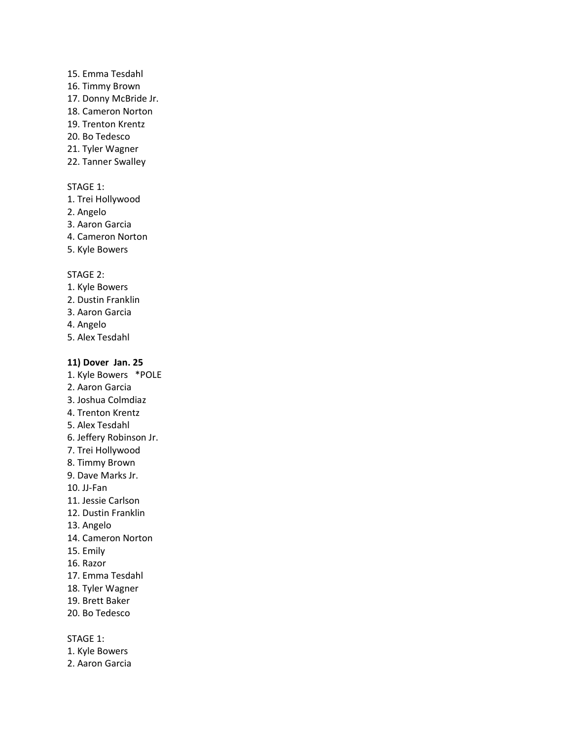### 15. Emma Tesdahl

- 16. Timmy Brown
- 17. Donny McBride Jr.
- 18. Cameron Norton
- 19. Trenton Krentz
- 20. Bo Tedesco
- 21. Tyler Wagner
- 22. Tanner Swalley

#### STAGE 1:

- 1. Trei Hollywood
- 2. Angelo
- 3. Aaron Garcia
- 4. Cameron Norton
- 5. Kyle Bowers

#### STAGE 2:

- 1. Kyle Bowers
- 2. Dustin Franklin
- 3. Aaron Garcia
- 4. Angelo
- 5. Alex Tesdahl

#### **11) Dover Jan. 25**

- 1. Kyle Bowers \*POLE
- 2. Aaron Garcia
- 3. Joshua Colmdiaz
- 4. Trenton Krentz
- 5. Alex Tesdahl
- 6. Jeffery Robinson Jr.
- 7. Trei Hollywood
- 8. Timmy Brown
- 9. Dave Marks Jr.
- 10. JJ-Fan
- 11. Jessie Carlson
- 12. Dustin Franklin
- 13. Angelo
- 14. Cameron Norton
- 15. Emily
- 16. Razor
- 17. Emma Tesdahl
- 18. Tyler Wagner
- 19. Brett Baker
- 20. Bo Tedesco

STAGE 1:

- 1. Kyle Bowers
- 2. Aaron Garcia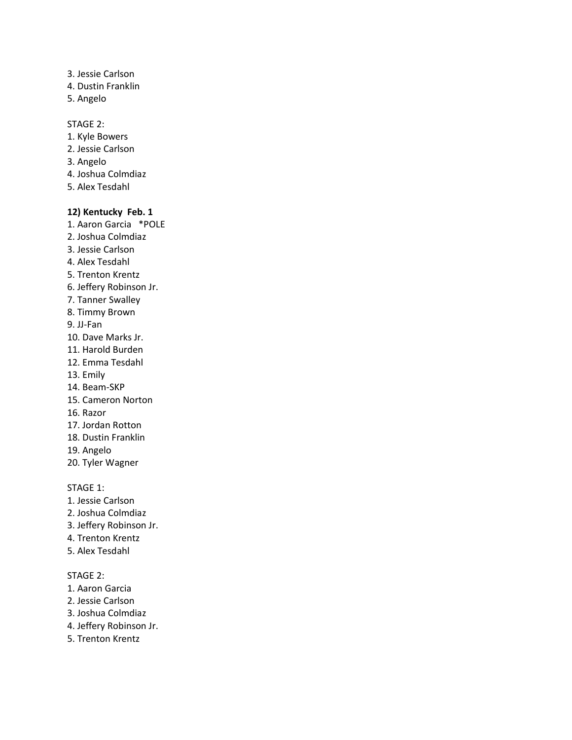3. Jessie Carlson 4. Dustin Franklin 5. Angelo

#### STAGE 2:

- 1. Kyle Bowers
- 2. Jessie Carlson
- 3. Angelo
- 4. Joshua Colmdiaz
- 5. Alex Tesdahl

#### **12) Kentucky Feb. 1**

- 1. Aaron Garcia \*POLE
- 2. Joshua Colmdiaz
- 3. Jessie Carlson
- 4. Alex Tesdahl
- 5. Trenton Krentz
- 6. Jeffery Robinson Jr.
- 7. Tanner Swalley
- 8. Timmy Brown
- 9. JJ-Fan
- 10. Dave Marks Jr.
- 11. Harold Burden
- 12. Emma Tesdahl
- 13. Emily
- 14. Beam-SKP
- 15. Cameron Norton
- 16. Razor
- 17. Jordan Rotton
- 18. Dustin Franklin
- 19. Angelo
- 20. Tyler Wagner

STAGE 1:

- 1. Jessie Carlson
- 2. Joshua Colmdiaz
- 3. Jeffery Robinson Jr.
- 4. Trenton Krentz
- 5. Alex Tesdahl

- 1. Aaron Garcia
- 2. Jessie Carlson
- 3. Joshua Colmdiaz
- 4. Jeffery Robinson Jr.
- 5. Trenton Krentz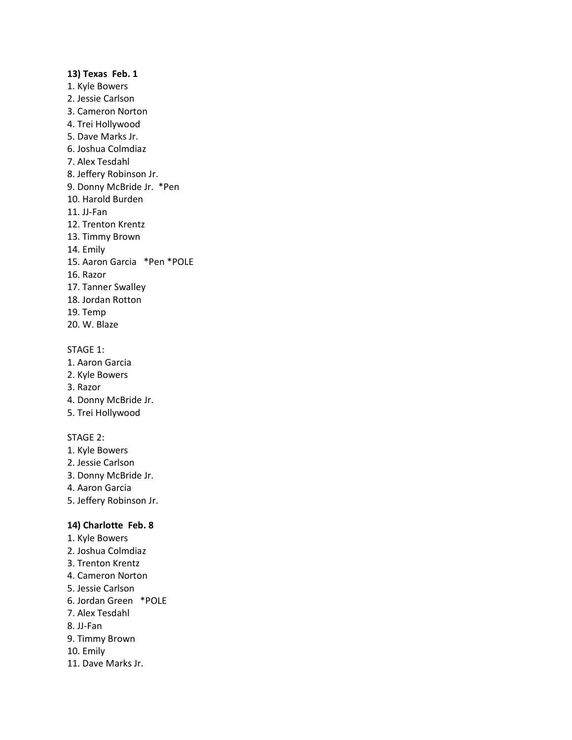### **13) Texas Feb. 1** 1. Kyle Bowers 2. Jessie Carlson 3. Cameron Norton 4. Trei Hollywood 5. Dave Marks Jr. 6. Joshua Colmdiaz 7. Alex Tesdahl 8. Jeffery Robinson Jr. 9. Donny McBride Jr. \*Pen 10. Harold Burden 11. JJ-Fan 12. Trenton Krentz 13. Timmy Brown 14. Emily 15. Aaron Garcia \*Pen \*POLE 16. Razor 17. Tanner Swalley 18. Jordan Rotton

- 19. Temp
- 20. W. Blaze

### STAGE 1:

- 1. Aaron Garcia
- 2. Kyle Bowers
- 3. Razor
- 4. Donny McBride Jr.
- 5. Trei Hollywood

### STAGE 2:

- 1. Kyle Bowers
- 2. Jessie Carlson
- 3. Donny McBride Jr.
- 4. Aaron Garcia
- 5. Jeffery Robinson Jr.

### **14) Charlotte Feb. 8**

- 1. Kyle Bowers
- 2. Joshua Colmdiaz
- 3. Trenton Krentz
- 4. Cameron Norton
- 5. Jessie Carlson
- 6. Jordan Green \*POLE
- 7. Alex Tesdahl
- 8. JJ-Fan
- 9. Timmy Brown
- 10. Emily
- 11. Dave Marks Jr.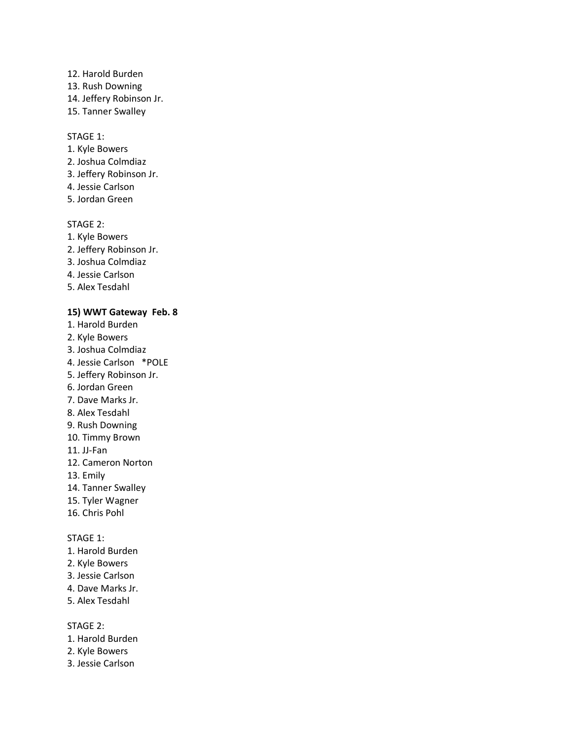### 12. Harold Burden

- 13. Rush Downing
- 14. Jeffery Robinson Jr.
- 15. Tanner Swalley

#### STAGE 1:

- 1. Kyle Bowers
- 2. Joshua Colmdiaz
- 3. Jeffery Robinson Jr.
- 4. Jessie Carlson
- 5. Jordan Green

### STAGE 2:

- 1. Kyle Bowers
- 2. Jeffery Robinson Jr.
- 3. Joshua Colmdiaz
- 4. Jessie Carlson
- 5. Alex Tesdahl

### **15) WWT Gateway Feb. 8**

- 1. Harold Burden
- 2. Kyle Bowers
- 3. Joshua Colmdiaz
- 4. Jessie Carlson \*POLE
- 5. Jeffery Robinson Jr.
- 6. Jordan Green
- 7. Dave Marks Jr.
- 8. Alex Tesdahl
- 9. Rush Downing
- 10. Timmy Brown
- 11. JJ-Fan
- 12. Cameron Norton
- 13. Emily
- 14. Tanner Swalley
- 15. Tyler Wagner
- 16. Chris Pohl

### STAGE 1:

- 1. Harold Burden
- 2. Kyle Bowers
- 3. Jessie Carlson
- 4. Dave Marks Jr.
- 5. Alex Tesdahl

- 1. Harold Burden
- 2. Kyle Bowers
- 3. Jessie Carlson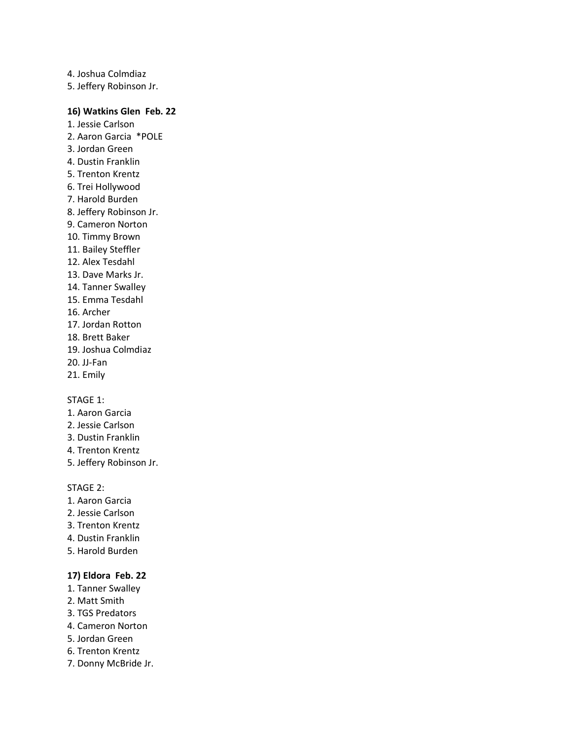4. Joshua Colmdiaz 5. Jeffery Robinson Jr.

#### **16) Watkins Glen Feb. 22**

- 1. Jessie Carlson 2. Aaron Garcia \*POLE
- 3. Jordan Green
- 4. Dustin Franklin
- 5. Trenton Krentz
- 6. Trei Hollywood
- 7. Harold Burden
- 8. Jeffery Robinson Jr.
- 9. Cameron Norton
- 10. Timmy Brown
- 11. Bailey Steffler
- 12. Alex Tesdahl
- 13. Dave Marks Jr.
- 14. Tanner Swalley
- 15. Emma Tesdahl
- 16. Archer
- 17. Jordan Rotton
- 18. Brett Baker
- 19. Joshua Colmdiaz
- 20. JJ-Fan
- 21. Emily

### STAGE 1:

- 1. Aaron Garcia
- 2. Jessie Carlson
- 3. Dustin Franklin
- 4. Trenton Krentz
- 5. Jeffery Robinson Jr.

### STAGE 2:

- 1. Aaron Garcia
- 2. Jessie Carlson
- 3. Trenton Krentz
- 4. Dustin Franklin
- 5. Harold Burden

### **17) Eldora Feb. 22**

- 1. Tanner Swalley
- 2. Matt Smith
- 3. TGS Predators
- 4. Cameron Norton
- 5. Jordan Green
- 6. Trenton Krentz
- 7. Donny McBride Jr.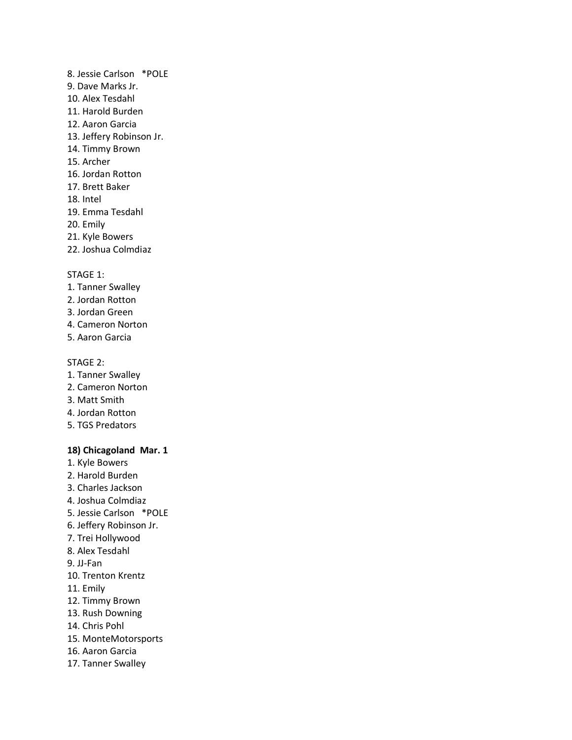- 8. Jessie Carlson \*POLE 9. Dave Marks Jr. 10. Alex Tesdahl 11. Harold Burden 12. Aaron Garcia 13. Jeffery Robinson Jr. 14. Timmy Brown 15. Archer 16. Jordan Rotton 17. Brett Baker 18. Intel 19. Emma Tesdahl 20. Emily 21. Kyle Bowers
- 22. Joshua Colmdiaz

- 1. Tanner Swalley
- 2. Jordan Rotton
- 3. Jordan Green
- 4. Cameron Norton
- 5. Aaron Garcia

#### STAGE 2:

- 1. Tanner Swalley
- 2. Cameron Norton
- 3. Matt Smith
- 4. Jordan Rotton
- 5. TGS Predators

#### **18) Chicagoland Mar. 1**

- 1. Kyle Bowers
- 2. Harold Burden
- 3. Charles Jackson
- 4. Joshua Colmdiaz
- 5. Jessie Carlson \*POLE
- 6. Jeffery Robinson Jr.
- 7. Trei Hollywood
- 8. Alex Tesdahl
- 9. JJ-Fan
- 10. Trenton Krentz
- 11. Emily
- 12. Timmy Brown
- 13. Rush Downing
- 14. Chris Pohl
- 15. MonteMotorsports
- 16. Aaron Garcia
- 17. Tanner Swalley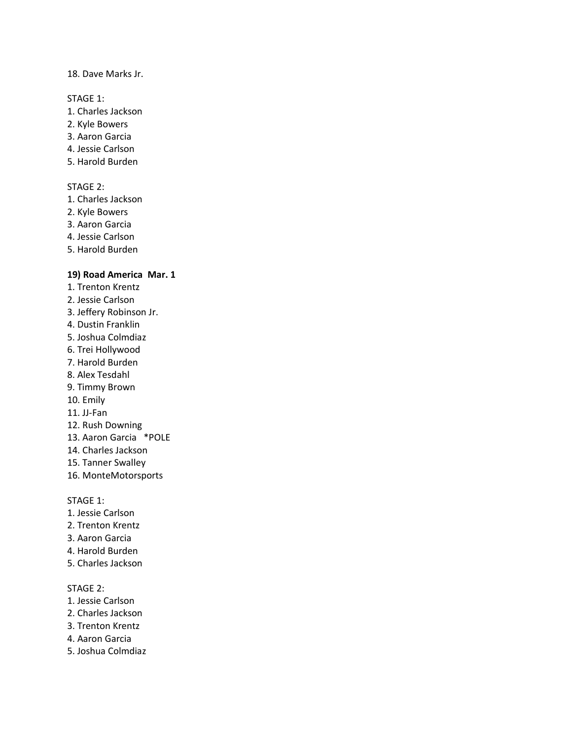#### 18. Dave Marks Jr.

#### STAGE 1:

- 1. Charles Jackson
- 2. Kyle Bowers
- 3. Aaron Garcia
- 4. Jessie Carlson
- 5. Harold Burden

#### STAGE 2:

- 1. Charles Jackson
- 2. Kyle Bowers
- 3. Aaron Garcia
- 4. Jessie Carlson
- 5. Harold Burden

### **19) Road America Mar. 1**

- 1. Trenton Krentz
- 2. Jessie Carlson
- 3. Jeffery Robinson Jr.
- 4. Dustin Franklin
- 5. Joshua Colmdiaz
- 6. Trei Hollywood
- 7. Harold Burden
- 8. Alex Tesdahl
- 9. Timmy Brown
- 10. Emily
- 11. JJ-Fan
- 12. Rush Downing
- 13. Aaron Garcia \*POLE
- 14. Charles Jackson
- 15. Tanner Swalley
- 16. MonteMotorsports

#### STAGE 1:

- 1. Jessie Carlson
- 2. Trenton Krentz
- 3. Aaron Garcia
- 4. Harold Burden
- 5. Charles Jackson

- 1. Jessie Carlson
- 2. Charles Jackson
- 3. Trenton Krentz
- 4. Aaron Garcia
- 5. Joshua Colmdiaz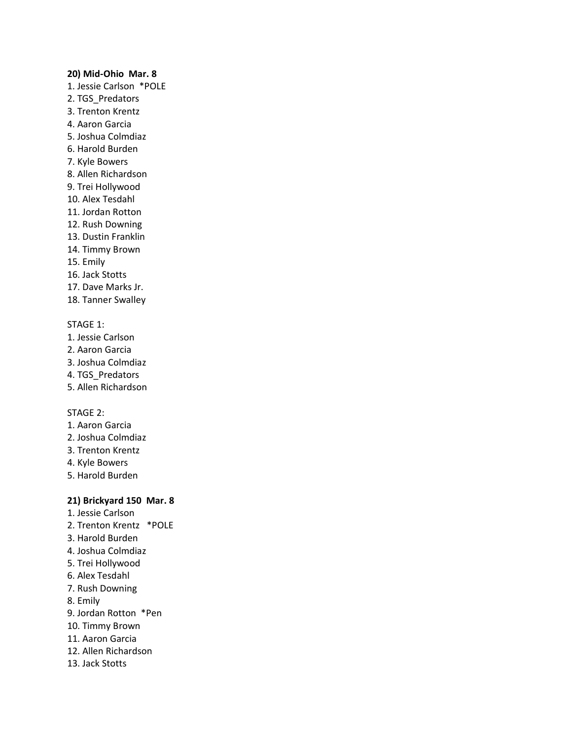#### **20) Mid-Ohio Mar. 8**

- 1. Jessie Carlson \*POLE
- 2. TGS\_Predators
- 3. Trenton Krentz
- 4. Aaron Garcia
- 5. Joshua Colmdiaz
- 6. Harold Burden
- 7. Kyle Bowers
- 8. Allen Richardson
- 9. Trei Hollywood
- 10. Alex Tesdahl
- 11. Jordan Rotton
- 12. Rush Downing
- 13. Dustin Franklin
- 14. Timmy Brown
- 15. Emily
- 16. Jack Stotts
- 17. Dave Marks Jr.
- 18. Tanner Swalley

#### STAGE 1:

- 1. Jessie Carlson
- 2. Aaron Garcia
- 3. Joshua Colmdiaz
- 4. TGS\_Predators
- 5. Allen Richardson

### STAGE 2:

- 1. Aaron Garcia
- 2. Joshua Colmdiaz
- 3. Trenton Krentz
- 4. Kyle Bowers
- 5. Harold Burden

#### **21) Brickyard 150 Mar. 8**

- 1. Jessie Carlson
- 2. Trenton Krentz \*POLE
- 3. Harold Burden
- 4. Joshua Colmdiaz
- 5. Trei Hollywood
- 6. Alex Tesdahl
- 7. Rush Downing
- 8. Emily
- 9. Jordan Rotton \*Pen
- 10. Timmy Brown
- 11. Aaron Garcia
- 12. Allen Richardson
- 13. Jack Stotts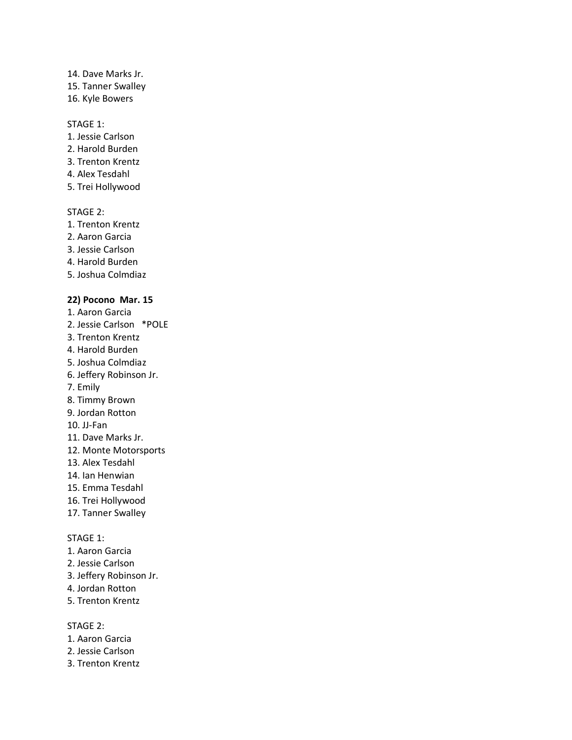# 14. Dave Marks Jr.

15. Tanner Swalley

16. Kyle Bowers

### STAGE 1:

- 1. Jessie Carlson
- 2. Harold Burden
- 3. Trenton Krentz
- 4. Alex Tesdahl
- 5. Trei Hollywood

### STAGE 2:

- 1. Trenton Krentz
- 2. Aaron Garcia
- 3. Jessie Carlson
- 4. Harold Burden
- 5. Joshua Colmdiaz

### **22) Pocono Mar. 15**

- 1. Aaron Garcia
- 2. Jessie Carlson \*POLE
- 3. Trenton Krentz
- 4. Harold Burden
- 5. Joshua Colmdiaz
- 6. Jeffery Robinson Jr.
- 7. Emily
- 8. Timmy Brown
- 9. Jordan Rotton
- 10. JJ-Fan
- 11. Dave Marks Jr.
- 12. Monte Motorsports
- 13. Alex Tesdahl
- 14. Ian Henwian
- 15. Emma Tesdahl
- 16. Trei Hollywood
- 17. Tanner Swalley

### STAGE 1:

- 1. Aaron Garcia
- 2. Jessie Carlson
- 3. Jeffery Robinson Jr.
- 4. Jordan Rotton
- 5. Trenton Krentz

- 1. Aaron Garcia
- 2. Jessie Carlson
- 3. Trenton Krentz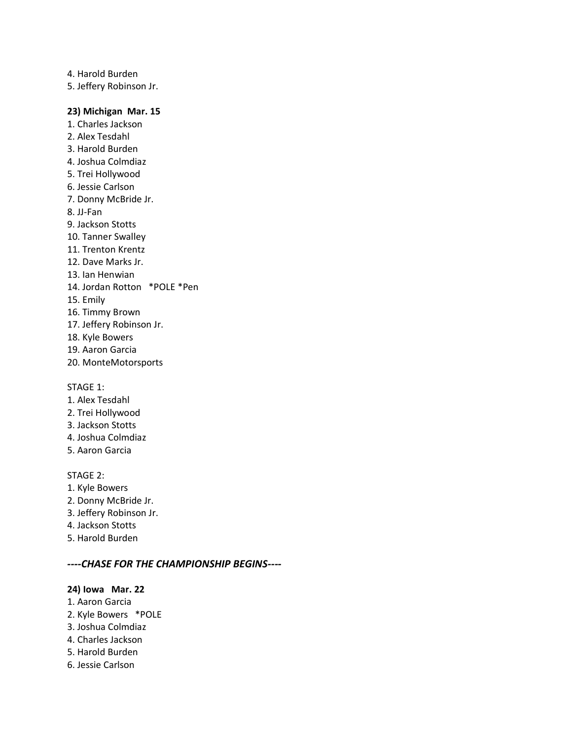4. Harold Burden 5. Jeffery Robinson Jr.

#### **23) Michigan Mar. 15**

1. Charles Jackson 2. Alex Tesdahl 3. Harold Burden 4. Joshua Colmdiaz 5. Trei Hollywood 6. Jessie Carlson 7. Donny McBride Jr. 8. JJ-Fan 9. Jackson Stotts 10. Tanner Swalley 11. Trenton Krentz 12. Dave Marks Jr. 13. Ian Henwian 14. Jordan Rotton \*POLE \*Pen 15. Emily 16. Timmy Brown 17. Jeffery Robinson Jr. 18. Kyle Bowers 19. Aaron Garcia 20. MonteMotorsports

STAGE 1:

- 1. Alex Tesdahl
- 2. Trei Hollywood
- 3. Jackson Stotts
- 4. Joshua Colmdiaz
- 5. Aaron Garcia

### STAGE 2:

- 1. Kyle Bowers
- 2. Donny McBride Jr.
- 3. Jeffery Robinson Jr.
- 4. Jackson Stotts
- 5. Harold Burden

#### *----CHASE FOR THE CHAMPIONSHIP BEGINS----*

#### **24) Iowa Mar. 22**

- 1. Aaron Garcia
- 2. Kyle Bowers \*POLE
- 3. Joshua Colmdiaz
- 4. Charles Jackson
- 5. Harold Burden
- 6. Jessie Carlson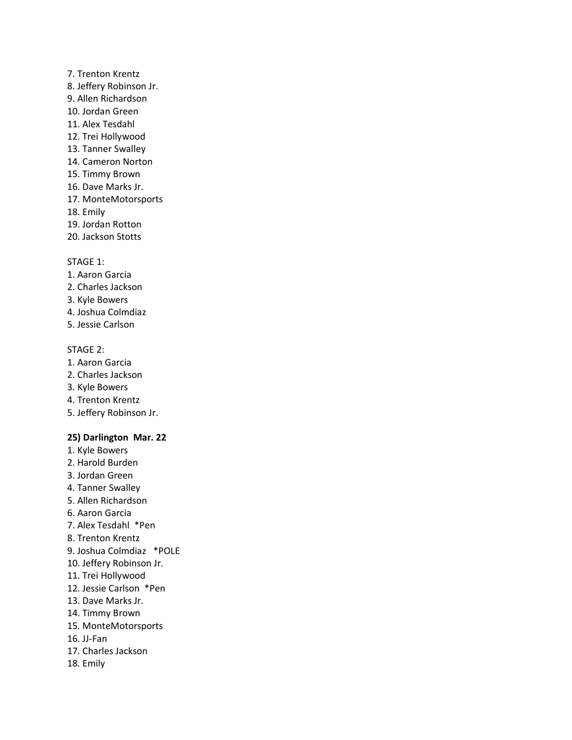# 7. Trenton Krentz

- 8. Jeffery Robinson Jr.
- 9. Allen Richardson
- 10. Jordan Green
- 11. Alex Tesdahl
- 12. Trei Hollywood
- 13. Tanner Swalley
- 14. Cameron Norton
- 15. Timmy Brown
- 16. Dave Marks Jr.
- 17. MonteMotorsports
- 18. Emily
- 19. Jordan Rotton
- 20. Jackson Stotts

#### STAGE 1:

- 1. Aaron Garcia
- 2. Charles Jackson
- 3. Kyle Bowers
- 4. Joshua Colmdiaz
- 5. Jessie Carlson

### STAGE 2:

- 1. Aaron Garcia
- 2. Charles Jackson
- 3. Kyle Bowers
- 4. Trenton Krentz
- 5. Jeffery Robinson Jr.

### **25) Darlington Mar. 22**

- 1. Kyle Bowers
- 2. Harold Burden
- 3. Jordan Green
- 4. Tanner Swalley
- 5. Allen Richardson
- 6. Aaron Garcia
- 7. Alex Tesdahl \*Pen
- 8. Trenton Krentz
- 9. Joshua Colmdiaz \*POLE
- 10. Jeffery Robinson Jr.
- 11. Trei Hollywood
- 12. Jessie Carlson \*Pen
- 13. Dave Marks Jr.
- 14. Timmy Brown
- 15. MonteMotorsports
- 16. JJ-Fan
- 17. Charles Jackson
- 18. Emily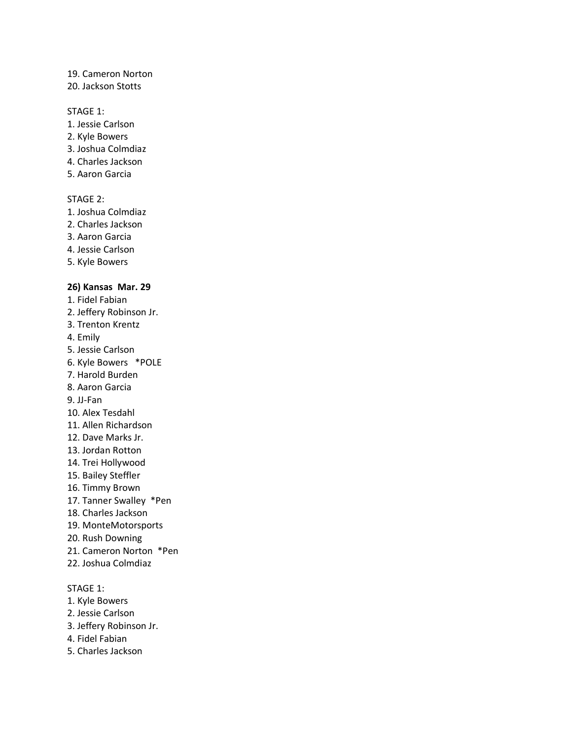#### 19. Cameron Norton

#### 20. Jackson Stotts

#### STAGE 1:

- 1. Jessie Carlson
- 2. Kyle Bowers
- 3. Joshua Colmdiaz
- 4. Charles Jackson
- 5. Aaron Garcia

#### STAGE 2:

- 1. Joshua Colmdiaz
- 2. Charles Jackson
- 3. Aaron Garcia
- 4. Jessie Carlson
- 5. Kyle Bowers

#### **26) Kansas Mar. 29**

- 1. Fidel Fabian
- 2. Jeffery Robinson Jr.
- 3. Trenton Krentz
- 4. Emily
- 5. Jessie Carlson
- 6. Kyle Bowers \*POLE
- 7. Harold Burden
- 8. Aaron Garcia
- 9. JJ-Fan
- 10. Alex Tesdahl
- 11. Allen Richardson
- 12. Dave Marks Jr.
- 13. Jordan Rotton
- 14. Trei Hollywood
- 15. Bailey Steffler
- 16. Timmy Brown
- 17. Tanner Swalley \*Pen
- 18. Charles Jackson
- 19. MonteMotorsports
- 20. Rush Downing
- 21. Cameron Norton \*Pen
- 22. Joshua Colmdiaz

### STAGE 1:

- 1. Kyle Bowers
- 2. Jessie Carlson
- 3. Jeffery Robinson Jr.
- 4. Fidel Fabian
- 5. Charles Jackson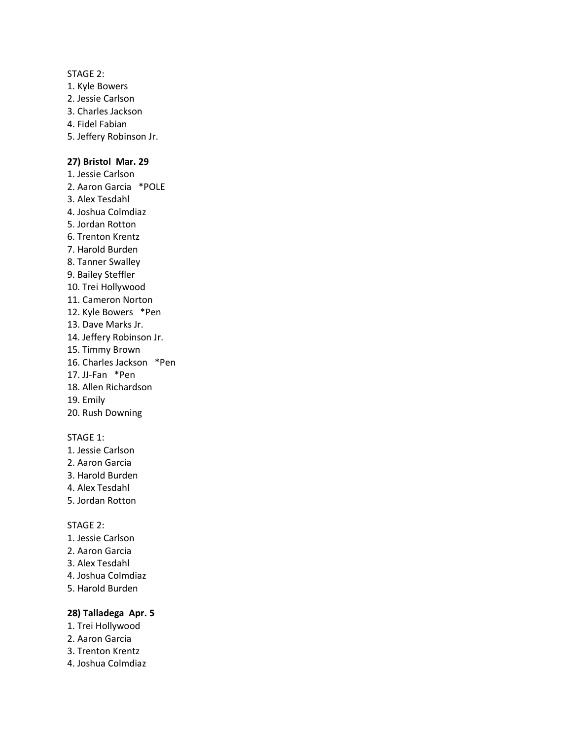#### STAGE 2:

- 1. Kyle Bowers
- 2. Jessie Carlson
- 3. Charles Jackson
- 4. Fidel Fabian
- 5. Jeffery Robinson Jr.

#### **27) Bristol Mar. 29**

- 1. Jessie Carlson 2. Aaron Garcia \*POLE 3. Alex Tesdahl 4. Joshua Colmdiaz 5. Jordan Rotton 6. Trenton Krentz 7. Harold Burden 8. Tanner Swalley 9. Bailey Steffler 10. Trei Hollywood 11. Cameron Norton 12. Kyle Bowers \*Pen 13. Dave Marks Jr. 14. Jeffery Robinson Jr. 15. Timmy Brown 16. Charles Jackson \*Pen 17. JJ-Fan \*Pen
- 18. Allen Richardson
- 19. Emily
- 20. Rush Downing

### STAGE 1:

- 1. Jessie Carlson
- 2. Aaron Garcia
- 3. Harold Burden
- 4. Alex Tesdahl
- 5. Jordan Rotton

#### STAGE 2:

- 1. Jessie Carlson
- 2. Aaron Garcia
- 3. Alex Tesdahl
- 4. Joshua Colmdiaz
- 5. Harold Burden

### **28) Talladega Apr. 5**

- 1. Trei Hollywood
- 2. Aaron Garcia
- 3. Trenton Krentz
- 4. Joshua Colmdiaz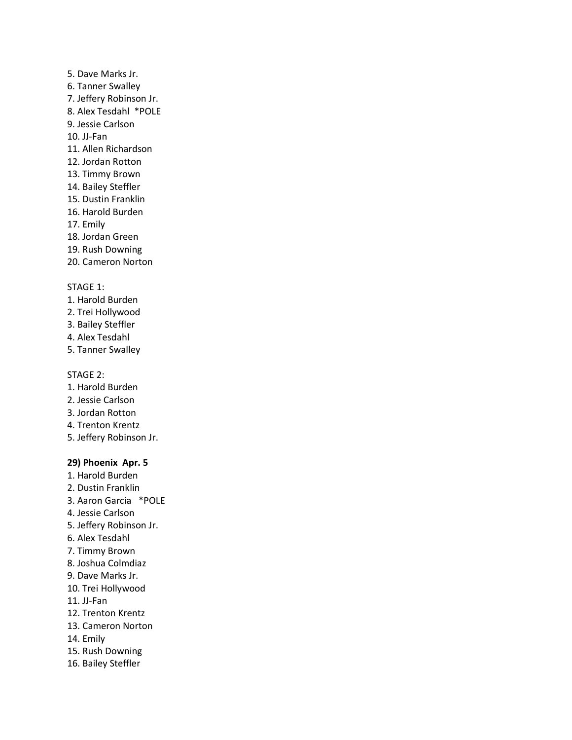- 5. Dave Marks Jr.
- 6. Tanner Swalley
- 7. Jeffery Robinson Jr.
- 8. Alex Tesdahl \*POLE
- 9. Jessie Carlson
- 10. JJ-Fan
- 11. Allen Richardson
- 12. Jordan Rotton
- 13. Timmy Brown
- 14. Bailey Steffler
- 15. Dustin Franklin
- 16. Harold Burden
- 17. Emily
- 18. Jordan Green
- 19. Rush Downing
- 20. Cameron Norton

# STAGE 1:

- 1. Harold Burden
- 2. Trei Hollywood
- 3. Bailey Steffler
- 4. Alex Tesdahl
- 5. Tanner Swalley

# STAGE 2:

- 1. Harold Burden
- 2. Jessie Carlson
- 3. Jordan Rotton
- 4. Trenton Krentz
- 5. Jeffery Robinson Jr.

# **29) Phoenix Apr. 5**

- 1. Harold Burden
- 2. Dustin Franklin
- 3. Aaron Garcia \*POLE
- 4. Jessie Carlson
- 5. Jeffery Robinson Jr.
- 6. Alex Tesdahl
- 7. Timmy Brown
- 8. Joshua Colmdiaz
- 9. Dave Marks Jr.
- 10. Trei Hollywood
- 11. JJ-Fan
- 12. Trenton Krentz
- 13. Cameron Norton
- 14. Emily
- 15. Rush Downing
- 16. Bailey Steffler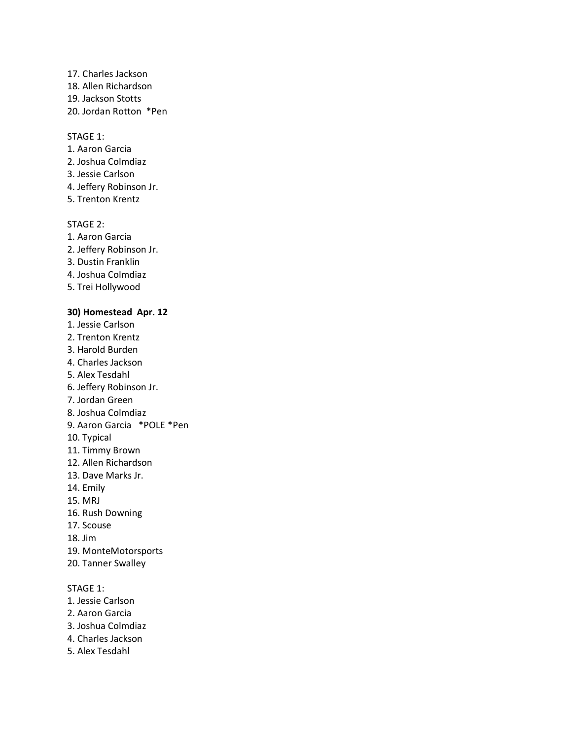- 17. Charles Jackson
- 18. Allen Richardson
- 19. Jackson Stotts
- 20. Jordan Rotton \*Pen

#### STAGE 1:

- 1. Aaron Garcia
- 2. Joshua Colmdiaz
- 3. Jessie Carlson
- 4. Jeffery Robinson Jr.
- 5. Trenton Krentz

# STAGE 2:

- 1. Aaron Garcia
- 2. Jeffery Robinson Jr.
- 3. Dustin Franklin
- 4. Joshua Colmdiaz
- 5. Trei Hollywood

# **30) Homestead Apr. 12**

- 1. Jessie Carlson
- 2. Trenton Krentz
- 3. Harold Burden
- 4. Charles Jackson
- 5. Alex Tesdahl
- 6. Jeffery Robinson Jr.
- 7. Jordan Green
- 8. Joshua Colmdiaz
- 9. Aaron Garcia \*POLE \*Pen
- 10. Typical
- 11. Timmy Brown
- 12. Allen Richardson
- 13. Dave Marks Jr.
- 14. Emily
- 15. MRJ
- 16. Rush Downing
- 17. Scouse
- 18. Jim
- 19. MonteMotorsports
- 20. Tanner Swalley

### STAGE 1:

- 1. Jessie Carlson
- 2. Aaron Garcia
- 3. Joshua Colmdiaz
- 4. Charles Jackson
- 5. Alex Tesdahl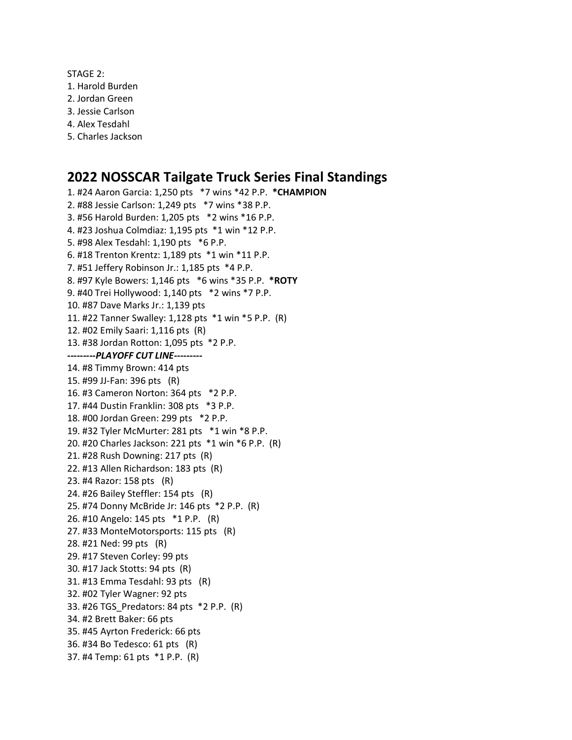STAGE 2:

- 1. Harold Burden
- 2. Jordan Green
- 3. Jessie Carlson
- 4. Alex Tesdahl
- 5. Charles Jackson

# **2022 NOSSCAR Tailgate Truck Series Final Standings**

1. #24 Aaron Garcia: 1,250 pts \*7 wins \*42 P.P. **\*CHAMPION** 2. #88 Jessie Carlson: 1,249 pts \*7 wins \*38 P.P. 3. #56 Harold Burden: 1,205 pts \*2 wins \*16 P.P. 4. #23 Joshua Colmdiaz: 1,195 pts \*1 win \*12 P.P. 5. #98 Alex Tesdahl: 1,190 pts \*6 P.P. 6. #18 Trenton Krentz: 1,189 pts \*1 win \*11 P.P. 7. #51 Jeffery Robinson Jr.: 1,185 pts \*4 P.P. 8. #97 Kyle Bowers: 1,146 pts \*6 wins \*35 P.P. **\*ROTY** 9. #40 Trei Hollywood: 1,140 pts \*2 wins \*7 P.P. 10. #87 Dave Marks Jr.: 1,139 pts 11. #22 Tanner Swalley: 1,128 pts \*1 win \*5 P.P. (R) 12. #02 Emily Saari: 1,116 pts (R) 13. #38 Jordan Rotton: 1,095 pts \*2 P.P. *---------PLAYOFF CUT LINE---------* 14. #8 Timmy Brown: 414 pts 15. #99 JJ-Fan: 396 pts (R) 16. #3 Cameron Norton: 364 pts \*2 P.P. 17. #44 Dustin Franklin: 308 pts \*3 P.P. 18. #00 Jordan Green: 299 pts \*2 P.P. 19. #32 Tyler McMurter: 281 pts \*1 win \*8 P.P. 20. #20 Charles Jackson: 221 pts \*1 win \*6 P.P. (R) 21. #28 Rush Downing: 217 pts (R) 22. #13 Allen Richardson: 183 pts (R) 23. #4 Razor: 158 pts (R) 24. #26 Bailey Steffler: 154 pts (R) 25. #74 Donny McBride Jr: 146 pts \*2 P.P. (R) 26. #10 Angelo: 145 pts \*1 P.P. (R) 27. #33 MonteMotorsports: 115 pts (R) 28. #21 Ned: 99 pts (R) 29. #17 Steven Corley: 99 pts 30. #17 Jack Stotts: 94 pts (R) 31. #13 Emma Tesdahl: 93 pts (R) 32. #02 Tyler Wagner: 92 pts 33. #26 TGS\_Predators: 84 pts \*2 P.P. (R) 34. #2 Brett Baker: 66 pts 35. #45 Ayrton Frederick: 66 pts 36. #34 Bo Tedesco: 61 pts (R) 37. #4 Temp: 61 pts \*1 P.P. (R)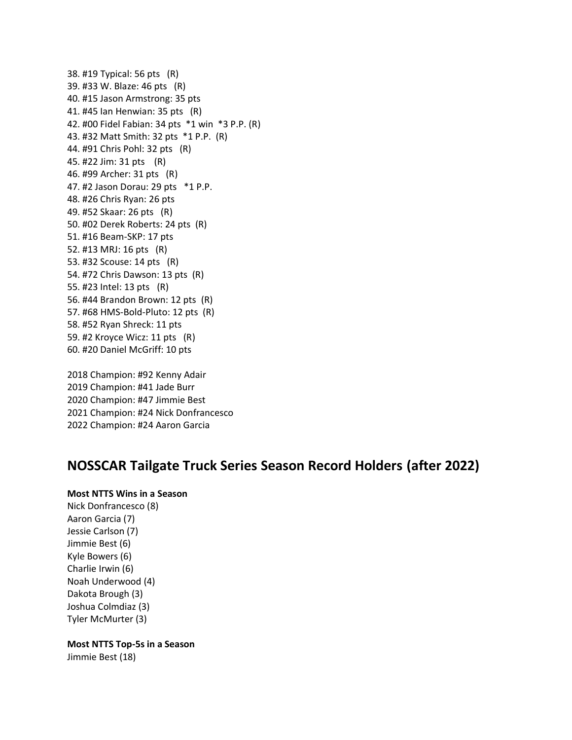38. #19 Typical: 56 pts (R) 39. #33 W. Blaze: 46 pts (R) 40. #15 Jason Armstrong: 35 pts 41. #45 Ian Henwian: 35 pts (R) 42. #00 Fidel Fabian: 34 pts \*1 win \*3 P.P. (R) 43. #32 Matt Smith: 32 pts \*1 P.P. (R) 44. #91 Chris Pohl: 32 pts (R) 45. #22 Jim: 31 pts (R) 46. #99 Archer: 31 pts (R) 47. #2 Jason Dorau: 29 pts \*1 P.P. 48. #26 Chris Ryan: 26 pts 49. #52 Skaar: 26 pts (R) 50. #02 Derek Roberts: 24 pts (R) 51. #16 Beam-SKP: 17 pts 52. #13 MRJ: 16 pts (R) 53. #32 Scouse: 14 pts (R) 54. #72 Chris Dawson: 13 pts (R) 55. #23 Intel: 13 pts (R) 56. #44 Brandon Brown: 12 pts (R) 57. #68 HMS-Bold-Pluto: 12 pts (R) 58. #52 Ryan Shreck: 11 pts 59. #2 Kroyce Wicz: 11 pts (R) 60. #20 Daniel McGriff: 10 pts

2018 Champion: #92 Kenny Adair 2019 Champion: #41 Jade Burr 2020 Champion: #47 Jimmie Best 2021 Champion: #24 Nick Donfrancesco 2022 Champion: #24 Aaron Garcia

# **NOSSCAR Tailgate Truck Series Season Record Holders (after 2022)**

# **Most NTTS Wins in a Season**

Nick Donfrancesco (8) Aaron Garcia (7) Jessie Carlson (7) Jimmie Best (6) Kyle Bowers (6) Charlie Irwin (6) Noah Underwood (4) Dakota Brough (3) Joshua Colmdiaz (3) Tyler McMurter (3)

**Most NTTS Top-5s in a Season**

Jimmie Best (18)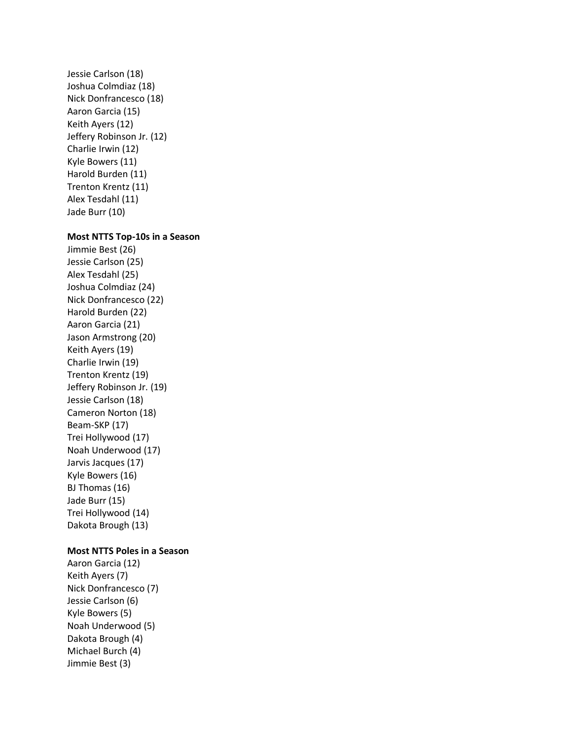Jessie Carlson (18) Joshua Colmdiaz (18) Nick Donfrancesco (18) Aaron Garcia (15) Keith Ayers (12) Jeffery Robinson Jr. (12) Charlie Irwin (12) Kyle Bowers (11) Harold Burden (11) Trenton Krentz (11) Alex Tesdahl (11) Jade Burr (10)

#### **Most NTTS Top-10s in a Season**

Jimmie Best (26) Jessie Carlson (25) Alex Tesdahl (25) Joshua Colmdiaz (24) Nick Donfrancesco (22) Harold Burden (22) Aaron Garcia (21) Jason Armstrong (20) Keith Ayers (19) Charlie Irwin (19) Trenton Krentz (19) Jeffery Robinson Jr. (19) Jessie Carlson (18) Cameron Norton (18) Beam-SKP (17) Trei Hollywood (17) Noah Underwood (17) Jarvis Jacques (17) Kyle Bowers (16) BJ Thomas (16) Jade Burr (15) Trei Hollywood (14) Dakota Brough (13)

#### **Most NTTS Poles in a Season**

Aaron Garcia (12) Keith Ayers (7) Nick Donfrancesco (7) Jessie Carlson (6) Kyle Bowers (5) Noah Underwood (5) Dakota Brough (4) Michael Burch (4) Jimmie Best (3)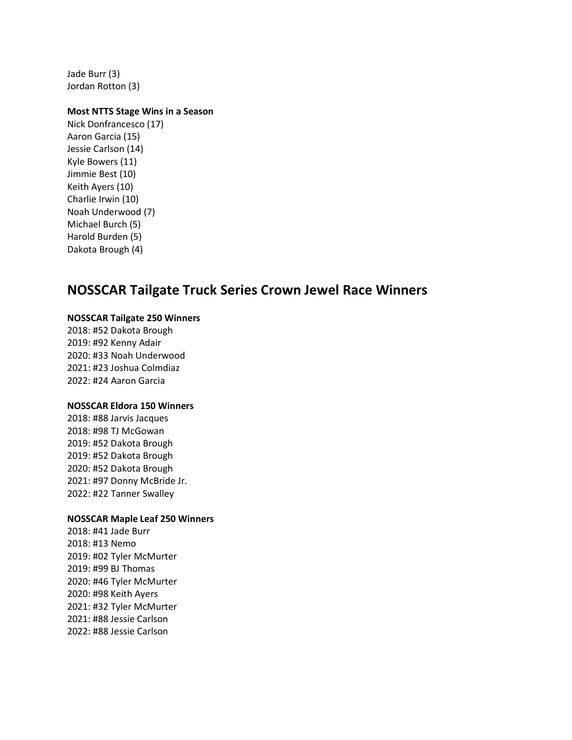Jade Burr (3) Jordan Rotton (3)

#### **Most NTTS Stage Wins in a Season**

Nick Donfrancesco (17) Aaron Garcia (15) Jessie Carlson (14) Kyle Bowers (11) Jimmie Best (10) Keith Ayers (10) Charlie Irwin (10) Noah Underwood (7) Michael Burch (5) Harold Burden (5) Dakota Brough (4)

# **NOSSCAR Tailgate Truck Series Crown Jewel Race Winners**

#### **NOSSCAR Tailgate 250 Winners**

2018: #52 Dakota Brough 2019: #92 Kenny Adair 2020: #33 Noah Underwood 2021: #23 Joshua Colmdiaz 2022: #24 Aaron Garcia

### **NOSSCAR Eldora 150 Winners**

2018: #88 Jarvis Jacques 2018: #98 TJ McGowan 2019: #52 Dakota Brough 2019: #52 Dakota Brough 2020: #52 Dakota Brough 2021: #97 Donny McBride Jr. 2022: #22 Tanner Swalley

#### **NOSSCAR Maple Leaf 250 Winners**

2018: #41 Jade Burr 2018: #13 Nemo 2019: #02 Tyler McMurter 2019: #99 BJ Thomas 2020: #46 Tyler McMurter 2020: #98 Keith Ayers 2021: #32 Tyler McMurter 2021: #88 Jessie Carlson 2022: #88 Jessie Carlson